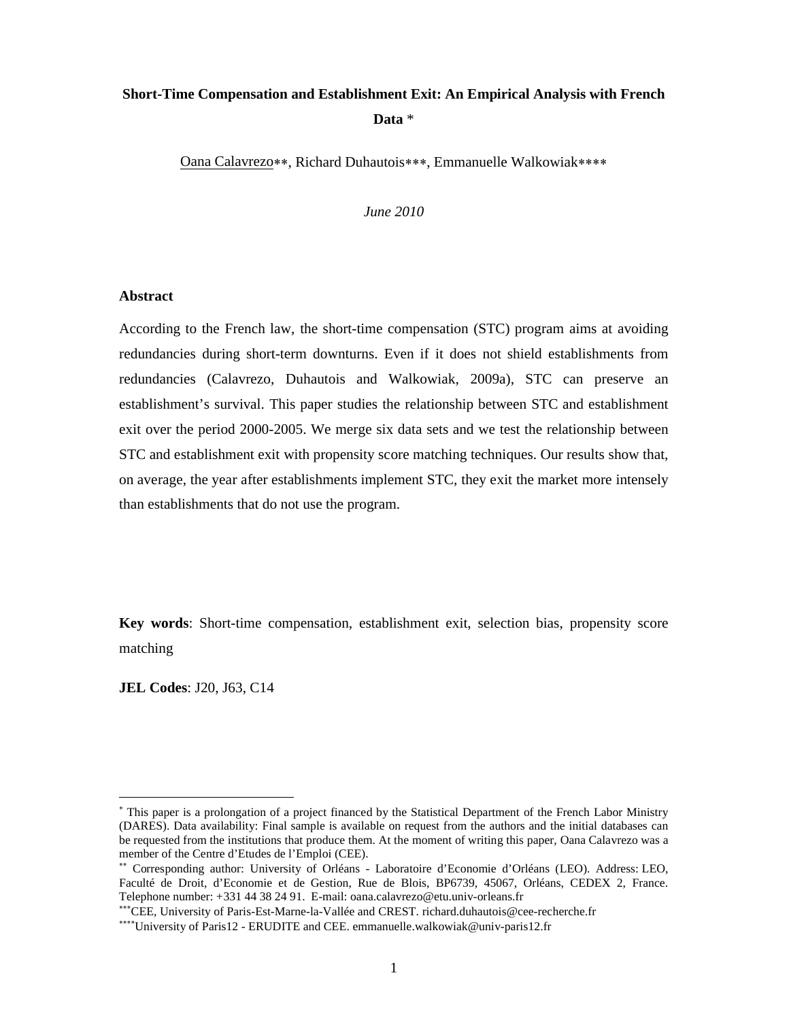# **Short-Time Compensation and Establishment Exit: An Empirical Analysis with French Data** \*

Oana Calavrezo\*\*, Richard Duhautois\*\*\*, Emmanuelle Walkowiak\*\*\*\*

*June 2010*

#### **Abstract**

According to the French law, the short-time compensation (STC) program aims at avoiding redundancies during short-term downturns. Even if it does not shield establishments from redundancies (Calavrezo, Duhautois and Walkowiak, 2009a), STC can preserve an establishment's survival. This paper studies the relationship between STC and establishment exit over the period 2000-2005. We merge six data sets and we test the relationship between STC and establishment exit with propensity score matching techniques. Our results show that, on average, the year after establishments implement STC, they exit the market more intensely than establishments that do not use the program.

**Key words**: Short-time compensation, establishment exit, selection bias, propensity score matching

**JEL Codes**: J20, J63, C14

This paper is a prolongation of a project financed by the Statistical Department of the French Labor Ministry (DARES). Data availability: Final sample is available on request from the authors and the initial databases can be requested from the institutions that produce them. At the moment of writing this paper, Oana Calavrezo was a member of the Centre d'Etudes de l'Emploi (CEE).

Corresponding author: University of Orléans - Laboratoire d'Economie d'Orléans (LEO). Address: LEO, Faculté de Droit, d'Economie et de Gestion, Rue de Blois, BP6739, 45067, Orléans, CEDEX 2, France. Telephone number: +331 44 38 24 91. E-mail: oana.calavrezo@etu.univ-orleans.fr

<sup>\*\*\*</sup> CEE, University of Paris-Est-Marne-la-Vallée and CREST. richard.duhautois@cee-recherche.fr

<sup>\*\*\*\*</sup>University of Paris12 - ERUDITE and CEE. emmanuelle.walkowiak@univ-paris12.fr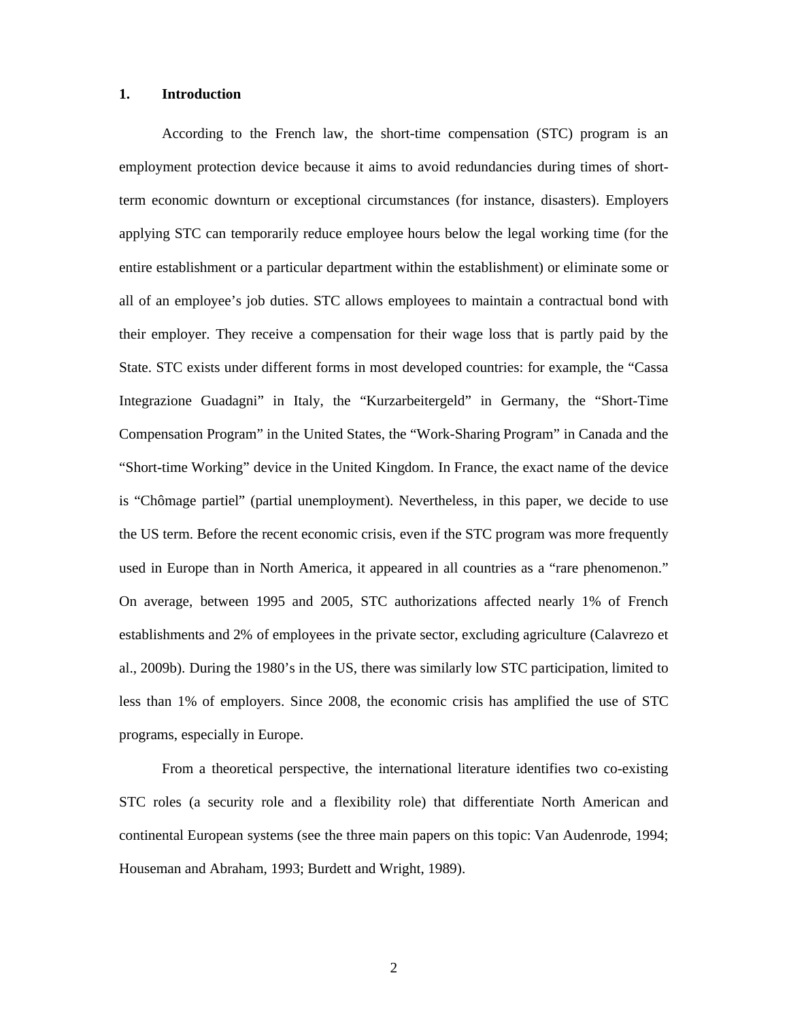### **1. Introduction**

According to the French law, the short-time compensation (STC) program is an employment protection device because it aims to avoid redundancies during times of shortterm economic downturn or exceptional circumstances (for instance, disasters). Employers applying STC can temporarily reduce employee hours below the legal working time (for the entire establishment or a particular department within the establishment) or eliminate some or all of an employee's job duties. STC allows employees to maintain a contractual bond with their employer. They receive a compensation for their wage loss that is partly paid by the State. STC exists under different forms in most developed countries: for example, the "Cassa Integrazione Guadagni" in Italy, the "Kurzarbeitergeld" in Germany, the "Short-Time Compensation Program" in the United States, the "Work-Sharing Program" in Canada and the "Short-time Working" device in the United Kingdom. In France, the exact name of the device is "Chômage partiel" (partial unemployment). Nevertheless, in this paper, we decide to use the US term. Before the recent economic crisis, even if the STC program was more frequently used in Europe than in North America, it appeared in all countries as a "rare phenomenon." On average, between 1995 and 2005, STC authorizations affected nearly 1% of French establishments and 2% of employees in the private sector, excluding agriculture (Calavrezo et al., 2009b). During the 1980's in the US, there was similarly low STC participation, limited to less than 1% of employers. Since 2008, the economic crisis has amplified the use of STC programs, especially in Europe.

From a theoretical perspective, the international literature identifies two co-existing STC roles (a security role and a flexibility role) that differentiate North American and continental European systems (see the three main papers on this topic: Van Audenrode, 1994; Houseman and Abraham, 1993; Burdett and Wright, 1989).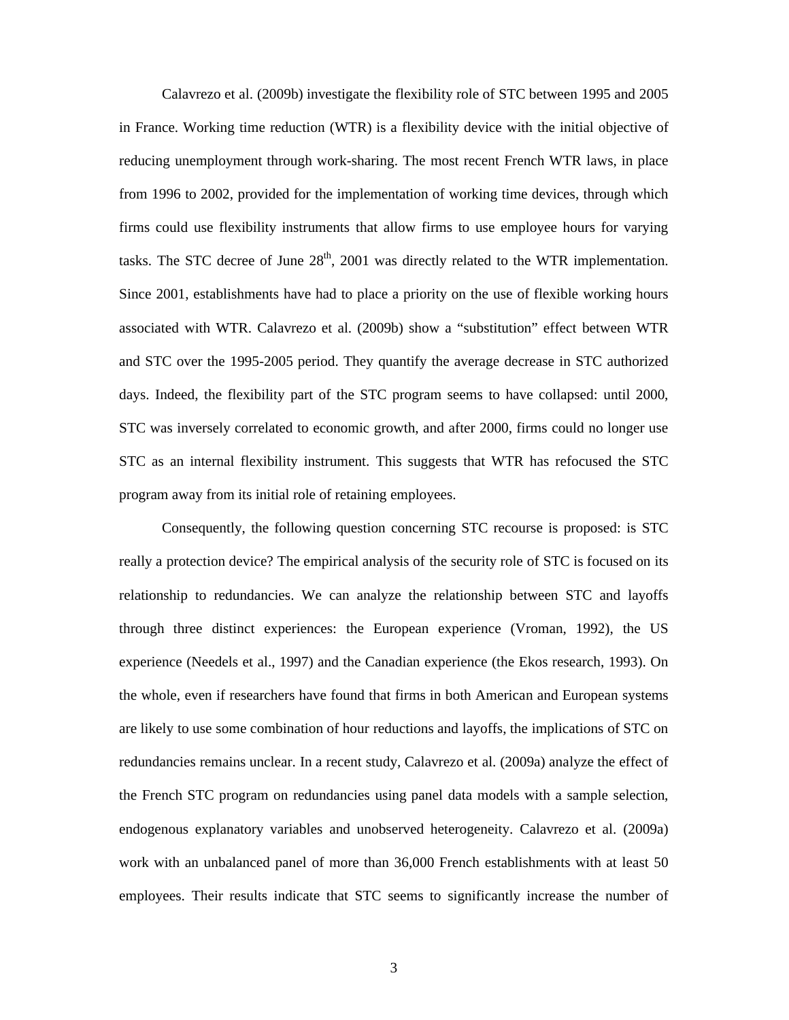Calavrezo et al. (2009b) investigate the flexibility role of STC between 1995 and 2005 in France. Working time reduction (WTR) is a flexibility device with the initial objective of reducing unemployment through work-sharing. The most recent French WTR laws, in place from 1996 to 2002, provided for the implementation of working time devices, through which firms could use flexibility instruments that allow firms to use employee hours for varying tasks. The STC decree of June  $28<sup>th</sup>$ , 2001 was directly related to the WTR implementation. Since 2001, establishments have had to place a priority on the use of flexible working hours associated with WTR. Calavrezo et al. (2009b) show a "substitution" effect between WTR and STC over the 1995-2005 period. They quantify the average decrease in STC authorized days. Indeed, the flexibility part of the STC program seems to have collapsed: until 2000, STC was inversely correlated to economic growth, and after 2000, firms could no longer use STC as an internal flexibility instrument. This suggests that WTR has refocused the STC program away from its initial role of retaining employees.

Consequently, the following question concerning STC recourse is proposed: is STC really a protection device? The empirical analysis of the security role of STC is focused on its relationship to redundancies. We can analyze the relationship between STC and layoffs through three distinct experiences: the European experience (Vroman, 1992), the US experience (Needels et al., 1997) and the Canadian experience (the Ekos research, 1993). On the whole, even if researchers have found that firms in both American and European systems are likely to use some combination of hour reductions and layoffs, the implications of STC on redundancies remains unclear. In a recent study, Calavrezo et al. (2009a) analyze the effect of the French STC program on redundancies using panel data models with a sample selection, endogenous explanatory variables and unobserved heterogeneity. Calavrezo et al. (2009a) work with an unbalanced panel of more than 36,000 French establishments with at least 50 employees. Their results indicate that STC seems to significantly increase the number of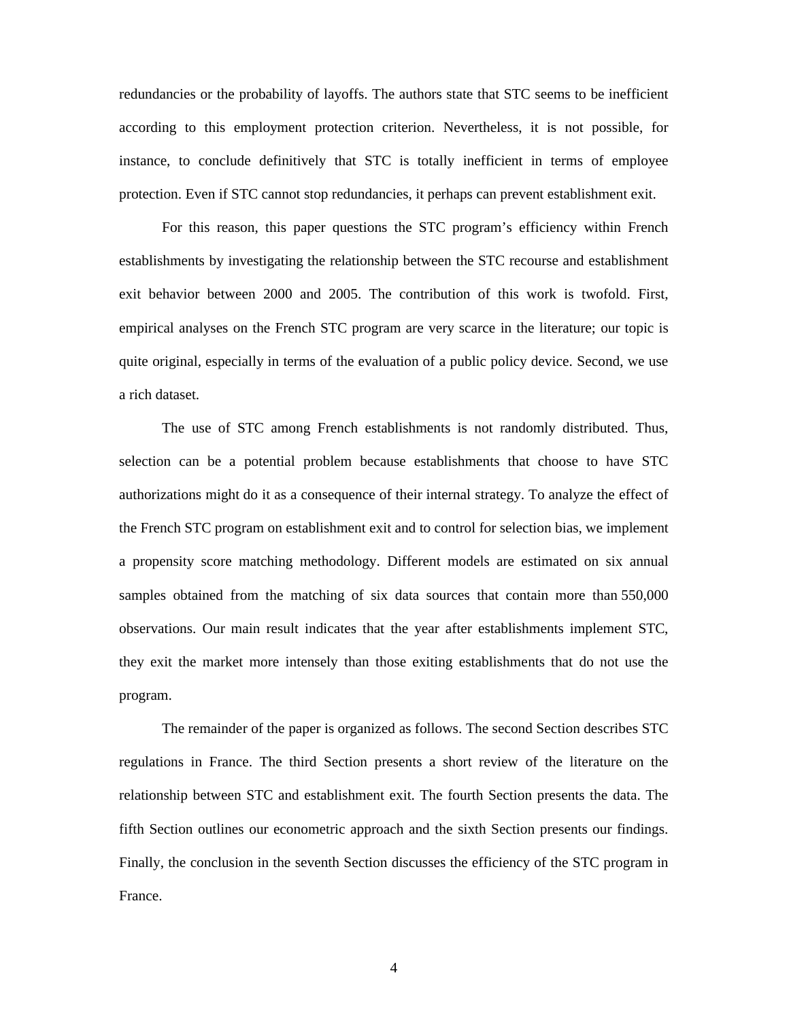redundancies or the probability of layoffs. The authors state that STC seems to be inefficient according to this employment protection criterion. Nevertheless, it is not possible, for instance, to conclude definitively that STC is totally inefficient in terms of employee protection. Even if STC cannot stop redundancies, it perhaps can prevent establishment exit.

For this reason, this paper questions the STC program's efficiency within French establishments by investigating the relationship between the STC recourse and establishment exit behavior between 2000 and 2005. The contribution of this work is twofold. First, empirical analyses on the French STC program are very scarce in the literature; our topic is quite original, especially in terms of the evaluation of a public policy device. Second, we use a rich dataset.

The use of STC among French establishments is not randomly distributed. Thus, selection can be a potential problem because establishments that choose to have STC authorizations might do it as a consequence of their internal strategy. To analyze the effect of the French STC program on establishment exit and to control for selection bias, we implement a propensity score matching methodology. Different models are estimated on six annual samples obtained from the matching of six data sources that contain more than 550,000 observations. Our main result indicates that the year after establishments implement STC, they exit the market more intensely than those exiting establishments that do not use the program.

The remainder of the paper is organized as follows. The second Section describes STC regulations in France. The third Section presents a short review of the literature on the relationship between STC and establishment exit. The fourth Section presents the data. The fifth Section outlines our econometric approach and the sixth Section presents our findings. Finally, the conclusion in the seventh Section discusses the efficiency of the STC program in France.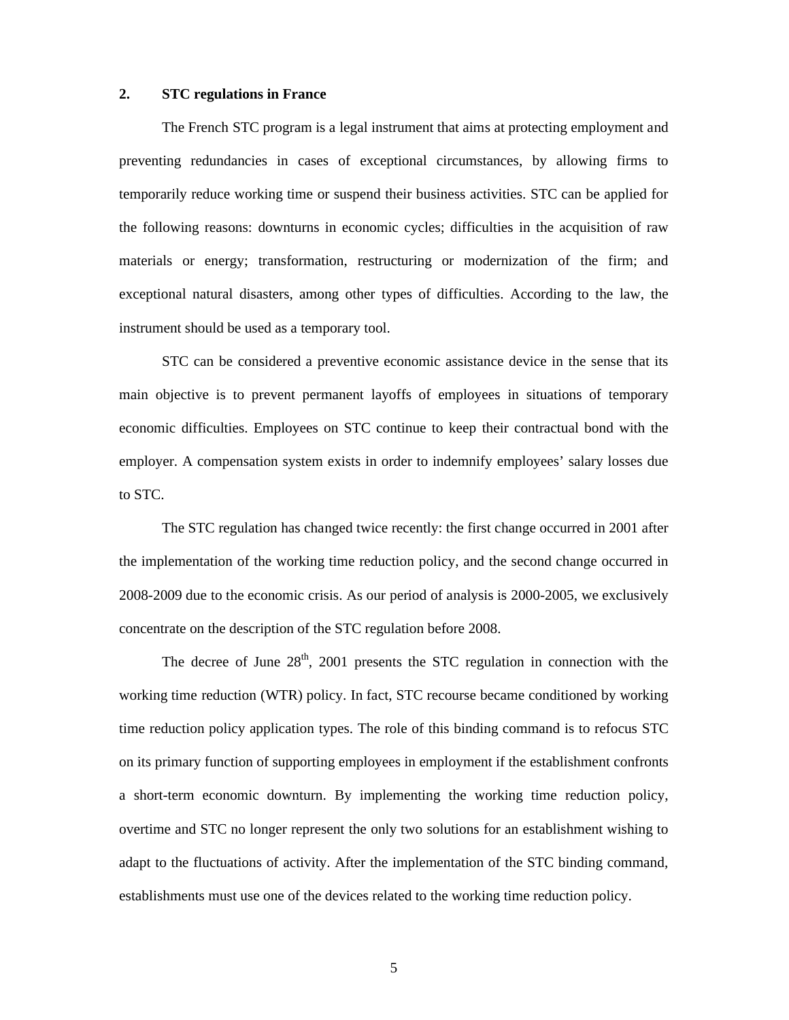### **2. STC regulations in France**

The French STC program is a legal instrument that aims at protecting employment and preventing redundancies in cases of exceptional circumstances, by allowing firms to temporarily reduce working time or suspend their business activities. STC can be applied for the following reasons: downturns in economic cycles; difficulties in the acquisition of raw materials or energy; transformation, restructuring or modernization of the firm; and exceptional natural disasters, among other types of difficulties. According to the law, the instrument should be used as a temporary tool.

STC can be considered a preventive economic assistance device in the sense that its main objective is to prevent permanent layoffs of employees in situations of temporary economic difficulties. Employees on STC continue to keep their contractual bond with the employer. A compensation system exists in order to indemnify employees' salary losses due to STC.

The STC regulation has changed twice recently: the first change occurred in 2001 after the implementation of the working time reduction policy, and the second change occurred in 2008-2009 due to the economic crisis. As our period of analysis is 2000-2005, we exclusively concentrate on the description of the STC regulation before 2008.

The decree of June  $28<sup>th</sup>$ , 2001 presents the STC regulation in connection with the working time reduction (WTR) policy. In fact, STC recourse became conditioned by working time reduction policy application types. The role of this binding command is to refocus STC on its primary function of supporting employees in employment if the establishment confronts a short-term economic downturn. By implementing the working time reduction policy, overtime and STC no longer represent the only two solutions for an establishment wishing to adapt to the fluctuations of activity. After the implementation of the STC binding command, establishments must use one of the devices related to the working time reduction policy.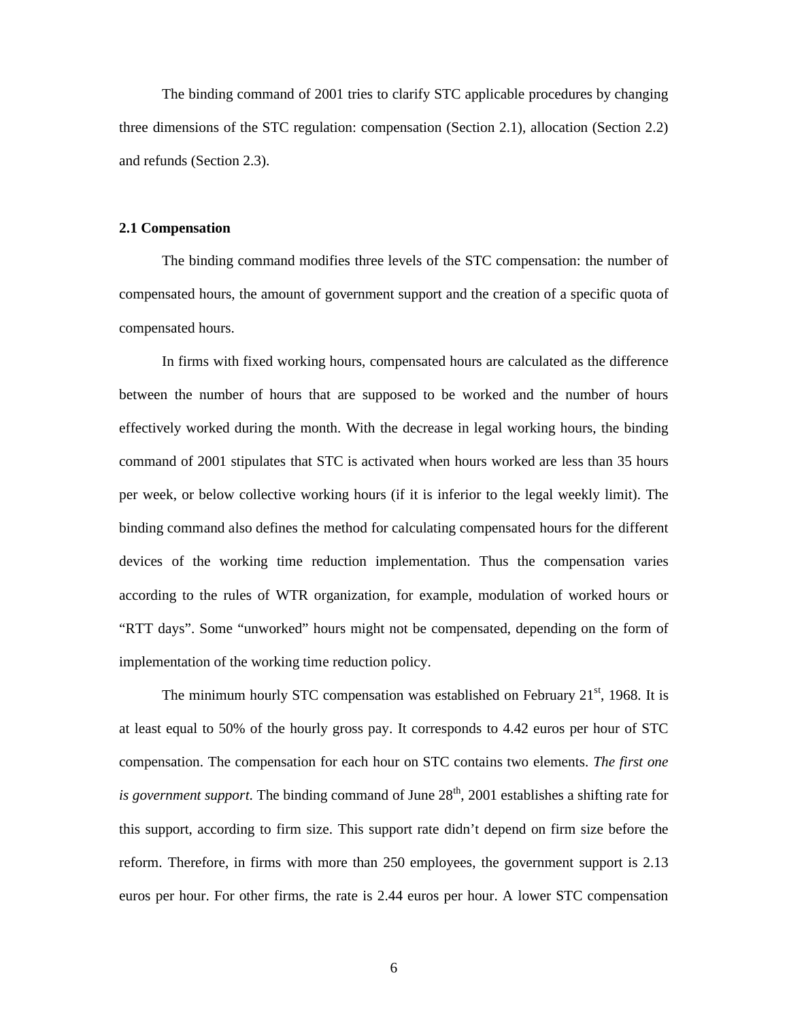The binding command of 2001 tries to clarify STC applicable procedures by changing three dimensions of the STC regulation: compensation (Section 2.1), allocation (Section 2.2) and refunds (Section 2.3).

#### **2.1 Compensation**

The binding command modifies three levels of the STC compensation: the number of compensated hours, the amount of government support and the creation of a specific quota of compensated hours.

In firms with fixed working hours, compensated hours are calculated as the difference between the number of hours that are supposed to be worked and the number of hours effectively worked during the month. With the decrease in legal working hours, the binding command of 2001 stipulates that STC is activated when hours worked are less than 35 hours per week, or below collective working hours (if it is inferior to the legal weekly limit). The binding command also defines the method for calculating compensated hours for the different devices of the working time reduction implementation. Thus the compensation varies according to the rules of WTR organization, for example, modulation of worked hours or "RTT days". Some "unworked" hours might not be compensated, depending on the form of implementation of the working time reduction policy.

The minimum hourly STC compensation was established on February  $21<sup>st</sup>$ , 1968. It is at least equal to 50% of the hourly gross pay. It corresponds to 4.42 euros per hour of STC compensation. The compensation for each hour on STC contains two elements. *The first one is government support*. The binding command of June  $28<sup>th</sup>$ , 2001 establishes a shifting rate for this support, according to firm size. This support rate didn't depend on firm size before the reform. Therefore, in firms with more than 250 employees, the government support is 2.13 euros per hour. For other firms, the rate is 2.44 euros per hour. A lower STC compensation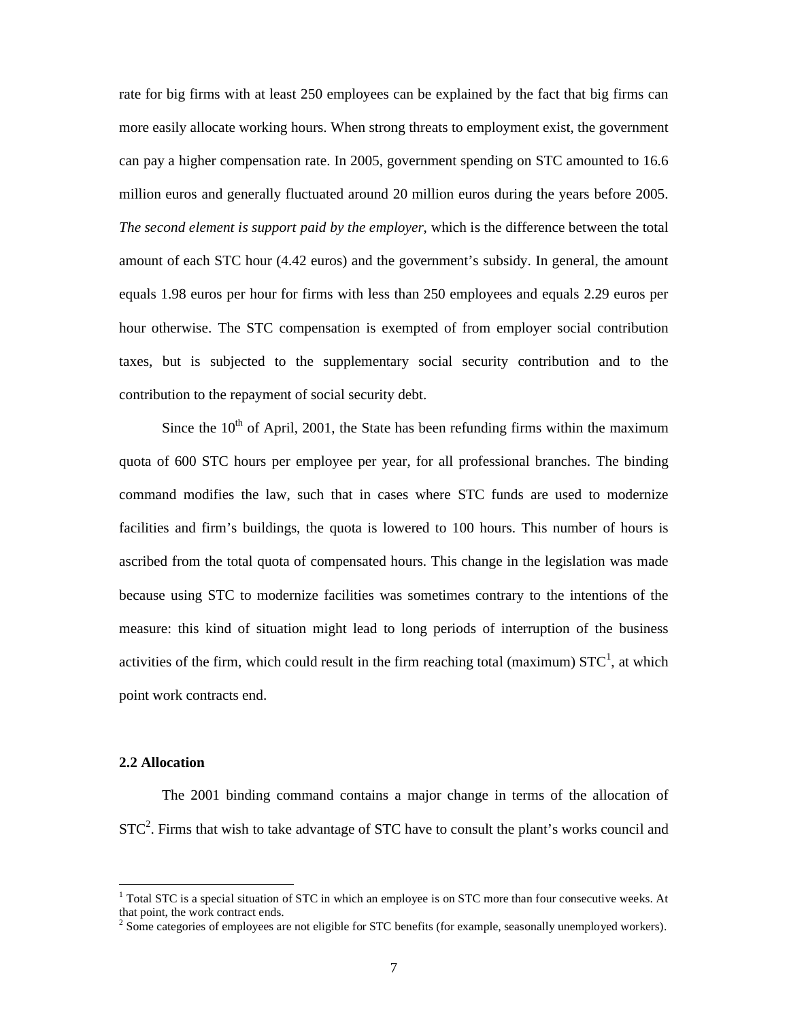rate for big firms with at least 250 employees can be explained by the fact that big firms can more easily allocate working hours. When strong threats to employment exist, the government can pay a higher compensation rate. In 2005, government spending on STC amounted to 16.6 million euros and generally fluctuated around 20 million euros during the years before 2005. *The second element is support paid by the employer*, which is the difference between the total amount of each STC hour (4.42 euros) and the government's subsidy. In general, the amount equals 1.98 euros per hour for firms with less than 250 employees and equals 2.29 euros per hour otherwise. The STC compensation is exempted of from employer social contribution taxes, but is subjected to the supplementary social security contribution and to the contribution to the repayment of social security debt.

Since the  $10<sup>th</sup>$  of April, 2001, the State has been refunding firms within the maximum quota of 600 STC hours per employee per year, for all professional branches. The binding command modifies the law, such that in cases where STC funds are used to modernize facilities and firm's buildings, the quota is lowered to 100 hours. This number of hours is ascribed from the total quota of compensated hours. This change in the legislation was made because using STC to modernize facilities was sometimes contrary to the intentions of the measure: this kind of situation might lead to long periods of interruption of the business activities of the firm, which could result in the firm reaching total (maximum)  $STC<sup>1</sup>$ , at which point work contracts end.

#### **2.2 Allocation**

-

The 2001 binding command contains a major change in terms of the allocation of  $STC<sup>2</sup>$ . Firms that wish to take advantage of STC have to consult the plant's works council and

<sup>&</sup>lt;sup>1</sup> Total STC is a special situation of STC in which an employee is on STC more than four consecutive weeks. At that point, the work contract ends.

<sup>&</sup>lt;sup>2</sup> Some categories of employees are not eligible for STC benefits (for example, seasonally unemployed workers).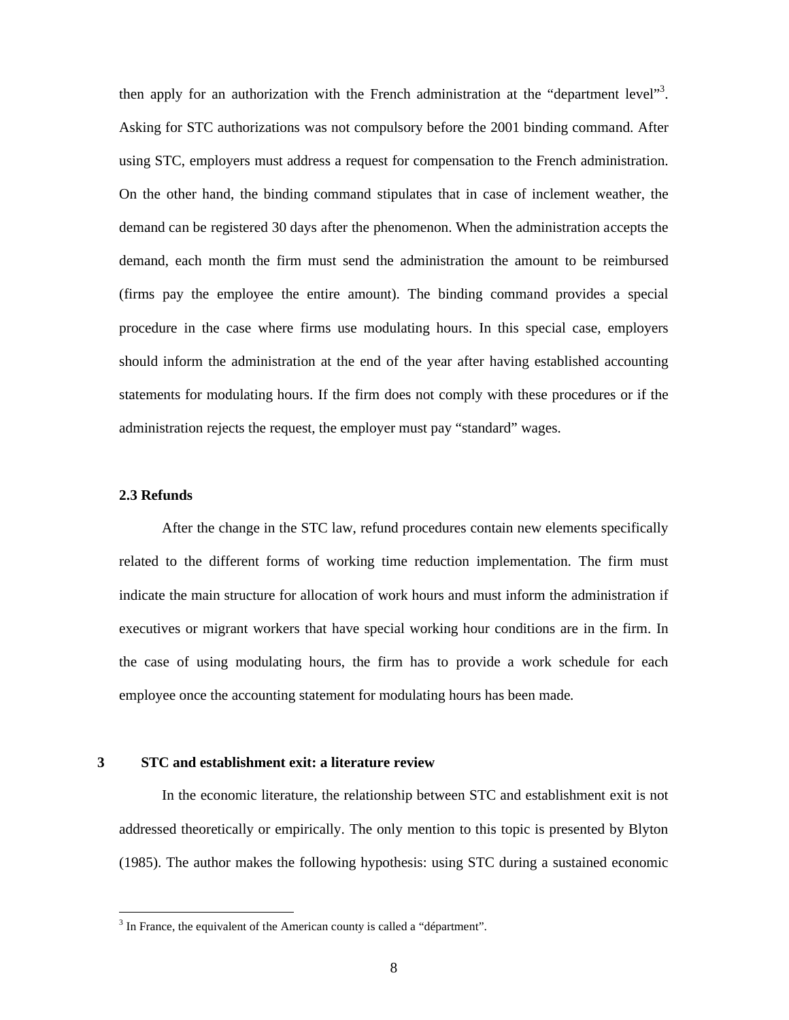then apply for an authorization with the French administration at the "department level"<sup>3</sup>. Asking for STC authorizations was not compulsory before the 2001 binding command. After using STC, employers must address a request for compensation to the French administration. On the other hand, the binding command stipulates that in case of inclement weather, the demand can be registered 30 days after the phenomenon. When the administration accepts the demand, each month the firm must send the administration the amount to be reimbursed (firms pay the employee the entire amount). The binding command provides a special procedure in the case where firms use modulating hours. In this special case, employers should inform the administration at the end of the year after having established accounting statements for modulating hours. If the firm does not comply with these procedures or if the administration rejects the request, the employer must pay "standard" wages.

# **2.3 Refunds**

-

After the change in the STC law, refund procedures contain new elements specifically related to the different forms of working time reduction implementation. The firm must indicate the main structure for allocation of work hours and must inform the administration if executives or migrant workers that have special working hour conditions are in the firm. In the case of using modulating hours, the firm has to provide a work schedule for each employee once the accounting statement for modulating hours has been made.

## **3 STC and establishment exit: a literature review**

In the economic literature, the relationship between STC and establishment exit is not addressed theoretically or empirically. The only mention to this topic is presented by Blyton (1985). The author makes the following hypothesis: using STC during a sustained economic

<sup>&</sup>lt;sup>3</sup> In France, the equivalent of the American county is called a "départment".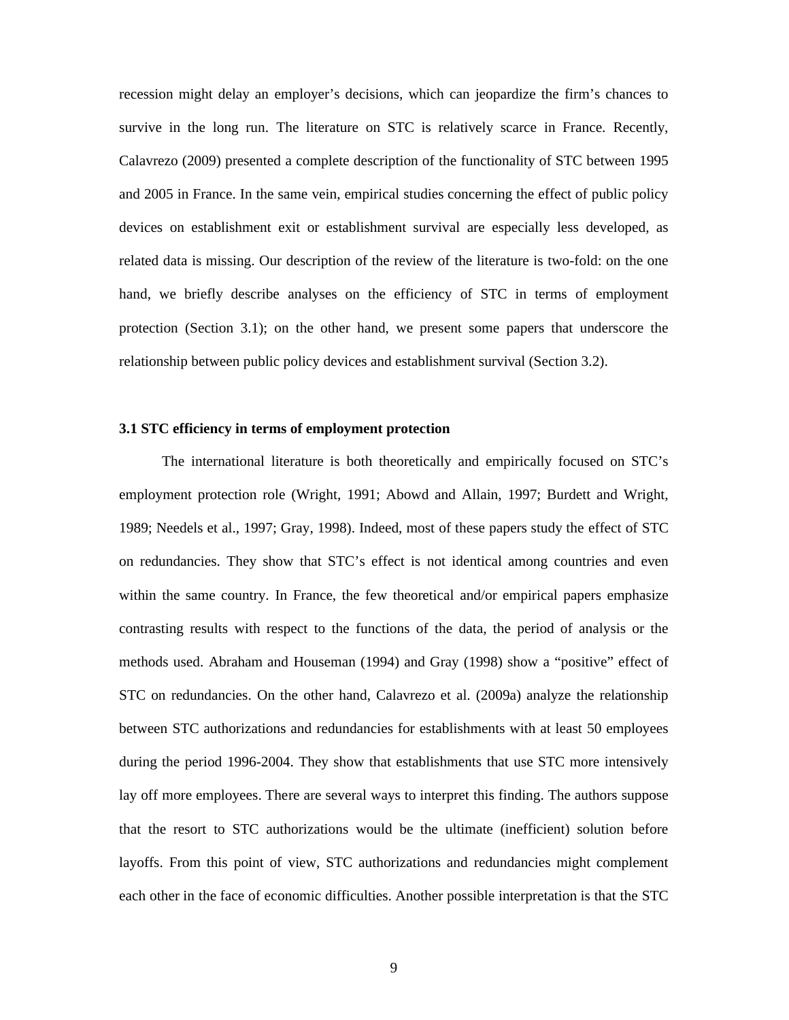recession might delay an employer's decisions, which can jeopardize the firm's chances to survive in the long run. The literature on STC is relatively scarce in France. Recently, Calavrezo (2009) presented a complete description of the functionality of STC between 1995 and 2005 in France. In the same vein, empirical studies concerning the effect of public policy devices on establishment exit or establishment survival are especially less developed, as related data is missing. Our description of the review of the literature is two-fold: on the one hand, we briefly describe analyses on the efficiency of STC in terms of employment protection (Section 3.1); on the other hand, we present some papers that underscore the relationship between public policy devices and establishment survival (Section 3.2).

#### **3.1 STC efficiency in terms of employment protection**

The international literature is both theoretically and empirically focused on STC's employment protection role (Wright, 1991; Abowd and Allain, 1997; Burdett and Wright, 1989; Needels et al., 1997; Gray, 1998). Indeed, most of these papers study the effect of STC on redundancies. They show that STC's effect is not identical among countries and even within the same country. In France, the few theoretical and/or empirical papers emphasize contrasting results with respect to the functions of the data, the period of analysis or the methods used. Abraham and Houseman (1994) and Gray (1998) show a "positive" effect of STC on redundancies. On the other hand, Calavrezo et al. (2009a) analyze the relationship between STC authorizations and redundancies for establishments with at least 50 employees during the period 1996-2004. They show that establishments that use STC more intensively lay off more employees. There are several ways to interpret this finding. The authors suppose that the resort to STC authorizations would be the ultimate (inefficient) solution before layoffs. From this point of view, STC authorizations and redundancies might complement each other in the face of economic difficulties. Another possible interpretation is that the STC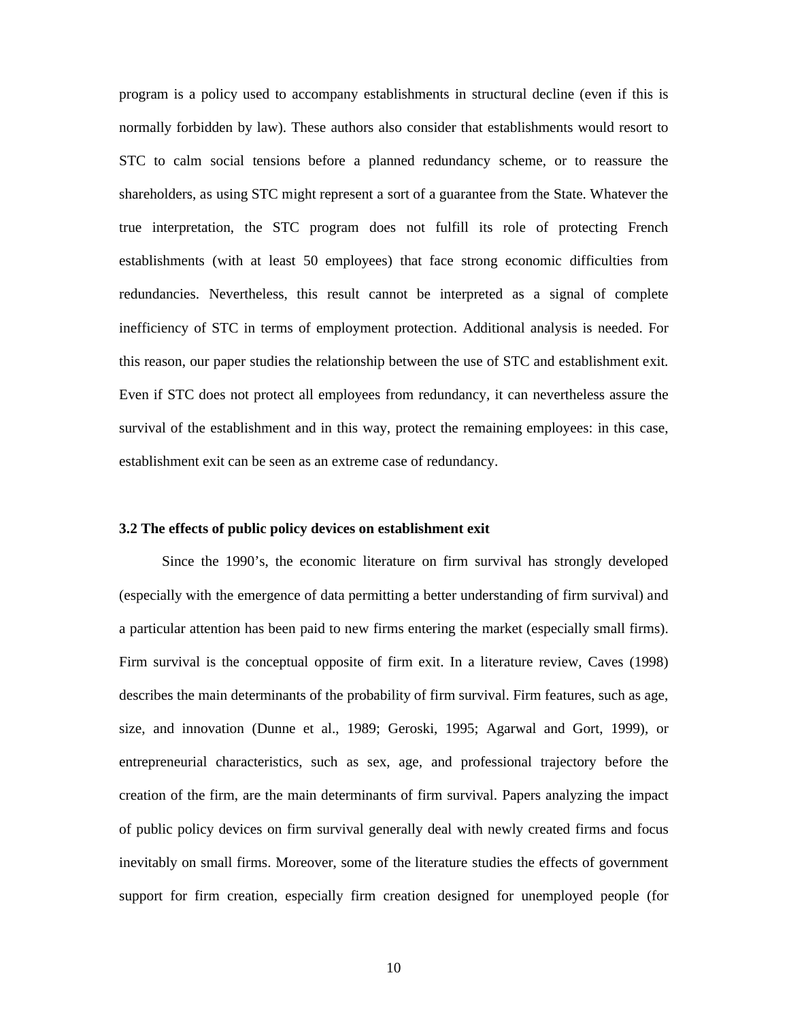program is a policy used to accompany establishments in structural decline (even if this is normally forbidden by law). These authors also consider that establishments would resort to STC to calm social tensions before a planned redundancy scheme, or to reassure the shareholders, as using STC might represent a sort of a guarantee from the State. Whatever the true interpretation, the STC program does not fulfill its role of protecting French establishments (with at least 50 employees) that face strong economic difficulties from redundancies. Nevertheless, this result cannot be interpreted as a signal of complete inefficiency of STC in terms of employment protection. Additional analysis is needed. For this reason, our paper studies the relationship between the use of STC and establishment exit. Even if STC does not protect all employees from redundancy, it can nevertheless assure the survival of the establishment and in this way, protect the remaining employees: in this case, establishment exit can be seen as an extreme case of redundancy.

#### **3.2 The effects of public policy devices on establishment exit**

Since the 1990's, the economic literature on firm survival has strongly developed (especially with the emergence of data permitting a better understanding of firm survival) and a particular attention has been paid to new firms entering the market (especially small firms). Firm survival is the conceptual opposite of firm exit. In a literature review, Caves (1998) describes the main determinants of the probability of firm survival. Firm features, such as age, size, and innovation (Dunne et al., 1989; Geroski, 1995; Agarwal and Gort, 1999), or entrepreneurial characteristics, such as sex, age, and professional trajectory before the creation of the firm, are the main determinants of firm survival. Papers analyzing the impact of public policy devices on firm survival generally deal with newly created firms and focus inevitably on small firms. Moreover, some of the literature studies the effects of government support for firm creation, especially firm creation designed for unemployed people (for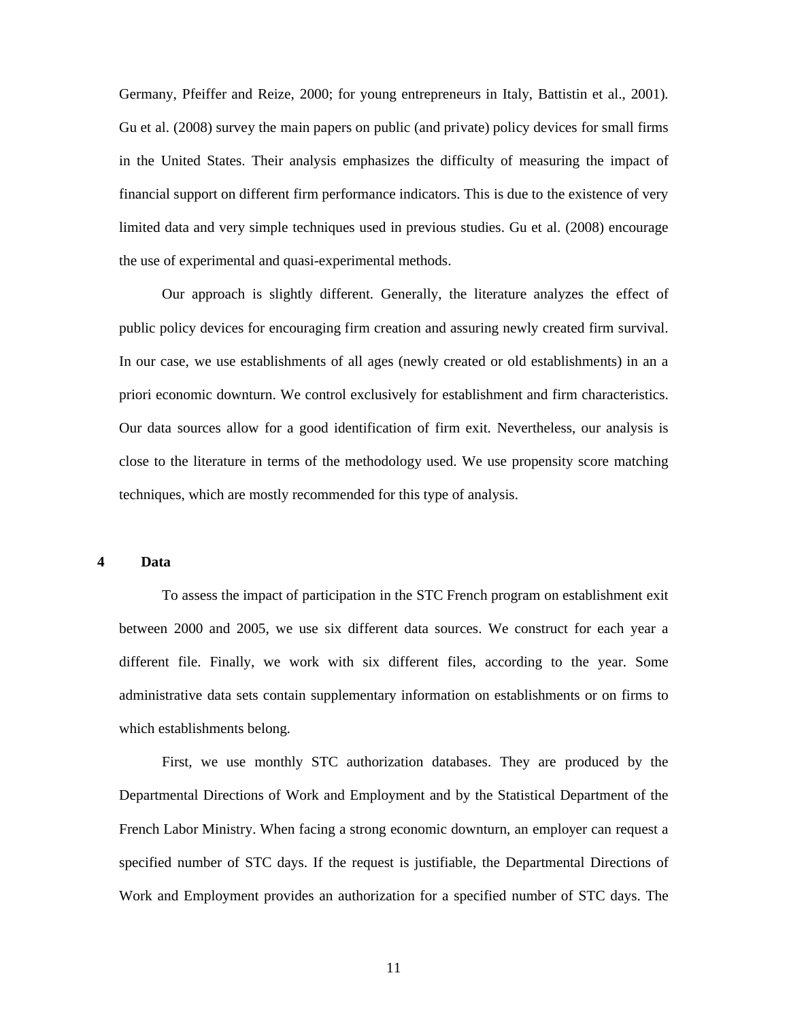Germany, Pfeiffer and Reize, 2000; for young entrepreneurs in Italy, Battistin et al., 2001). Gu et al. (2008) survey the main papers on public (and private) policy devices for small firms in the United States. Their analysis emphasizes the difficulty of measuring the impact of financial support on different firm performance indicators. This is due to the existence of very limited data and very simple techniques used in previous studies. Gu et al. (2008) encourage the use of experimental and quasi-experimental methods.

Our approach is slightly different. Generally, the literature analyzes the effect of public policy devices for encouraging firm creation and assuring newly created firm survival. In our case, we use establishments of all ages (newly created or old establishments) in an a priori economic downturn. We control exclusively for establishment and firm characteristics. Our data sources allow for a good identification of firm exit. Nevertheless, our analysis is close to the literature in terms of the methodology used. We use propensity score matching techniques, which are mostly recommended for this type of analysis.

## **4 Data**

To assess the impact of participation in the STC French program on establishment exit between 2000 and 2005, we use six different data sources. We construct for each year a different file. Finally, we work with six different files, according to the year. Some administrative data sets contain supplementary information on establishments or on firms to which establishments belong.

First, we use monthly STC authorization databases. They are produced by the Departmental Directions of Work and Employment and by the Statistical Department of the French Labor Ministry. When facing a strong economic downturn, an employer can request a specified number of STC days. If the request is justifiable, the Departmental Directions of Work and Employment provides an authorization for a specified number of STC days. The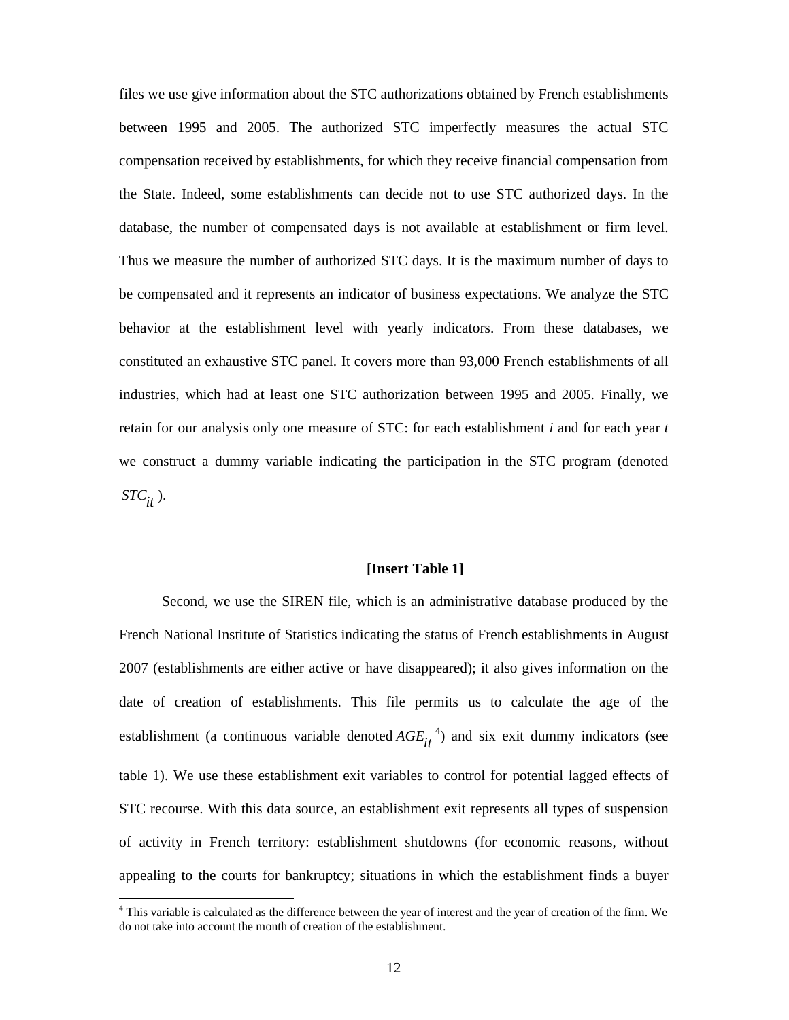files we use give information about the STC authorizations obtained by French establishments between 1995 and 2005. The authorized STC imperfectly measures the actual STC compensation received by establishments, for which they receive financial compensation from the State. Indeed, some establishments can decide not to use STC authorized days. In the database, the number of compensated days is not available at establishment or firm level. Thus we measure the number of authorized STC days. It is the maximum number of days to be compensated and it represents an indicator of business expectations. We analyze the STC behavior at the establishment level with yearly indicators. From these databases, we constituted an exhaustive STC panel. It covers more than 93,000 French establishments of all industries, which had at least one STC authorization between 1995 and 2005. Finally, we retain for our analysis only one measure of STC: for each establishment *i* and for each year *t* we construct a dummy variable indicating the participation in the STC program (denoted *STCit* ).

#### **[Insert Table 1]**

Second, we use the SIREN file, which is an administrative database produced by the French National Institute of Statistics indicating the status of French establishments in August 2007 (establishments are either active or have disappeared); it also gives information on the date of creation of establishments. This file permits us to calculate the age of the establishment (a continuous variable denoted  $AGE_{it}^{4}$ ) and six exit dummy indicators (see table 1). We use these establishment exit variables to control for potential lagged effects of STC recourse. With this data source, an establishment exit represents all types of suspension of activity in French territory: establishment shutdowns (for economic reasons, without appealing to the courts for bankruptcy; situations in which the establishment finds a buyer

<sup>4</sup> This variable is calculated as the difference between the year of interest and the year of creation of the firm. We do not take into account the month of creation of the establishment.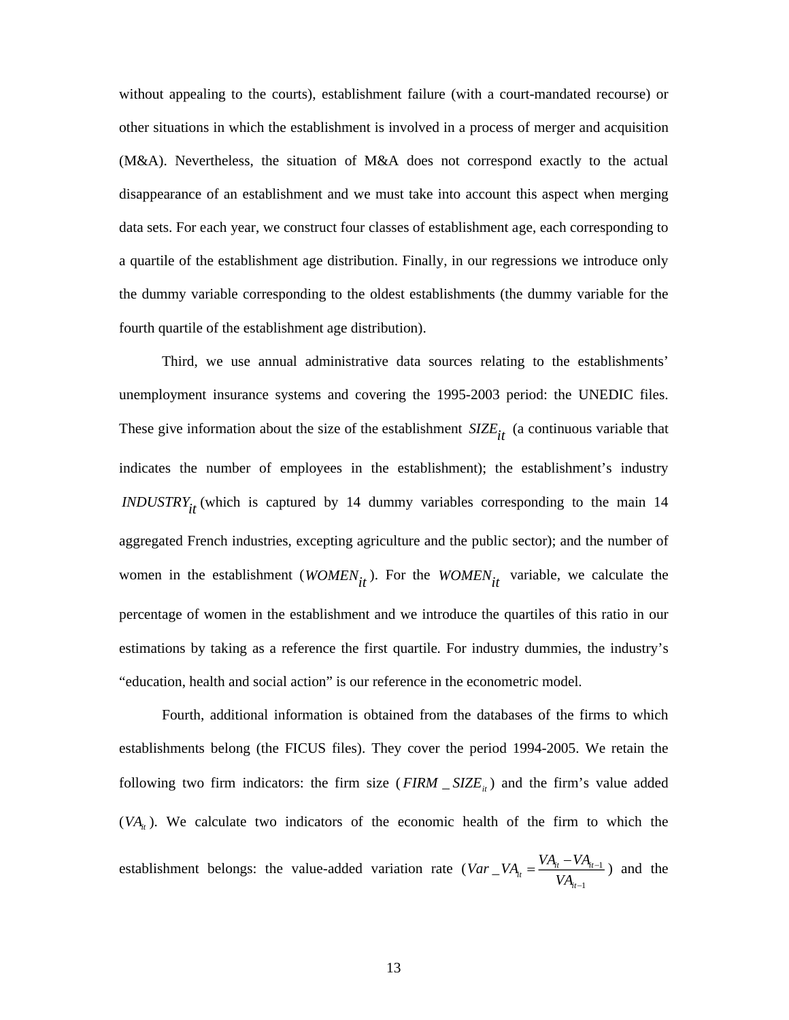without appealing to the courts), establishment failure (with a court-mandated recourse) or other situations in which the establishment is involved in a process of merger and acquisition (M&A). Nevertheless, the situation of M&A does not correspond exactly to the actual disappearance of an establishment and we must take into account this aspect when merging data sets. For each year, we construct four classes of establishment age, each corresponding to a quartile of the establishment age distribution. Finally, in our regressions we introduce only the dummy variable corresponding to the oldest establishments (the dummy variable for the fourth quartile of the establishment age distribution).

Third, we use annual administrative data sources relating to the establishments' unemployment insurance systems and covering the 1995-2003 period: the UNEDIC files. These give information about the size of the establishment  $SIZE_{it}$  (a continuous variable that indicates the number of employees in the establishment); the establishment's industry *INDUSTRYit* (which is captured by 14 dummy variables corresponding to the main 14 aggregated French industries, excepting agriculture and the public sector); and the number of women in the establishment ( $WOMEN_{it}$ ). For the  $WOMEN_{it}$  variable, we calculate the percentage of women in the establishment and we introduce the quartiles of this ratio in our estimations by taking as a reference the first quartile. For industry dummies, the industry's "education, health and social action" is our reference in the econometric model.

Fourth, additional information is obtained from the databases of the firms to which establishments belong (the FICUS files). They cover the period 1994-2005. We retain the following two firm indicators: the firm size  $(FIRM \_ SIZE_{it})$  and the firm's value added  $(VA<sub>i</sub>)$ . We calculate two indicators of the economic health of the firm to which the establishment belongs: the value-added variation rate  $(Var_{-}VA_{ii} = \frac{V A_{ii} + V A_{ii-1}}{V A_{ii}})$ 1  $\frac{V A_{it}}{V A_{it}} = \frac{V A_{it} V A_{it}}{V A_{it}}$ *it*  $Var\_VA_i = \frac{VA_{it} - VA_i}{V}$ *VA* ÷ - $=\frac{VA_{it} - VA_{it-1}}{A_{it-1}}$  and the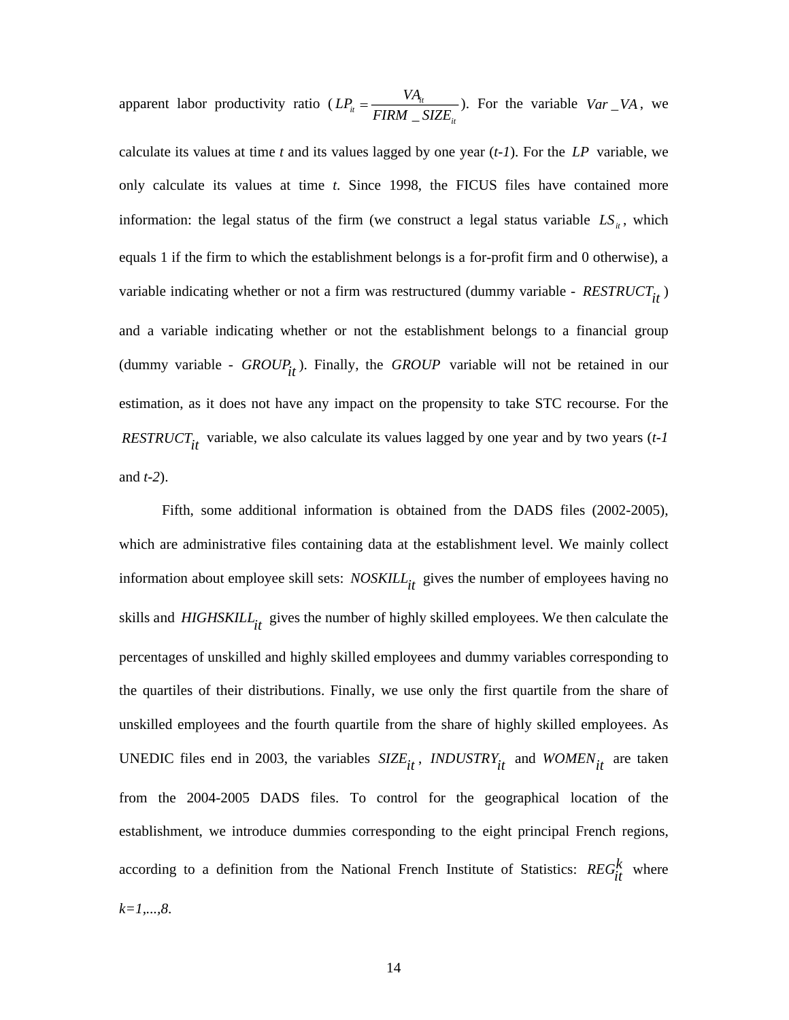apparent labor productivity ratio ( $LP_{ii} = \frac{V A_{ii}}{FIRM}$ *it*  $LP_{ii} = \frac{VA_{ii}}{FIRM - SIZE_{ii}}$ ). For the variable  $Var\_VA$ , we

calculate its values at time *t* and its values lagged by one year (*t-1*). For the *LP* variable, we only calculate its values at time *t*. Since 1998, the FICUS files have contained more information: the legal status of the firm (we construct a legal status variable  $LS_{it}$ , which equals 1 if the firm to which the establishment belongs is a for-profit firm and 0 otherwise), a variable indicating whether or not a firm was restructured (dummy variable -  $RESTRUCT_{it}$ ) and a variable indicating whether or not the establishment belongs to a financial group (dummy variable -  $GROUP$ <sub>it</sub>). Finally, the *GROUP* variable will not be retained in our estimation, as it does not have any impact on the propensity to take STC recourse. For the *RESTRUCT<sub>it</sub>* variable, we also calculate its values lagged by one year and by two years (*t-1* and *t-2*).

Fifth, some additional information is obtained from the DADS files (2002-2005), which are administrative files containing data at the establishment level. We mainly collect information about employee skill sets: *NOSKILL*<sub>it</sub> gives the number of employees having no skills and *HIGHSKILL<sub>it</sub>* gives the number of highly skilled employees. We then calculate the percentages of unskilled and highly skilled employees and dummy variables corresponding to the quartiles of their distributions. Finally, we use only the first quartile from the share of unskilled employees and the fourth quartile from the share of highly skilled employees. As UNEDIC files end in 2003, the variables  $SIZE_{it}$ , *INDUSTRY<sub>it</sub>* and  $WOMEN_{it}$  are taken from the 2004-2005 DADS files. To control for the geographical location of the establishment, we introduce dummies corresponding to the eight principal French regions, according to a definition from the National French Institute of Statistics:  $REG_{it}^{k}$  where *k=1,...,8*.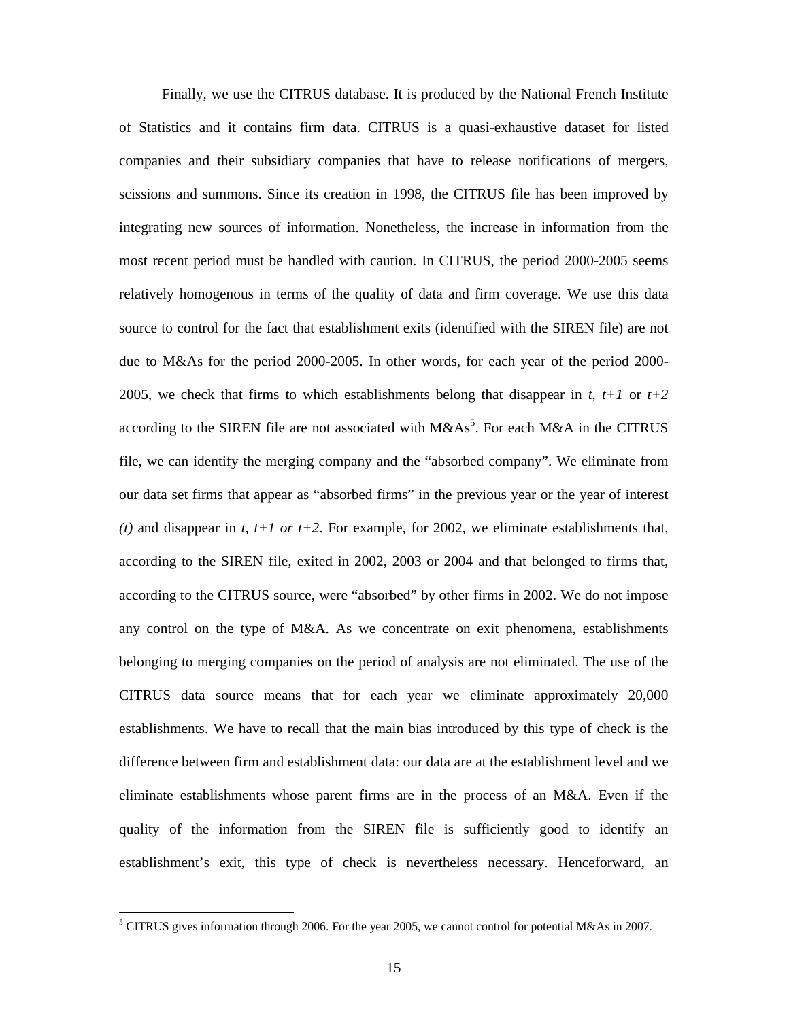Finally, we use the CITRUS database. It is produced by the National French Institute of Statistics and it contains firm data. CITRUS is a quasi-exhaustive dataset for listed companies and their subsidiary companies that have to release notifications of mergers, scissions and summons. Since its creation in 1998, the CITRUS file has been improved by integrating new sources of information. Nonetheless, the increase in information from the most recent period must be handled with caution. In CITRUS, the period 2000-2005 seems relatively homogenous in terms of the quality of data and firm coverage. We use this data source to control for the fact that establishment exits (identified with the SIREN file) are not due to M&As for the period 2000-2005. In other words, for each year of the period 2000- 2005, we check that firms to which establishments belong that disappear in  $t$ ,  $t+1$  or  $t+2$ according to the SIREN file are not associated with  $M&As^5$ . For each  $M&A$  in the CITRUS file, we can identify the merging company and the "absorbed company". We eliminate from our data set firms that appear as "absorbed firms" in the previous year or the year of interest (*t*) and disappear in *t*,  $t+1$  *or*  $t+2$ . For example, for 2002, we eliminate establishments that, according to the SIREN file, exited in 2002, 2003 or 2004 and that belonged to firms that, according to the CITRUS source, were "absorbed" by other firms in 2002. We do not impose any control on the type of M&A. As we concentrate on exit phenomena, establishments belonging to merging companies on the period of analysis are not eliminated. The use of the CITRUS data source means that for each year we eliminate approximately 20,000 establishments. We have to recall that the main bias introduced by this type of check is the difference between firm and establishment data: our data are at the establishment level and we eliminate establishments whose parent firms are in the process of an M&A. Even if the quality of the information from the SIREN file is sufficiently good to identify an establishment's exit, this type of check is nevertheless necessary. Henceforward, an

 $5$  CITRUS gives information through 2006. For the year 2005, we cannot control for potential M&As in 2007.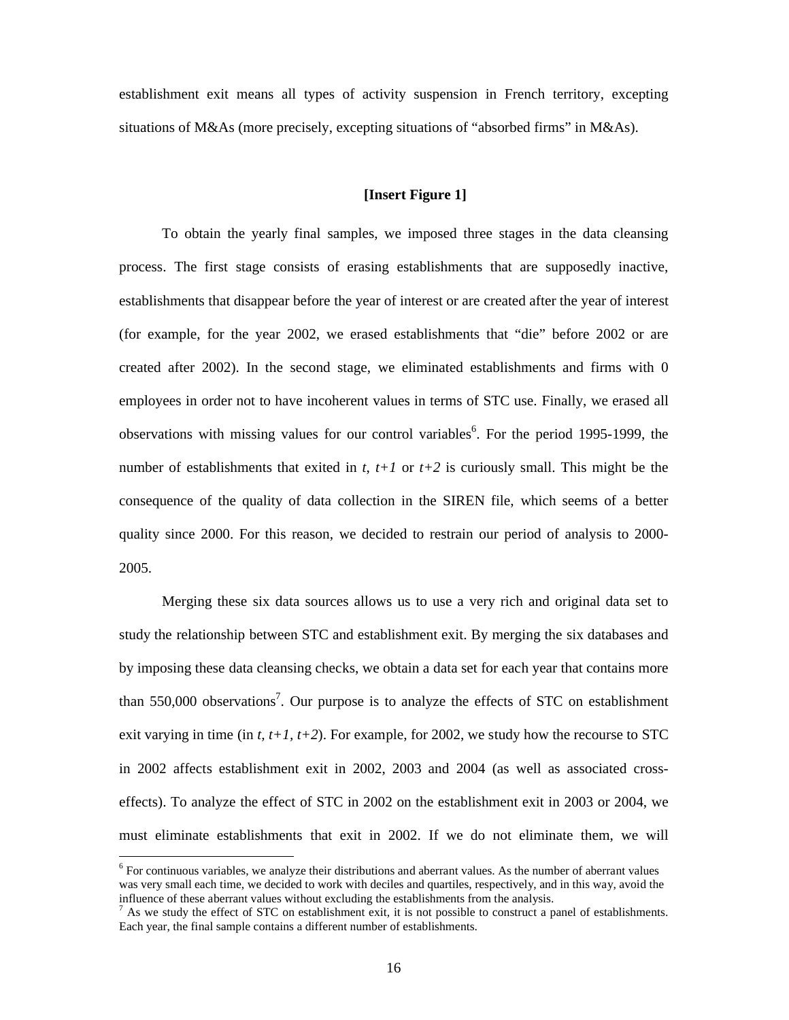establishment exit means all types of activity suspension in French territory, excepting situations of M&As (more precisely, excepting situations of "absorbed firms" in M&As).

#### **[Insert Figure 1]**

To obtain the yearly final samples, we imposed three stages in the data cleansing process. The first stage consists of erasing establishments that are supposedly inactive, establishments that disappear before the year of interest or are created after the year of interest (for example, for the year 2002, we erased establishments that "die" before 2002 or are created after 2002). In the second stage, we eliminated establishments and firms with 0 employees in order not to have incoherent values in terms of STC use. Finally, we erased all observations with missing values for our control variables<sup>6</sup>. For the period 1995-1999, the number of establishments that exited in  $t$ ,  $t+1$  or  $t+2$  is curiously small. This might be the consequence of the quality of data collection in the SIREN file, which seems of a better quality since 2000. For this reason, we decided to restrain our period of analysis to 2000- 2005.

Merging these six data sources allows us to use a very rich and original data set to study the relationship between STC and establishment exit. By merging the six databases and by imposing these data cleansing checks, we obtain a data set for each year that contains more than  $550,000$  observations<sup>7</sup>. Our purpose is to analyze the effects of STC on establishment exit varying in time (in  $t$ ,  $t+1$ ,  $t+2$ ). For example, for 2002, we study how the recourse to STC in 2002 affects establishment exit in 2002, 2003 and 2004 (as well as associated crosseffects). To analyze the effect of STC in 2002 on the establishment exit in 2003 or 2004, we must eliminate establishments that exit in 2002. If we do not eliminate them, we will

<sup>&</sup>lt;sup>6</sup> For continuous variables, we analyze their distributions and aberrant values. As the number of aberrant values was very small each time, we decided to work with deciles and quartiles, respectively, and in this way, avoid the influence of these aberrant values without excluding the establishments from the analysis.

 $<sup>7</sup>$  As we study the effect of STC on establishment exit, it is not possible to construct a panel of establishments.</sup> Each year, the final sample contains a different number of establishments.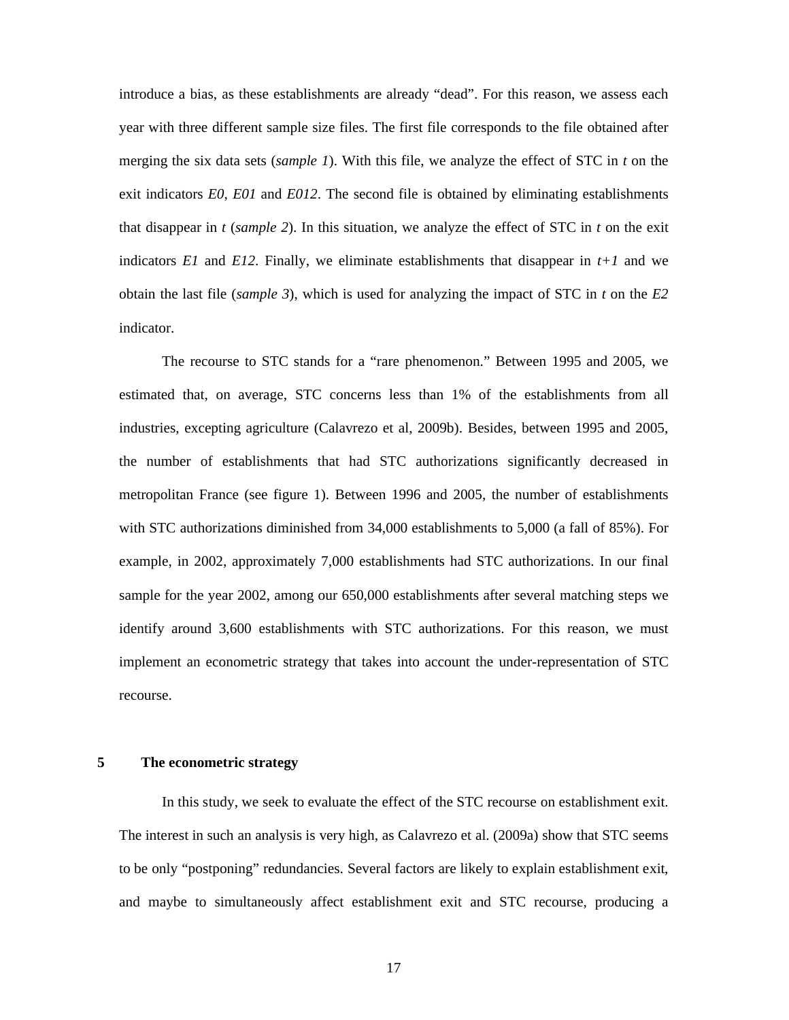introduce a bias, as these establishments are already "dead". For this reason, we assess each year with three different sample size files. The first file corresponds to the file obtained after merging the six data sets (*sample 1*). With this file, we analyze the effect of STC in *t* on the exit indicators *E0*, *E01* and *E012*. The second file is obtained by eliminating establishments that disappear in *t* (*sample 2*). In this situation, we analyze the effect of STC in *t* on the exit indicators *E1* and *E12*. Finally, we eliminate establishments that disappear in  $t+1$  and we obtain the last file (*sample 3*), which is used for analyzing the impact of STC in *t* on the *E2* indicator.

The recourse to STC stands for a "rare phenomenon." Between 1995 and 2005, we estimated that, on average, STC concerns less than 1% of the establishments from all industries, excepting agriculture (Calavrezo et al, 2009b). Besides, between 1995 and 2005, the number of establishments that had STC authorizations significantly decreased in metropolitan France (see figure 1). Between 1996 and 2005, the number of establishments with STC authorizations diminished from 34,000 establishments to 5,000 (a fall of 85%). For example, in 2002, approximately 7,000 establishments had STC authorizations. In our final sample for the year 2002, among our 650,000 establishments after several matching steps we identify around 3,600 establishments with STC authorizations. For this reason, we must implement an econometric strategy that takes into account the under-representation of STC recourse.

## **5 The econometric strategy**

In this study, we seek to evaluate the effect of the STC recourse on establishment exit. The interest in such an analysis is very high, as Calavrezo et al. (2009a) show that STC seems to be only "postponing" redundancies. Several factors are likely to explain establishment exit, and maybe to simultaneously affect establishment exit and STC recourse, producing a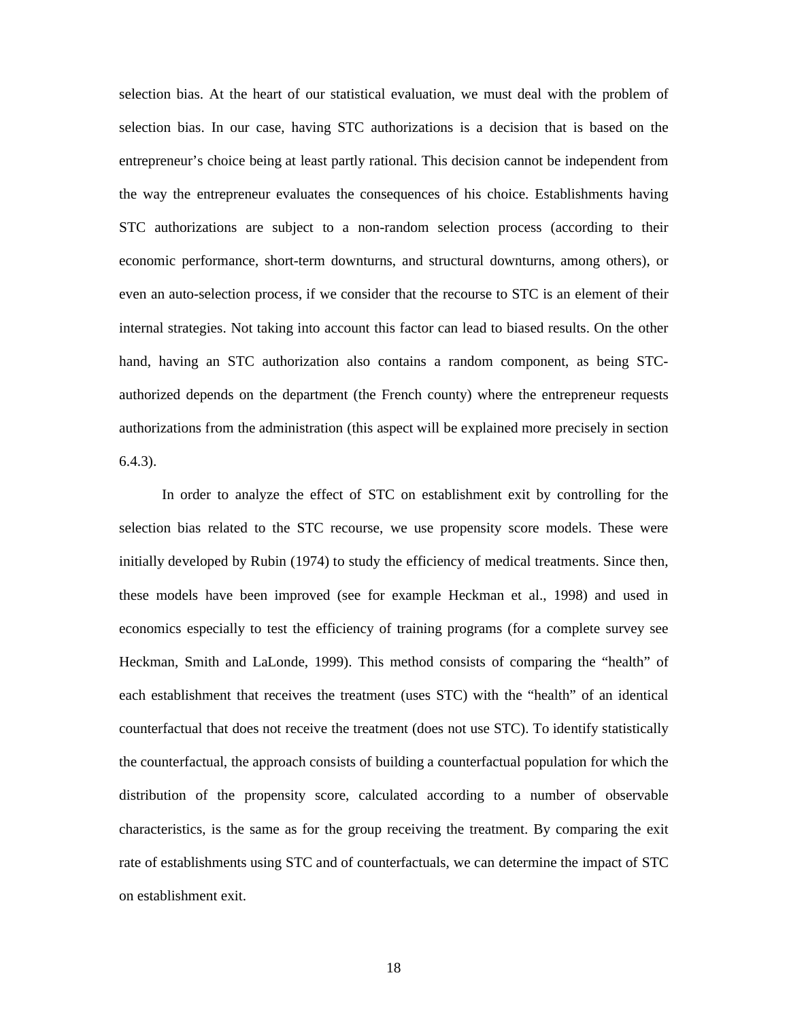selection bias. At the heart of our statistical evaluation, we must deal with the problem of selection bias. In our case, having STC authorizations is a decision that is based on the entrepreneur's choice being at least partly rational. This decision cannot be independent from the way the entrepreneur evaluates the consequences of his choice. Establishments having STC authorizations are subject to a non-random selection process (according to their economic performance, short-term downturns, and structural downturns, among others), or even an auto-selection process, if we consider that the recourse to STC is an element of their internal strategies. Not taking into account this factor can lead to biased results. On the other hand, having an STC authorization also contains a random component, as being STCauthorized depends on the department (the French county) where the entrepreneur requests authorizations from the administration (this aspect will be explained more precisely in section 6.4.3).

In order to analyze the effect of STC on establishment exit by controlling for the selection bias related to the STC recourse, we use propensity score models. These were initially developed by Rubin (1974) to study the efficiency of medical treatments. Since then, these models have been improved (see for example Heckman et al., 1998) and used in economics especially to test the efficiency of training programs (for a complete survey see Heckman, Smith and LaLonde, 1999). This method consists of comparing the "health" of each establishment that receives the treatment (uses STC) with the "health" of an identical counterfactual that does not receive the treatment (does not use STC). To identify statistically the counterfactual, the approach consists of building a counterfactual population for which the distribution of the propensity score, calculated according to a number of observable characteristics, is the same as for the group receiving the treatment. By comparing the exit rate of establishments using STC and of counterfactuals, we can determine the impact of STC on establishment exit.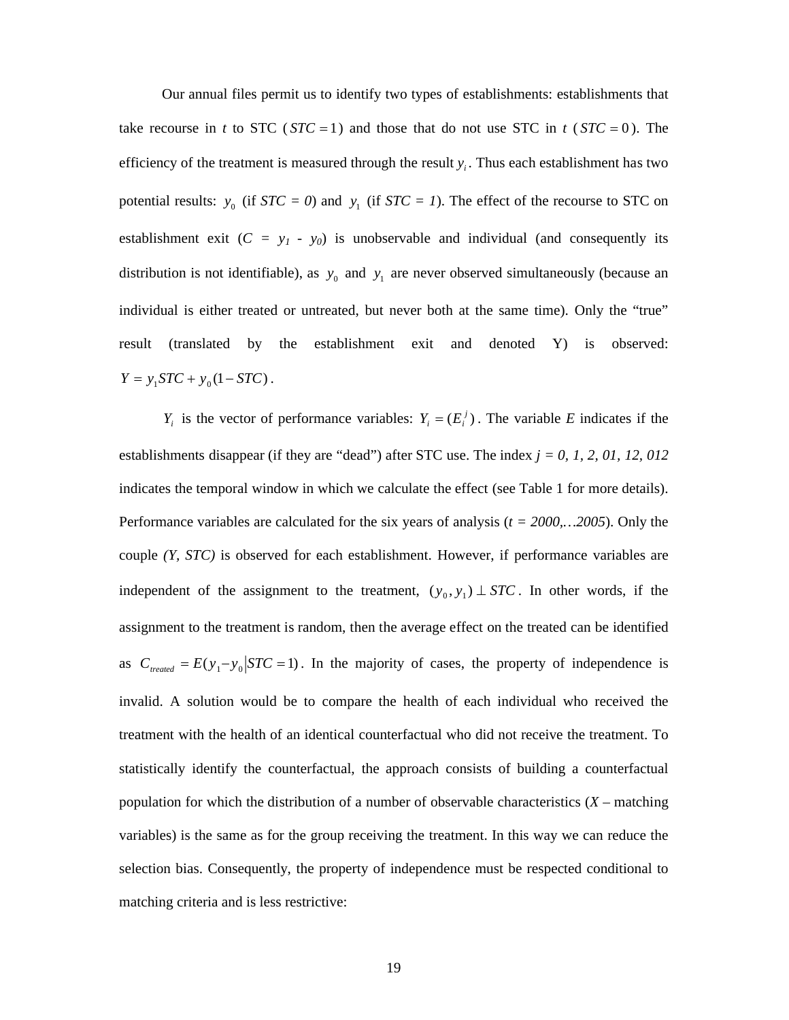Our annual files permit us to identify two types of establishments: establishments that take recourse in *t* to STC ( $STC = 1$ ) and those that do not use STC in *t* ( $STC = 0$ ). The efficiency of the treatment is measured through the result  $y_i$ . Thus each establishment has two potential results:  $y_0$  (if  $STC = 0$ ) and  $y_1$  (if  $STC = 1$ ). The effect of the recourse to STC on establishment exit  $(C = y_1 - y_0)$  is unobservable and individual (and consequently its distribution is not identifiable), as  $y_0$  and  $y_1$  are never observed simultaneously (because an individual is either treated or untreated, but never both at the same time). Only the "true" result (translated by the establishment exit and denoted Y) is observed:  $Y = y_1 STC + y_0 (1 - STC)$ .

 $Y_i$  is the vector of performance variables:  $Y_i = (E_i^j)$ . The variable *E* indicates if the establishments disappear (if they are "dead") after STC use. The index *j = 0, 1, 2, 01, 12, 012* indicates the temporal window in which we calculate the effect (see Table 1 for more details). Performance variables are calculated for the six years of analysis (*t = 2000,…2005*). Only the couple *(Y, STC)* is observed for each establishment. However, if performance variables are independent of the assignment to the treatment,  $(y_0, y_1) \perp STC$ . In other words, if the assignment to the treatment is random, then the average effect on the treated can be identified as  $C_{treated} = E(y_1 - y_0 | STC = 1)$ . In the majority of cases, the property of independence is invalid. A solution would be to compare the health of each individual who received the treatment with the health of an identical counterfactual who did not receive the treatment. To statistically identify the counterfactual, the approach consists of building a counterfactual population for which the distribution of a number of observable characteristics  $(X - \text{matching})$ variables) is the same as for the group receiving the treatment. In this way we can reduce the selection bias. Consequently, the property of independence must be respected conditional to matching criteria and is less restrictive: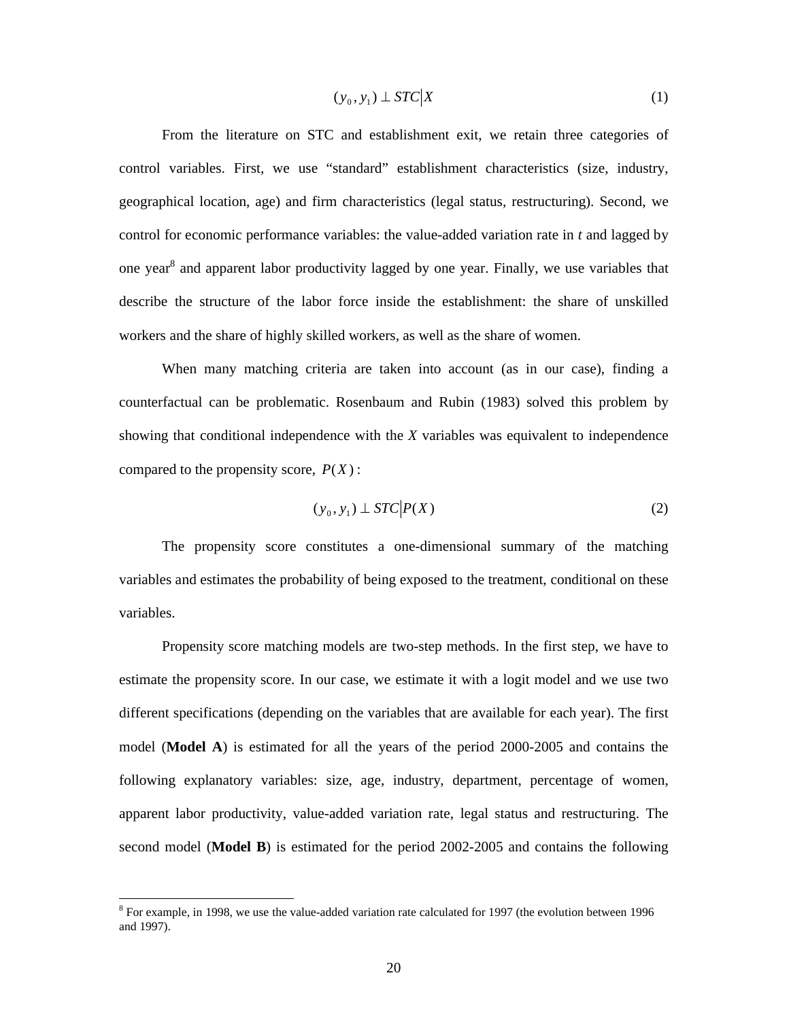$$
(y_0, y_1) \perp STC|X \tag{1}
$$

From the literature on STC and establishment exit, we retain three categories of control variables. First, we use "standard" establishment characteristics (size, industry, geographical location, age) and firm characteristics (legal status, restructuring). Second, we control for economic performance variables: the value-added variation rate in *t* and lagged by one year<sup>8</sup> and apparent labor productivity lagged by one year. Finally, we use variables that describe the structure of the labor force inside the establishment: the share of unskilled workers and the share of highly skilled workers, as well as the share of women.

When many matching criteria are taken into account (as in our case), finding a counterfactual can be problematic. Rosenbaum and Rubin (1983) solved this problem by showing that conditional independence with the *X* variables was equivalent to independence compared to the propensity score,  $P(X)$ :

$$
(y_0, y_1) \perp STC \big| P(X) \tag{2}
$$

The propensity score constitutes a one-dimensional summary of the matching variables and estimates the probability of being exposed to the treatment, conditional on these variables.

Propensity score matching models are two-step methods. In the first step, we have to estimate the propensity score. In our case, we estimate it with a logit model and we use two different specifications (depending on the variables that are available for each year). The first model (**Model A**) is estimated for all the years of the period 2000-2005 and contains the following explanatory variables: size, age, industry, department, percentage of women, apparent labor productivity, value-added variation rate, legal status and restructuring. The second model (**Model B**) is estimated for the period 2002-2005 and contains the following

 $8$  For example, in 1998, we use the value-added variation rate calculated for 1997 (the evolution between 1996 and 1997).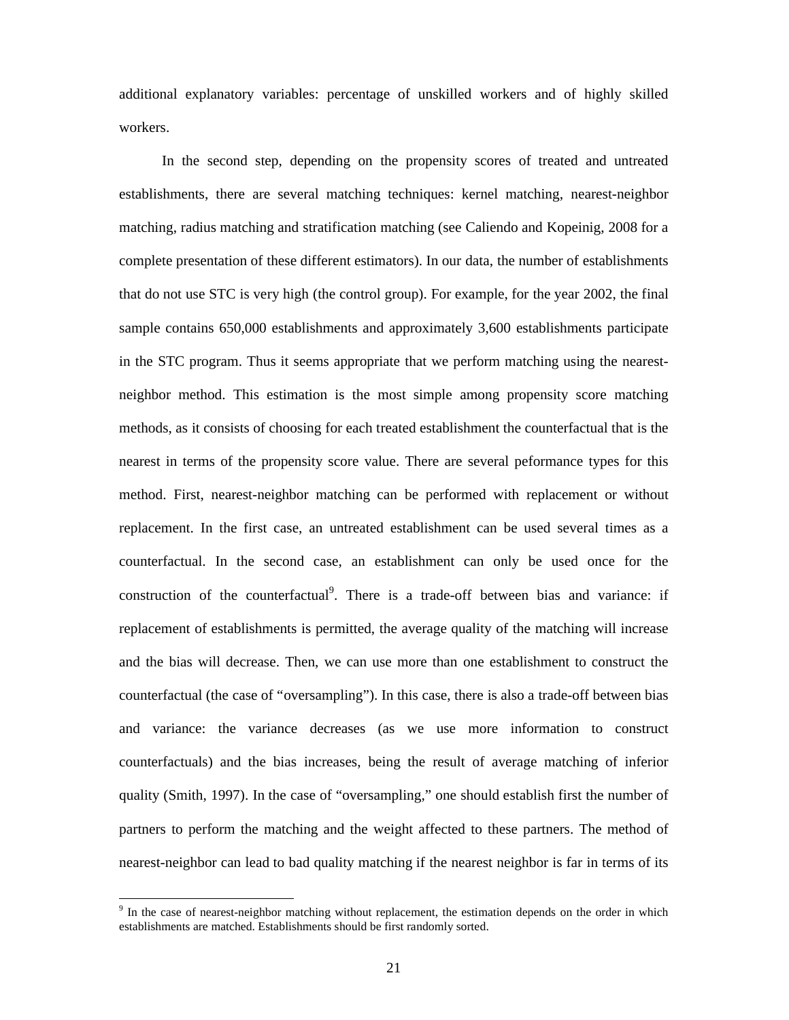additional explanatory variables: percentage of unskilled workers and of highly skilled workers.

In the second step, depending on the propensity scores of treated and untreated establishments, there are several matching techniques: kernel matching, nearest-neighbor matching, radius matching and stratification matching (see Caliendo and Kopeinig, 2008 for a complete presentation of these different estimators). In our data, the number of establishments that do not use STC is very high (the control group). For example, for the year 2002, the final sample contains 650,000 establishments and approximately 3,600 establishments participate in the STC program. Thus it seems appropriate that we perform matching using the nearestneighbor method. This estimation is the most simple among propensity score matching methods, as it consists of choosing for each treated establishment the counterfactual that is the nearest in terms of the propensity score value. There are several peformance types for this method. First, nearest-neighbor matching can be performed with replacement or without replacement. In the first case, an untreated establishment can be used several times as a counterfactual. In the second case, an establishment can only be used once for the construction of the counterfactual<sup>9</sup>. There is a trade-off between bias and variance: if replacement of establishments is permitted, the average quality of the matching will increase and the bias will decrease. Then, we can use more than one establishment to construct the counterfactual (the case of "oversampling"). In this case, there is also a trade-off between bias and variance: the variance decreases (as we use more information to construct counterfactuals) and the bias increases, being the result of average matching of inferior quality (Smith, 1997). In the case of "oversampling," one should establish first the number of partners to perform the matching and the weight affected to these partners. The method of nearest-neighbor can lead to bad quality matching if the nearest neighbor is far in terms of its

<sup>&</sup>lt;sup>9</sup> In the case of nearest-neighbor matching without replacement, the estimation depends on the order in which establishments are matched. Establishments should be first randomly sorted.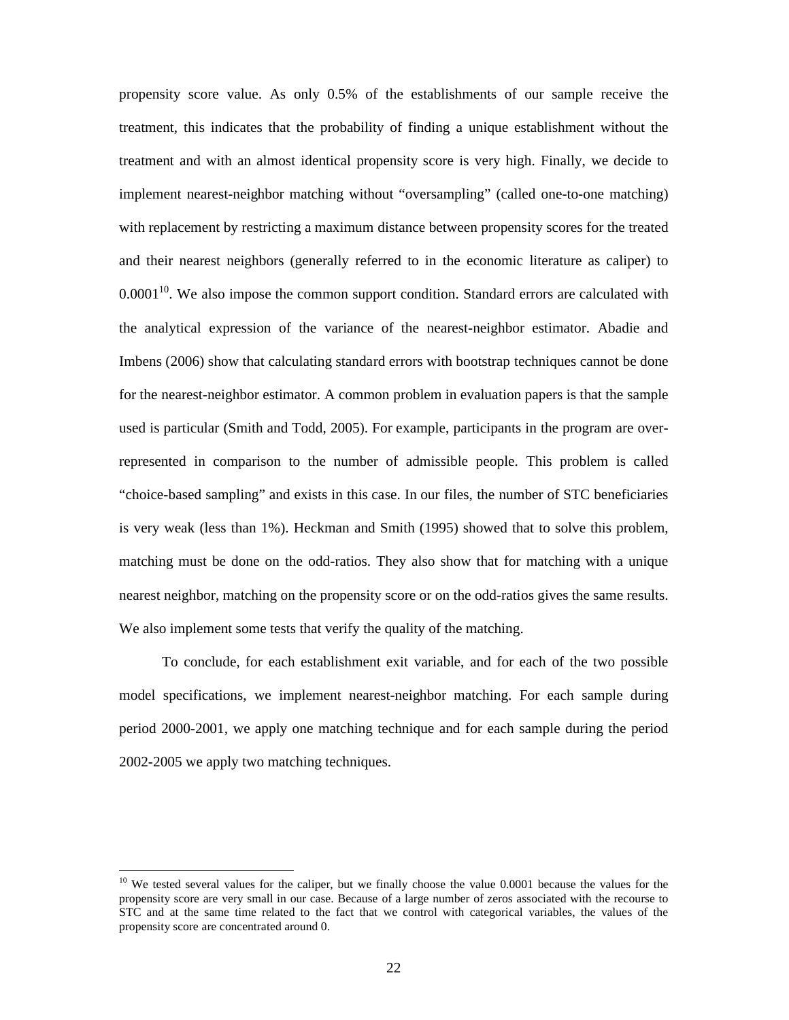propensity score value. As only 0.5% of the establishments of our sample receive the treatment, this indicates that the probability of finding a unique establishment without the treatment and with an almost identical propensity score is very high. Finally, we decide to implement nearest-neighbor matching without "oversampling" (called one-to-one matching) with replacement by restricting a maximum distance between propensity scores for the treated and their nearest neighbors (generally referred to in the economic literature as caliper) to  $0.0001<sup>10</sup>$ . We also impose the common support condition. Standard errors are calculated with the analytical expression of the variance of the nearest-neighbor estimator. Abadie and Imbens (2006) show that calculating standard errors with bootstrap techniques cannot be done for the nearest-neighbor estimator. A common problem in evaluation papers is that the sample used is particular (Smith and Todd, 2005). For example, participants in the program are overrepresented in comparison to the number of admissible people. This problem is called "choice-based sampling" and exists in this case. In our files, the number of STC beneficiaries is very weak (less than 1%). Heckman and Smith (1995) showed that to solve this problem, matching must be done on the odd-ratios. They also show that for matching with a unique nearest neighbor, matching on the propensity score or on the odd-ratios gives the same results. We also implement some tests that verify the quality of the matching.

To conclude, for each establishment exit variable, and for each of the two possible model specifications, we implement nearest-neighbor matching. For each sample during period 2000-2001, we apply one matching technique and for each sample during the period 2002-2005 we apply two matching techniques.

<sup>&</sup>lt;sup>10</sup> We tested several values for the caliper, but we finally choose the value 0.0001 because the values for the propensity score are very small in our case. Because of a large number of zeros associated with the recourse to STC and at the same time related to the fact that we control with categorical variables, the values of the propensity score are concentrated around 0.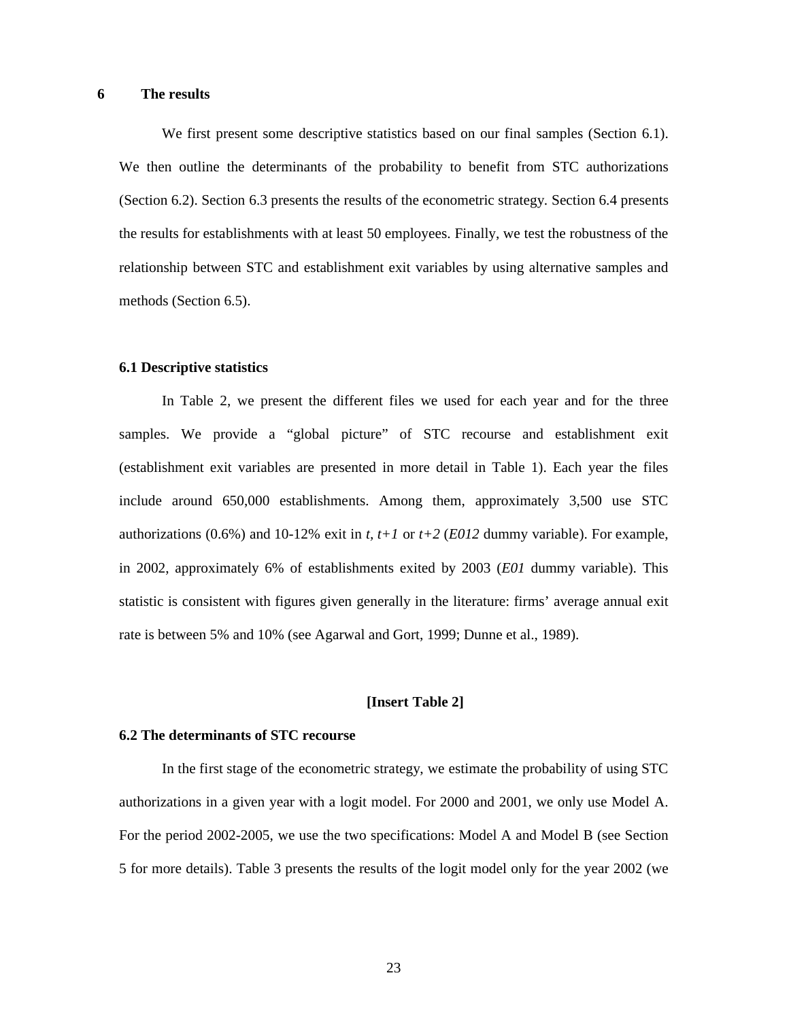# **6 The results**

We first present some descriptive statistics based on our final samples (Section 6.1). We then outline the determinants of the probability to benefit from STC authorizations (Section 6.2). Section 6.3 presents the results of the econometric strategy. Section 6.4 presents the results for establishments with at least 50 employees. Finally, we test the robustness of the relationship between STC and establishment exit variables by using alternative samples and methods (Section 6.5).

### **6.1 Descriptive statistics**

In Table 2, we present the different files we used for each year and for the three samples. We provide a "global picture" of STC recourse and establishment exit (establishment exit variables are presented in more detail in Table 1). Each year the files include around 650,000 establishments. Among them, approximately 3,500 use STC authorizations (0.6%) and 10-12% exit in *t, t+1* or *t+2* (*E012* dummy variable). For example, in 2002, approximately 6% of establishments exited by 2003 (*E01* dummy variable). This statistic is consistent with figures given generally in the literature: firms' average annual exit rate is between 5% and 10% (see Agarwal and Gort, 1999; Dunne et al., 1989).

## **[Insert Table 2]**

#### **6.2 The determinants of STC recourse**

In the first stage of the econometric strategy, we estimate the probability of using STC authorizations in a given year with a logit model. For 2000 and 2001, we only use Model A. For the period 2002-2005, we use the two specifications: Model A and Model B (see Section 5 for more details). Table 3 presents the results of the logit model only for the year 2002 (we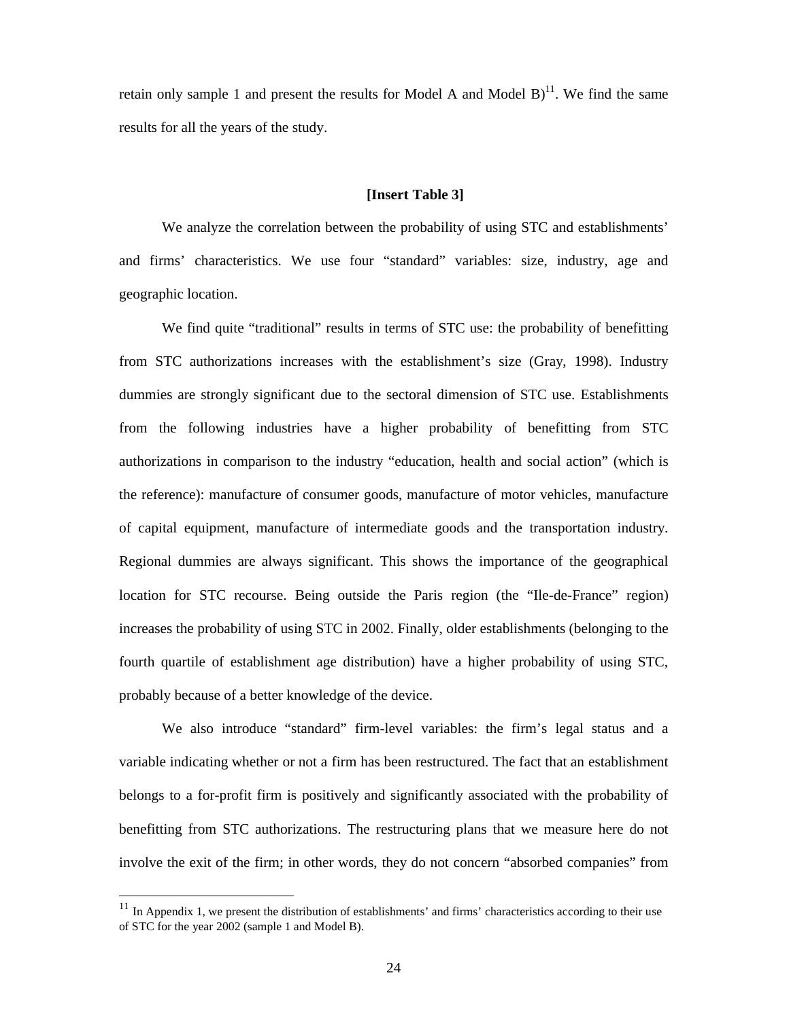retain only sample 1 and present the results for Model A and Model B $)^{11}$ . We find the same results for all the years of the study.

#### **[Insert Table 3]**

We analyze the correlation between the probability of using STC and establishments' and firms' characteristics. We use four "standard" variables: size, industry, age and geographic location.

We find quite "traditional" results in terms of STC use: the probability of benefitting from STC authorizations increases with the establishment's size (Gray, 1998). Industry dummies are strongly significant due to the sectoral dimension of STC use. Establishments from the following industries have a higher probability of benefitting from STC authorizations in comparison to the industry "education, health and social action" (which is the reference): manufacture of consumer goods, manufacture of motor vehicles, manufacture of capital equipment, manufacture of intermediate goods and the transportation industry. Regional dummies are always significant. This shows the importance of the geographical location for STC recourse. Being outside the Paris region (the "Ile-de-France" region) increases the probability of using STC in 2002. Finally, older establishments (belonging to the fourth quartile of establishment age distribution) have a higher probability of using STC, probably because of a better knowledge of the device.

We also introduce "standard" firm-level variables: the firm's legal status and a variable indicating whether or not a firm has been restructured. The fact that an establishment belongs to a for-profit firm is positively and significantly associated with the probability of benefitting from STC authorizations. The restructuring plans that we measure here do not involve the exit of the firm; in other words, they do not concern "absorbed companies" from

 $11$  In Appendix 1, we present the distribution of establishments' and firms' characteristics according to their use of STC for the year 2002 (sample 1 and Model B).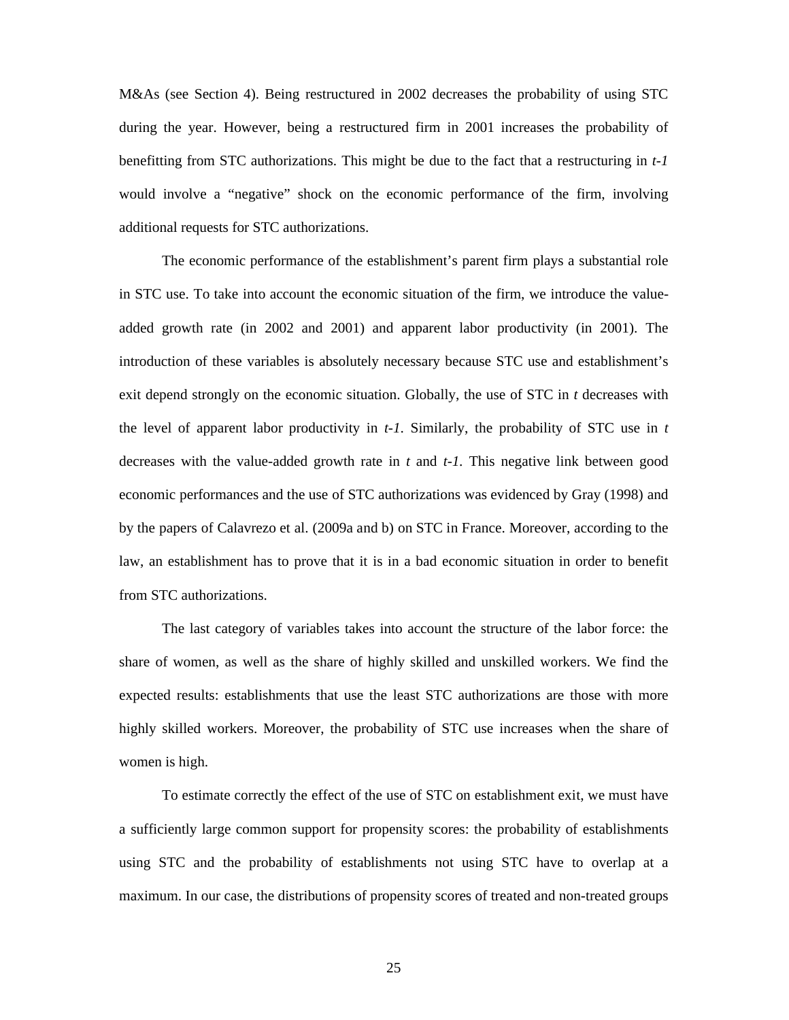M&As (see Section 4). Being restructured in 2002 decreases the probability of using STC during the year. However, being a restructured firm in 2001 increases the probability of benefitting from STC authorizations. This might be due to the fact that a restructuring in *t-1*  would involve a "negative" shock on the economic performance of the firm, involving additional requests for STC authorizations.

The economic performance of the establishment's parent firm plays a substantial role in STC use. To take into account the economic situation of the firm, we introduce the valueadded growth rate (in 2002 and 2001) and apparent labor productivity (in 2001). The introduction of these variables is absolutely necessary because STC use and establishment's exit depend strongly on the economic situation. Globally, the use of STC in *t* decreases with the level of apparent labor productivity in *t-1*. Similarly, the probability of STC use in *t* decreases with the value-added growth rate in *t* and *t-1*. This negative link between good economic performances and the use of STC authorizations was evidenced by Gray (1998) and by the papers of Calavrezo et al. (2009a and b) on STC in France. Moreover, according to the law, an establishment has to prove that it is in a bad economic situation in order to benefit from STC authorizations.

The last category of variables takes into account the structure of the labor force: the share of women, as well as the share of highly skilled and unskilled workers. We find the expected results: establishments that use the least STC authorizations are those with more highly skilled workers. Moreover, the probability of STC use increases when the share of women is high.

To estimate correctly the effect of the use of STC on establishment exit, we must have a sufficiently large common support for propensity scores: the probability of establishments using STC and the probability of establishments not using STC have to overlap at a maximum. In our case, the distributions of propensity scores of treated and non-treated groups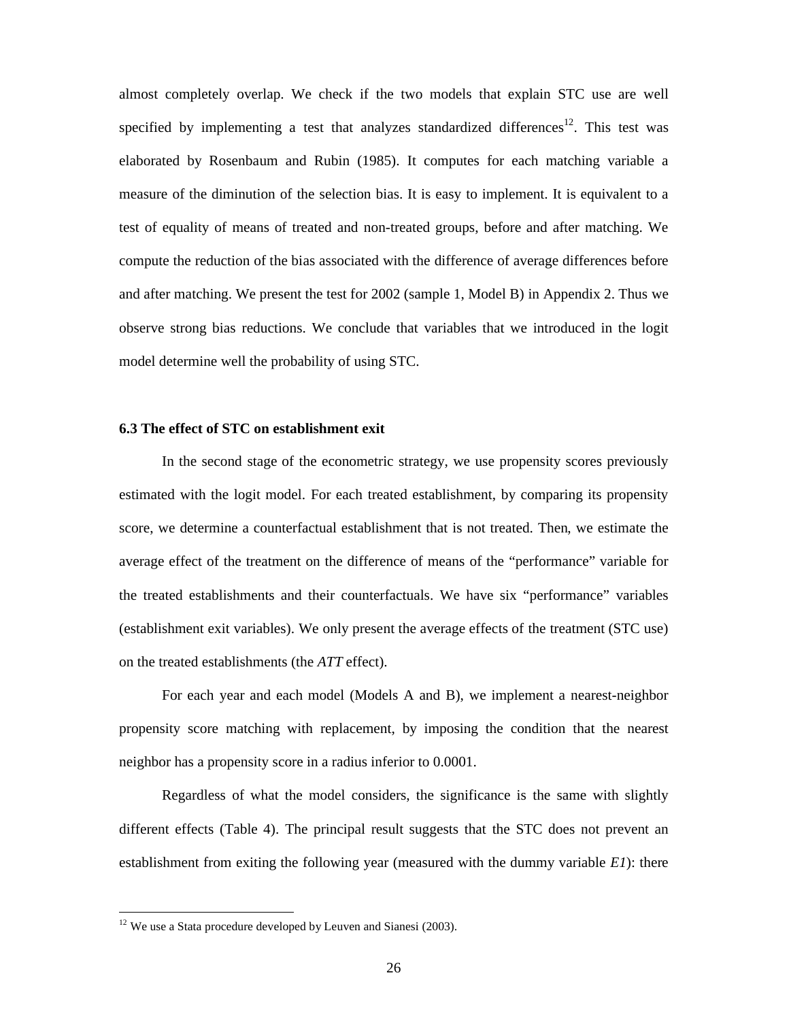almost completely overlap. We check if the two models that explain STC use are well specified by implementing a test that analyzes standardized differences<sup>12</sup>. This test was elaborated by Rosenbaum and Rubin (1985). It computes for each matching variable a measure of the diminution of the selection bias. It is easy to implement. It is equivalent to a test of equality of means of treated and non-treated groups, before and after matching. We compute the reduction of the bias associated with the difference of average differences before and after matching. We present the test for 2002 (sample 1, Model B) in Appendix 2. Thus we observe strong bias reductions. We conclude that variables that we introduced in the logit model determine well the probability of using STC.

#### **6.3 The effect of STC on establishment exit**

In the second stage of the econometric strategy, we use propensity scores previously estimated with the logit model. For each treated establishment, by comparing its propensity score, we determine a counterfactual establishment that is not treated. Then, we estimate the average effect of the treatment on the difference of means of the "performance" variable for the treated establishments and their counterfactuals. We have six "performance" variables (establishment exit variables). We only present the average effects of the treatment (STC use) on the treated establishments (the *ATT* effect).

For each year and each model (Models A and B), we implement a nearest-neighbor propensity score matching with replacement, by imposing the condition that the nearest neighbor has a propensity score in a radius inferior to 0.0001.

Regardless of what the model considers, the significance is the same with slightly different effects (Table 4). The principal result suggests that the STC does not prevent an establishment from exiting the following year (measured with the dummy variable *E1*): there

 $12$  We use a Stata procedure developed by Leuven and Sianesi (2003).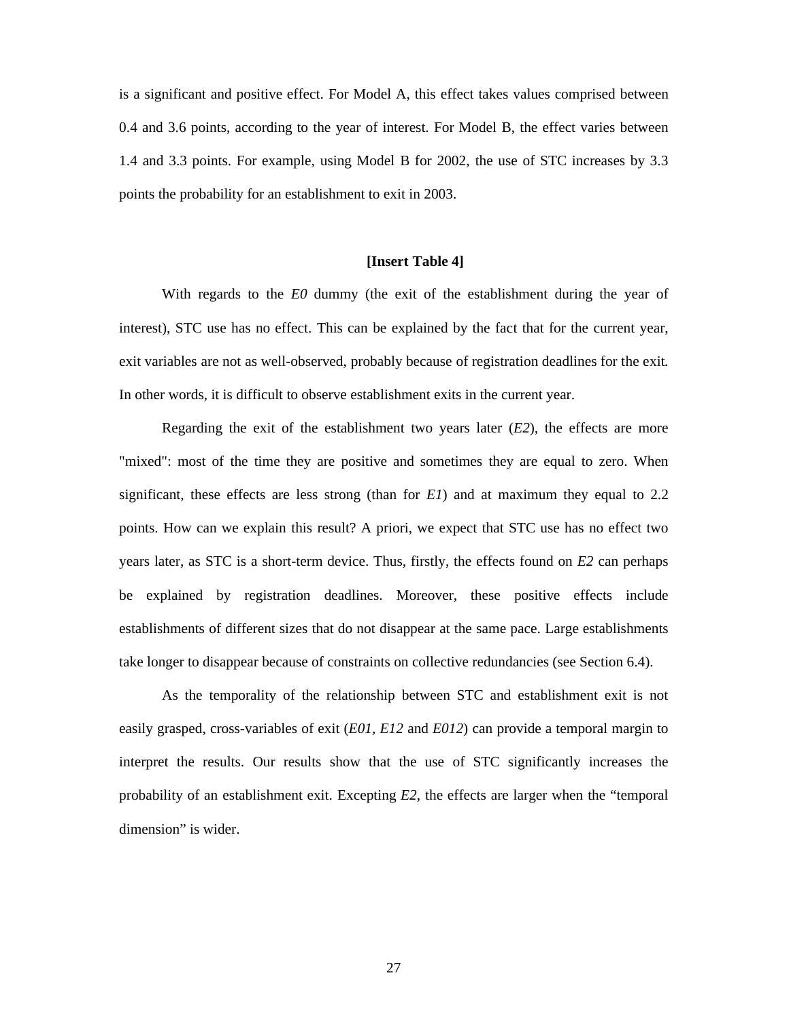is a significant and positive effect. For Model A, this effect takes values comprised between 0.4 and 3.6 points, according to the year of interest. For Model B, the effect varies between 1.4 and 3.3 points. For example, using Model B for 2002, the use of STC increases by 3.3 points the probability for an establishment to exit in 2003.

## **[Insert Table 4]**

With regards to the *E0* dummy (the exit of the establishment during the year of interest), STC use has no effect. This can be explained by the fact that for the current year, exit variables are not as well-observed, probably because of registration deadlines for the exit. In other words, it is difficult to observe establishment exits in the current year.

Regarding the exit of the establishment two years later  $(E2)$ , the effects are more "mixed": most of the time they are positive and sometimes they are equal to zero. When significant, these effects are less strong (than for *E1*) and at maximum they equal to 2.2 points. How can we explain this result? A priori, we expect that STC use has no effect two years later, as STC is a short-term device. Thus, firstly, the effects found on *E2* can perhaps be explained by registration deadlines. Moreover, these positive effects include establishments of different sizes that do not disappear at the same pace. Large establishments take longer to disappear because of constraints on collective redundancies (see Section 6.4).

As the temporality of the relationship between STC and establishment exit is not easily grasped, cross-variables of exit (*E01, E12* and *E012*) can provide a temporal margin to interpret the results. Our results show that the use of STC significantly increases the probability of an establishment exit. Excepting *E2*, the effects are larger when the "temporal dimension" is wider.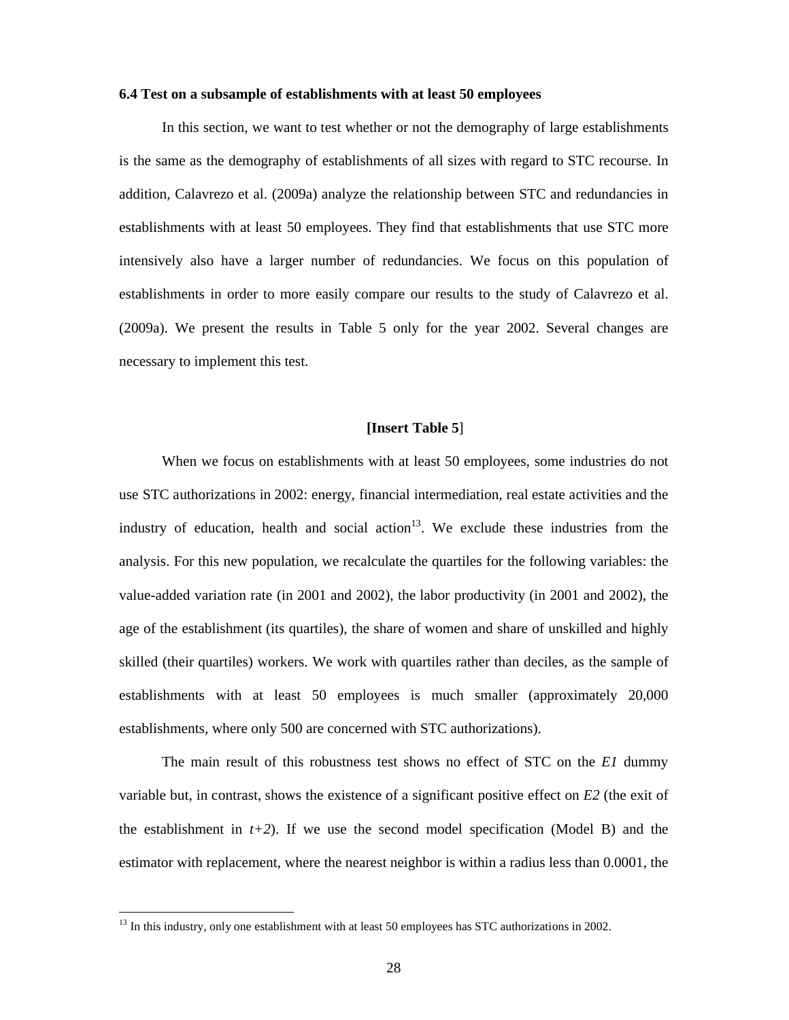### **6.4 Test on a subsample of establishments with at least 50 employees**

In this section, we want to test whether or not the demography of large establishments is the same as the demography of establishments of all sizes with regard to STC recourse. In addition, Calavrezo et al. (2009a) analyze the relationship between STC and redundancies in establishments with at least 50 employees. They find that establishments that use STC more intensively also have a larger number of redundancies. We focus on this population of establishments in order to more easily compare our results to the study of Calavrezo et al. (2009a). We present the results in Table 5 only for the year 2002. Several changes are necessary to implement this test.

#### **[Insert Table 5**]

When we focus on establishments with at least 50 employees, some industries do not use STC authorizations in 2002: energy, financial intermediation, real estate activities and the industry of education, health and social action<sup>13</sup>. We exclude these industries from the analysis. For this new population, we recalculate the quartiles for the following variables: the value-added variation rate (in 2001 and 2002), the labor productivity (in 2001 and 2002), the age of the establishment (its quartiles), the share of women and share of unskilled and highly skilled (their quartiles) workers. We work with quartiles rather than deciles, as the sample of establishments with at least 50 employees is much smaller (approximately 20,000 establishments, where only 500 are concerned with STC authorizations).

The main result of this robustness test shows no effect of STC on the *E1* dummy variable but, in contrast, shows the existence of a significant positive effect on *E2* (the exit of the establishment in  $t+2$ ). If we use the second model specification (Model B) and the estimator with replacement, where the nearest neighbor is within a radius less than 0.0001, the

<sup>&</sup>lt;sup>13</sup> In this industry, only one establishment with at least 50 employees has STC authorizations in 2002.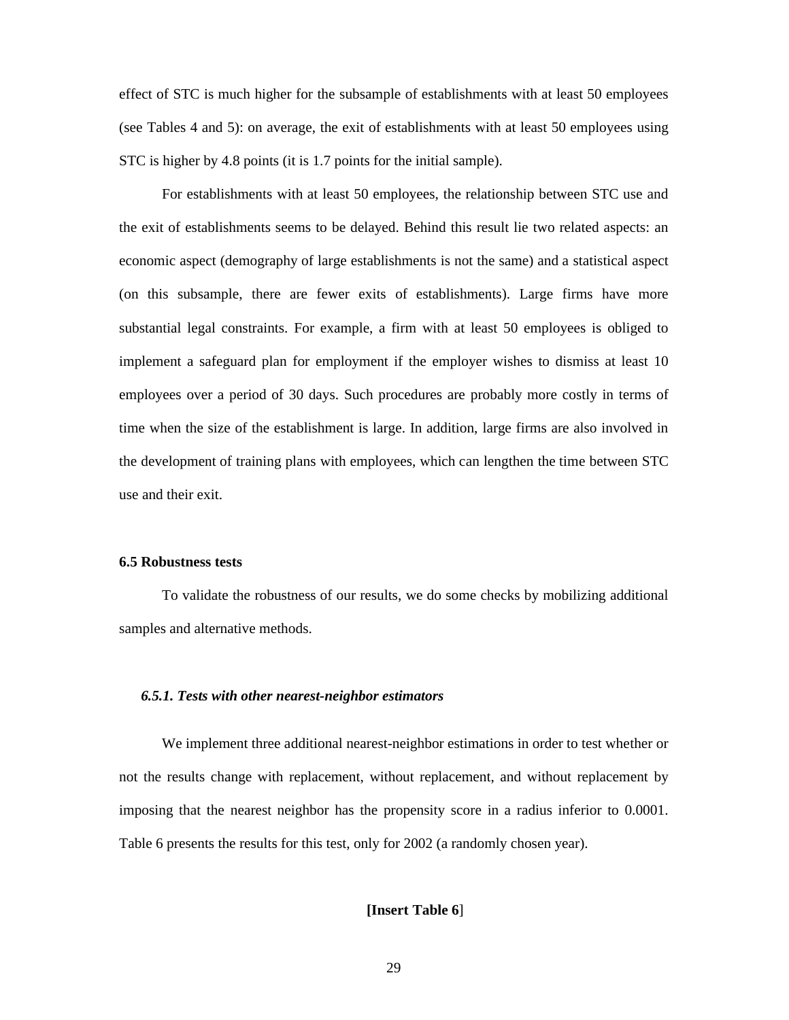effect of STC is much higher for the subsample of establishments with at least 50 employees (see Tables 4 and 5): on average, the exit of establishments with at least 50 employees using STC is higher by 4.8 points (it is 1.7 points for the initial sample).

For establishments with at least 50 employees, the relationship between STC use and the exit of establishments seems to be delayed. Behind this result lie two related aspects: an economic aspect (demography of large establishments is not the same) and a statistical aspect (on this subsample, there are fewer exits of establishments). Large firms have more substantial legal constraints. For example, a firm with at least 50 employees is obliged to implement a safeguard plan for employment if the employer wishes to dismiss at least 10 employees over a period of 30 days. Such procedures are probably more costly in terms of time when the size of the establishment is large. In addition, large firms are also involved in the development of training plans with employees, which can lengthen the time between STC use and their exit.

#### **6.5 Robustness tests**

To validate the robustness of our results, we do some checks by mobilizing additional samples and alternative methods.

#### *6.5.1. Tests with other nearest-neighbor estimators*

We implement three additional nearest-neighbor estimations in order to test whether or not the results change with replacement, without replacement, and without replacement by imposing that the nearest neighbor has the propensity score in a radius inferior to 0.0001. Table 6 presents the results for this test, only for 2002 (a randomly chosen year).

## **[Insert Table 6**]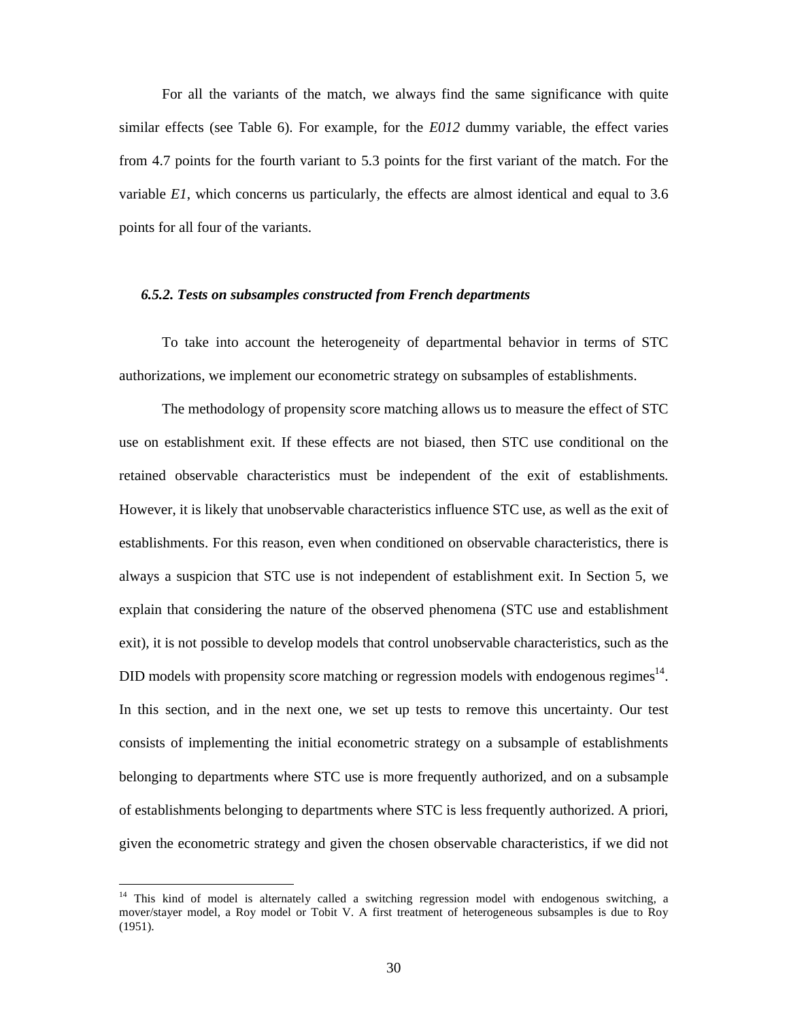For all the variants of the match, we always find the same significance with quite similar effects (see Table 6). For example, for the *E012* dummy variable, the effect varies from 4.7 points for the fourth variant to 5.3 points for the first variant of the match. For the variable *E1*, which concerns us particularly, the effects are almost identical and equal to 3.6 points for all four of the variants.

#### *6.5.2. Tests on subsamples constructed from French departments*

To take into account the heterogeneity of departmental behavior in terms of STC authorizations, we implement our econometric strategy on subsamples of establishments.

The methodology of propensity score matching allows us to measure the effect of STC use on establishment exit. If these effects are not biased, then STC use conditional on the retained observable characteristics must be independent of the exit of establishments. However, it is likely that unobservable characteristics influence STC use, as well as the exit of establishments. For this reason, even when conditioned on observable characteristics, there is always a suspicion that STC use is not independent of establishment exit. In Section 5, we explain that considering the nature of the observed phenomena (STC use and establishment exit), it is not possible to develop models that control unobservable characteristics, such as the DID models with propensity score matching or regression models with endogenous regimes<sup> $14$ </sup>. In this section, and in the next one, we set up tests to remove this uncertainty. Our test consists of implementing the initial econometric strategy on a subsample of establishments belonging to departments where STC use is more frequently authorized, and on a subsample of establishments belonging to departments where STC is less frequently authorized. A priori, given the econometric strategy and given the chosen observable characteristics, if we did not

<sup>&</sup>lt;sup>14</sup> This kind of model is alternately called a switching regression model with endogenous switching, a mover/stayer model, a Roy model or Tobit V. A first treatment of heterogeneous subsamples is due to Roy (1951).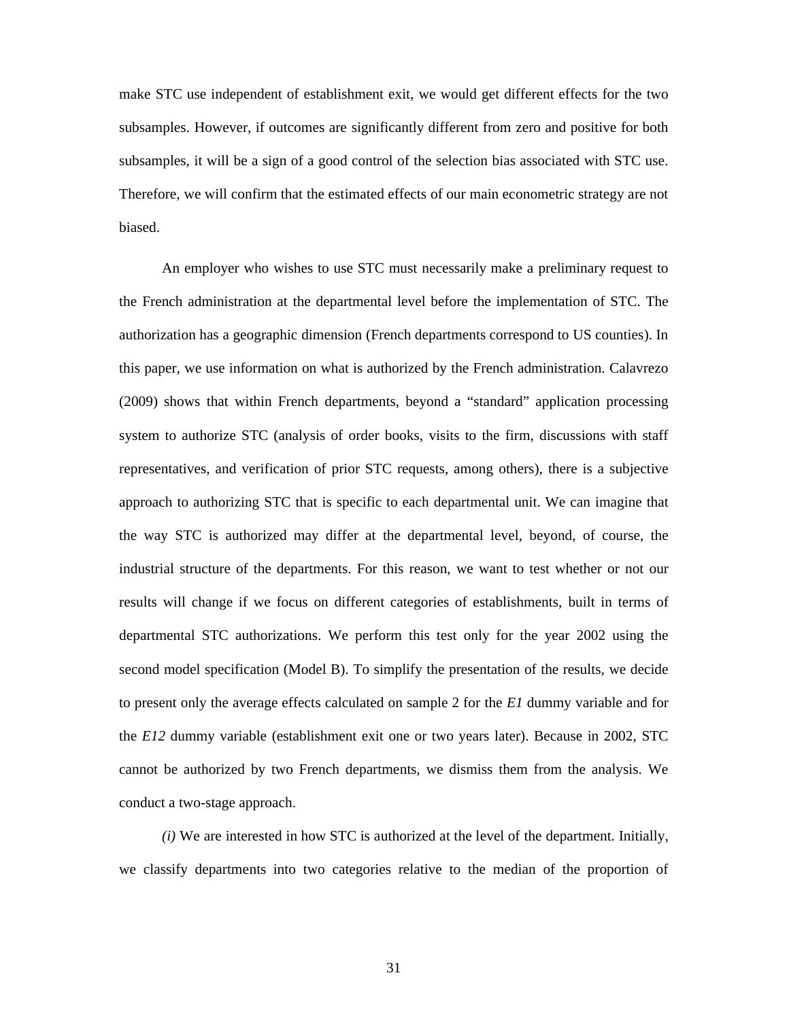make STC use independent of establishment exit, we would get different effects for the two subsamples. However, if outcomes are significantly different from zero and positive for both subsamples, it will be a sign of a good control of the selection bias associated with STC use. Therefore, we will confirm that the estimated effects of our main econometric strategy are not biased.

An employer who wishes to use STC must necessarily make a preliminary request to the French administration at the departmental level before the implementation of STC. The authorization has a geographic dimension (French departments correspond to US counties). In this paper, we use information on what is authorized by the French administration. Calavrezo (2009) shows that within French departments, beyond a "standard" application processing system to authorize STC (analysis of order books, visits to the firm, discussions with staff representatives, and verification of prior STC requests, among others), there is a subjective approach to authorizing STC that is specific to each departmental unit. We can imagine that the way STC is authorized may differ at the departmental level, beyond, of course, the industrial structure of the departments. For this reason, we want to test whether or not our results will change if we focus on different categories of establishments, built in terms of departmental STC authorizations. We perform this test only for the year 2002 using the second model specification (Model B). To simplify the presentation of the results, we decide to present only the average effects calculated on sample 2 for the *E1* dummy variable and for the *E12* dummy variable (establishment exit one or two years later). Because in 2002, STC cannot be authorized by two French departments, we dismiss them from the analysis. We conduct a two-stage approach.

*(i)* We are interested in how STC is authorized at the level of the department. Initially, we classify departments into two categories relative to the median of the proportion of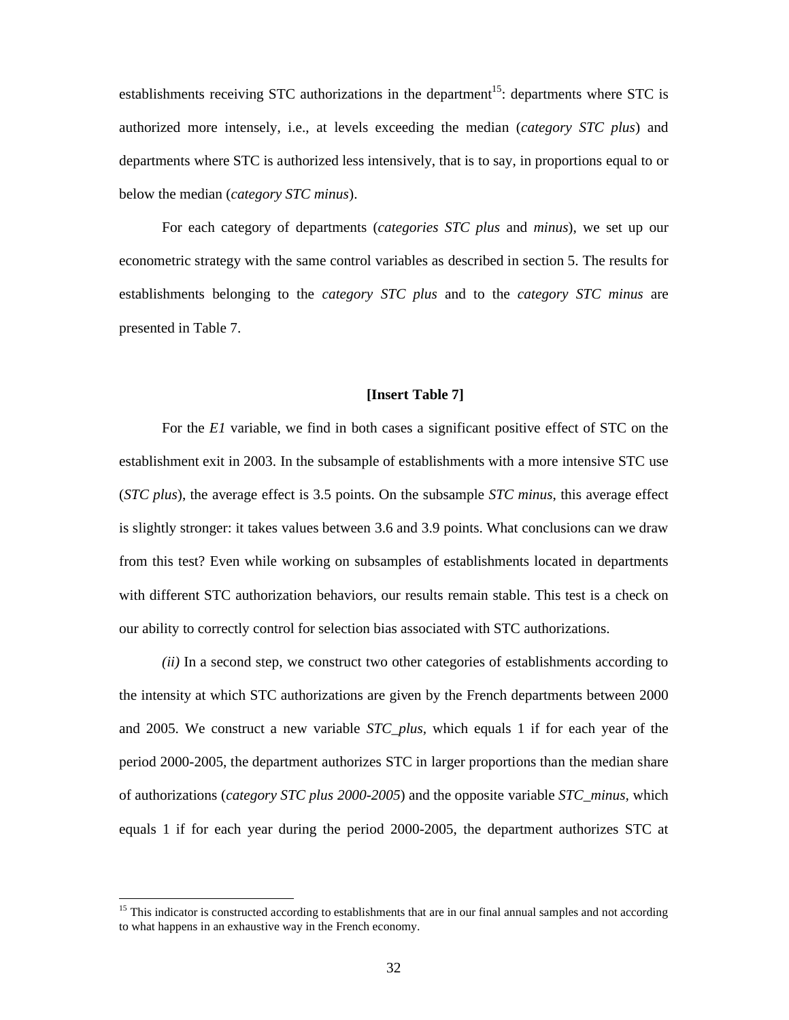establishments receiving STC authorizations in the department<sup>15</sup>: departments where STC is authorized more intensely, i.e., at levels exceeding the median (*category STC plus*) and departments where STC is authorized less intensively, that is to say, in proportions equal to or below the median (*category STC minus*).

For each category of departments (*categories STC plus* and *minus*), we set up our econometric strategy with the same control variables as described in section 5. The results for establishments belonging to the *category STC plus* and to the *category STC minus* are presented in Table 7.

#### **[Insert Table 7]**

For the *E1* variable, we find in both cases a significant positive effect of STC on the establishment exit in 2003. In the subsample of establishments with a more intensive STC use (*STC plus*), the average effect is 3.5 points. On the subsample *STC minus*, this average effect is slightly stronger: it takes values between 3.6 and 3.9 points. What conclusions can we draw from this test? Even while working on subsamples of establishments located in departments with different STC authorization behaviors, our results remain stable. This test is a check on our ability to correctly control for selection bias associated with STC authorizations.

*(ii)* In a second step, we construct two other categories of establishments according to the intensity at which STC authorizations are given by the French departments between 2000 and 2005. We construct a new variable *STC\_plus,* which equals 1 if for each year of the period 2000-2005, the department authorizes STC in larger proportions than the median share of authorizations (*category STC plus 2000-2005*) and the opposite variable *STC\_minus,* which equals 1 if for each year during the period 2000-2005, the department authorizes STC at

<sup>&</sup>lt;sup>15</sup> This indicator is constructed according to establishments that are in our final annual samples and not according to what happens in an exhaustive way in the French economy.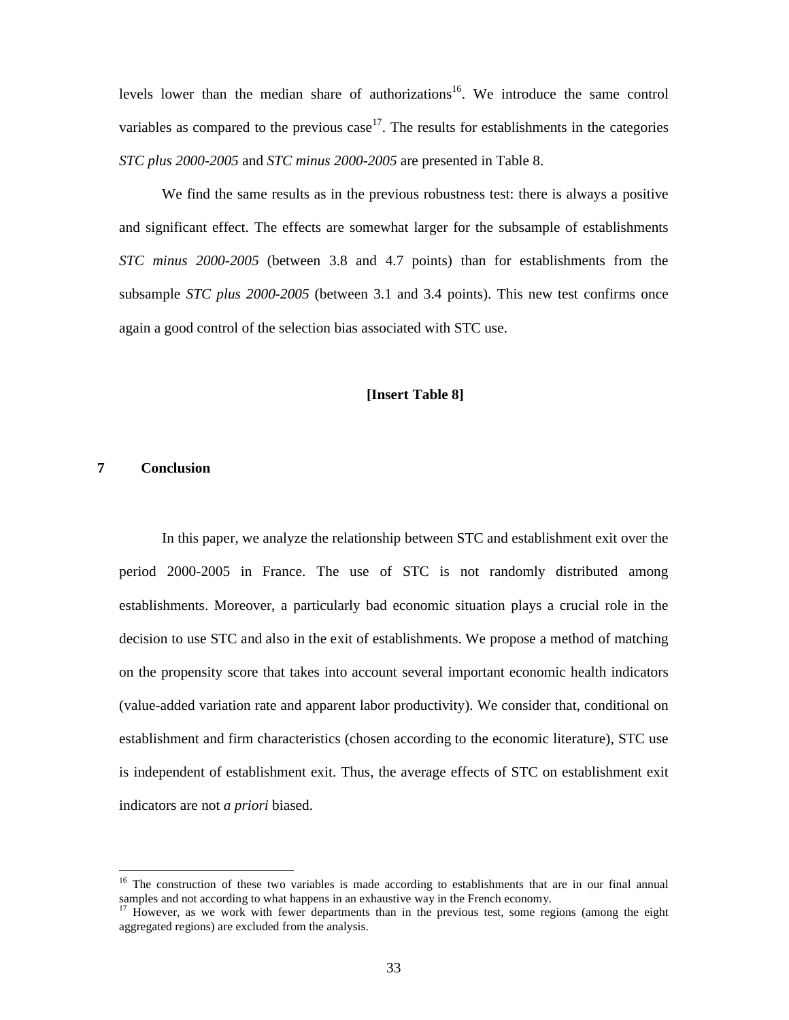levels lower than the median share of authorizations<sup>16</sup>. We introduce the same control variables as compared to the previous case<sup>17</sup>. The results for establishments in the categories *STC plus 2000-2005* and *STC minus 2000-2005* are presented in Table 8.

We find the same results as in the previous robustness test: there is always a positive and significant effect. The effects are somewhat larger for the subsample of establishments *STC minus 2000-2005* (between 3.8 and 4.7 points) than for establishments from the subsample *STC plus 2000-2005* (between 3.1 and 3.4 points). This new test confirms once again a good control of the selection bias associated with STC use.

#### **[Insert Table 8]**

# **7 Conclusion**

-

In this paper, we analyze the relationship between STC and establishment exit over the period 2000-2005 in France. The use of STC is not randomly distributed among establishments. Moreover, a particularly bad economic situation plays a crucial role in the decision to use STC and also in the exit of establishments. We propose a method of matching on the propensity score that takes into account several important economic health indicators (value-added variation rate and apparent labor productivity). We consider that, conditional on establishment and firm characteristics (chosen according to the economic literature), STC use is independent of establishment exit. Thus, the average effects of STC on establishment exit indicators are not *a priori* biased.

<sup>&</sup>lt;sup>16</sup> The construction of these two variables is made according to establishments that are in our final annual samples and not according to what happens in an exhaustive way in the French economy.

 $17$  However, as we work with fewer departments than in the previous test, some regions (among the eight aggregated regions) are excluded from the analysis.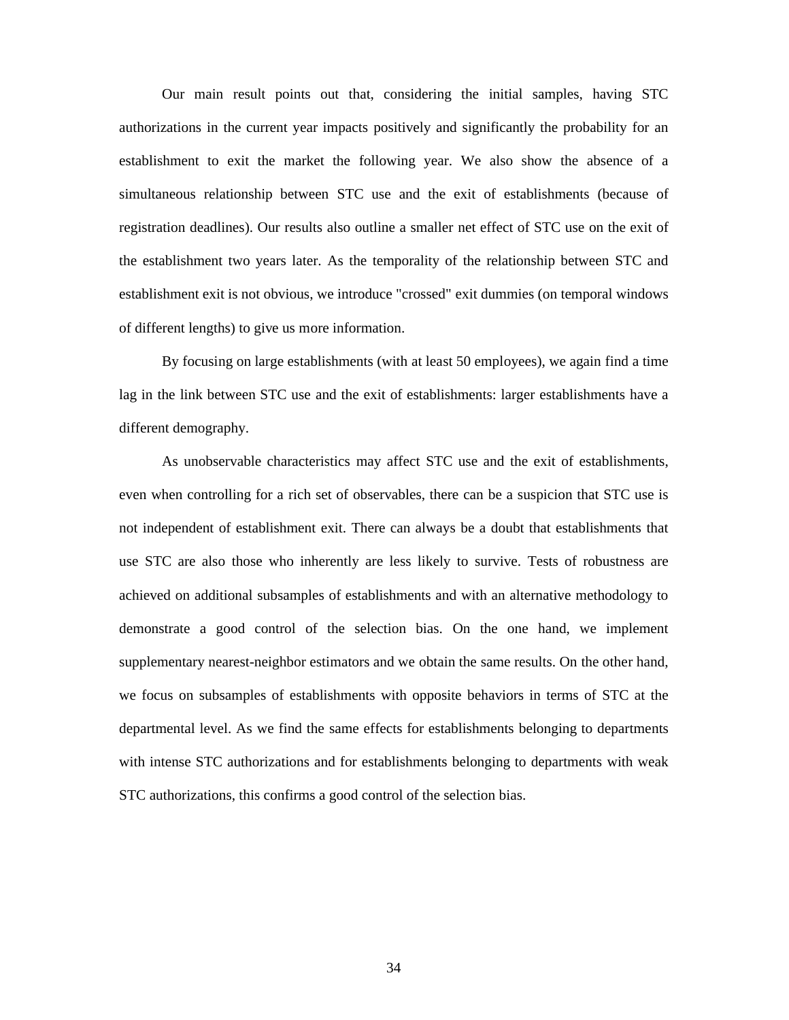Our main result points out that, considering the initial samples, having STC authorizations in the current year impacts positively and significantly the probability for an establishment to exit the market the following year. We also show the absence of a simultaneous relationship between STC use and the exit of establishments (because of registration deadlines). Our results also outline a smaller net effect of STC use on the exit of the establishment two years later. As the temporality of the relationship between STC and establishment exit is not obvious, we introduce "crossed" exit dummies (on temporal windows of different lengths) to give us more information.

By focusing on large establishments (with at least 50 employees), we again find a time lag in the link between STC use and the exit of establishments: larger establishments have a different demography.

As unobservable characteristics may affect STC use and the exit of establishments, even when controlling for a rich set of observables, there can be a suspicion that STC use is not independent of establishment exit. There can always be a doubt that establishments that use STC are also those who inherently are less likely to survive. Tests of robustness are achieved on additional subsamples of establishments and with an alternative methodology to demonstrate a good control of the selection bias. On the one hand, we implement supplementary nearest-neighbor estimators and we obtain the same results. On the other hand, we focus on subsamples of establishments with opposite behaviors in terms of STC at the departmental level. As we find the same effects for establishments belonging to departments with intense STC authorizations and for establishments belonging to departments with weak STC authorizations, this confirms a good control of the selection bias.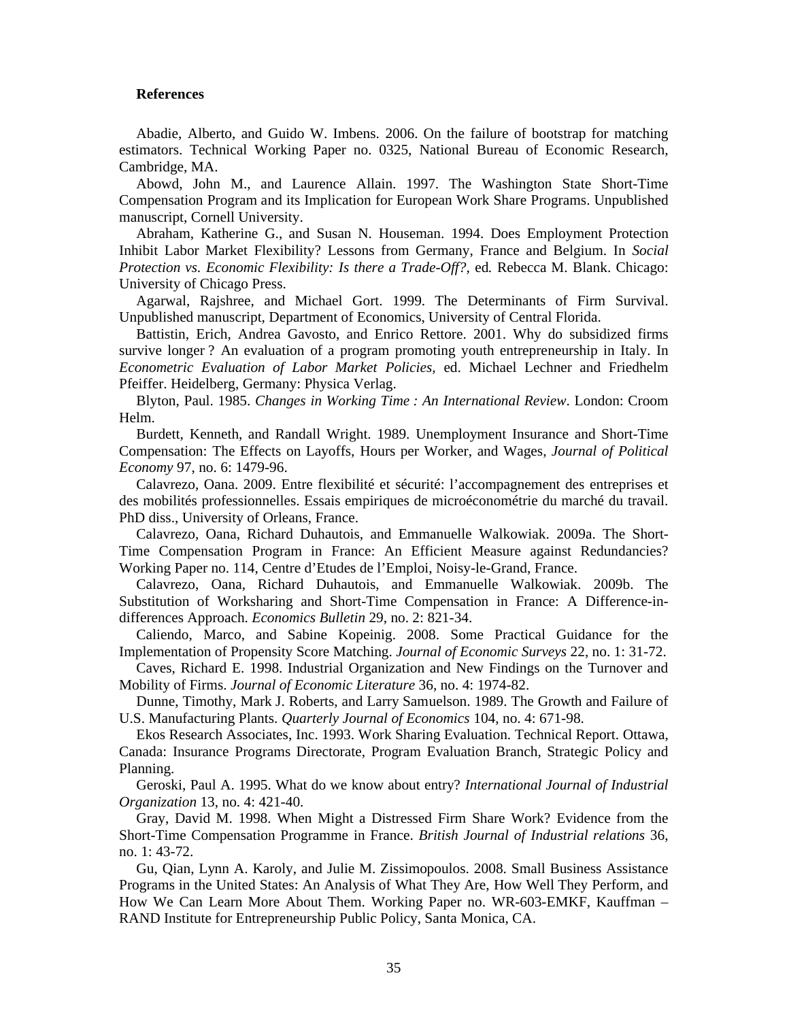#### **References**

Abadie, Alberto, and Guido W. Imbens. 2006. On the failure of bootstrap for matching estimators. Technical Working Paper no. 0325, National Bureau of Economic Research, Cambridge, MA.

Abowd, John M., and Laurence Allain. 1997. The Washington State Short-Time Compensation Program and its Implication for European Work Share Programs. Unpublished manuscript, Cornell University.

Abraham, Katherine G., and Susan N. Houseman. 1994. Does Employment Protection Inhibit Labor Market Flexibility? Lessons from Germany, France and Belgium. In *Social Protection vs. Economic Flexibility: Is there a Trade-Off?*, ed. Rebecca M. Blank. Chicago: University of Chicago Press.

Agarwal, Rajshree, and Michael Gort. 1999. The Determinants of Firm Survival. Unpublished manuscript, Department of Economics, University of Central Florida.

Battistin, Erich, Andrea Gavosto, and Enrico Rettore. 2001. Why do subsidized firms survive longer ? An evaluation of a program promoting youth entrepreneurship in Italy. In *Econometric Evaluation of Labor Market Policies,* ed. Michael Lechner and Friedhelm Pfeiffer. Heidelberg, Germany: Physica Verlag.

Blyton, Paul. 1985. *Changes in Working Time : An International Review*. London: Croom Helm.

Burdett, Kenneth, and Randall Wright. 1989. Unemployment Insurance and Short-Time Compensation: The Effects on Layoffs, Hours per Worker, and Wages, *Journal of Political Economy* 97, no. 6: 1479-96.

Calavrezo, Oana. 2009. Entre flexibilité et sécurité: l'accompagnement des entreprises et des mobilités professionnelles. Essais empiriques de microéconométrie du marché du travail. PhD diss., University of Orleans, France.

Calavrezo, Oana, Richard Duhautois, and Emmanuelle Walkowiak. 2009a. The Short-Time Compensation Program in France: An Efficient Measure against Redundancies? Working Paper no. 114, Centre d'Etudes de l'Emploi, Noisy-le-Grand, France.

Calavrezo, Oana, Richard Duhautois, and Emmanuelle Walkowiak. 2009b. The Substitution of Worksharing and Short-Time Compensation in France: A Difference-indifferences Approach. *Economics Bulletin* 29, no. 2: 821-34.

Caliendo, Marco, and Sabine Kopeinig. 2008. Some Practical Guidance for the Implementation of Propensity Score Matching. *Journal of Economic Surveys* 22, no. 1: 31-72.

Caves, Richard E. 1998. Industrial Organization and New Findings on the Turnover and Mobility of Firms. *Journal of Economic Literature* 36, no. 4: 1974-82.

Dunne, Timothy, Mark J. Roberts, and Larry Samuelson. 1989. The Growth and Failure of U.S. Manufacturing Plants. *Quarterly Journal of Economics* 104, no. 4: 671-98.

Ekos Research Associates, Inc. 1993. Work Sharing Evaluation. Technical Report. Ottawa, Canada: Insurance Programs Directorate, Program Evaluation Branch, Strategic Policy and Planning.

Geroski, Paul A. 1995. What do we know about entry? *International Journal of Industrial Organization* 13, no. 4: 421-40.

Gray, David M. 1998. When Might a Distressed Firm Share Work? Evidence from the Short-Time Compensation Programme in France. *British Journal of Industrial relations* 36, no. 1: 43-72.

Gu, Qian, Lynn A. Karoly, and Julie M. Zissimopoulos. 2008. Small Business Assistance Programs in the United States: An Analysis of What They Are, How Well They Perform, and How We Can Learn More About Them. Working Paper no. WR-603-EMKF, Kauffman – RAND Institute for Entrepreneurship Public Policy, Santa Monica, CA.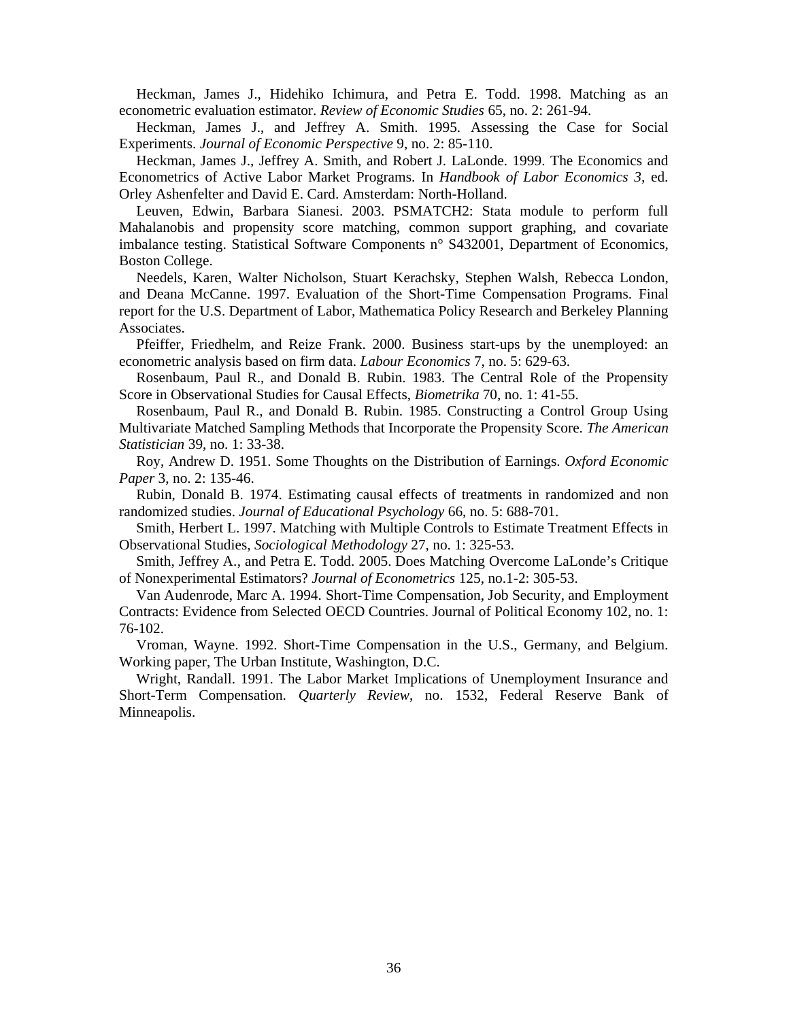Heckman, James J., Hidehiko Ichimura, and Petra E. Todd. 1998. Matching as an econometric evaluation estimator. *Review of Economic Studies* 65, no. 2: 261-94.

Heckman, James J., and Jeffrey A. Smith. 1995. Assessing the Case for Social Experiments. *Journal of Economic Perspective* 9, no. 2: 85-110.

Heckman, James J., Jeffrey A. Smith, and Robert J. LaLonde. 1999. The Economics and Econometrics of Active Labor Market Programs. In *Handbook of Labor Economics 3,* ed. Orley Ashenfelter and David E. Card. Amsterdam: North-Holland.

Leuven, Edwin, Barbara Sianesi. 2003. PSMATCH2: Stata module to perform full Mahalanobis and propensity score matching, common support graphing, and covariate imbalance testing. Statistical Software Components n° S432001, Department of Economics, Boston College.

Needels, Karen, Walter Nicholson, Stuart Kerachsky, Stephen Walsh, Rebecca London, and Deana McCanne. 1997. Evaluation of the Short-Time Compensation Programs. Final report for the U.S. Department of Labor, Mathematica Policy Research and Berkeley Planning Associates.

Pfeiffer, Friedhelm, and Reize Frank. 2000. Business start-ups by the unemployed: an econometric analysis based on firm data. *Labour Economics* 7, no. 5: 629-63.

Rosenbaum, Paul R., and Donald B. Rubin. 1983. The Central Role of the Propensity Score in Observational Studies for Causal Effects, *Biometrika* 70, no. 1: 41-55.

Rosenbaum, Paul R., and Donald B. Rubin. 1985. Constructing a Control Group Using Multivariate Matched Sampling Methods that Incorporate the Propensity Score. *The American Statistician* 39, no. 1: 33-38.

Roy, Andrew D. 1951. Some Thoughts on the Distribution of Earnings. *Oxford Economic Paper* 3, no. 2: 135-46.

Rubin, Donald B. 1974. Estimating causal effects of treatments in randomized and non randomized studies. *Journal of Educational Psychology* 66, no. 5: 688-701.

Smith, Herbert L. 1997. Matching with Multiple Controls to Estimate Treatment Effects in Observational Studies, *Sociological Methodology* 27, no. 1: 325-53.

Smith, Jeffrey A., and Petra E. Todd. 2005. Does Matching Overcome LaLonde's Critique of Nonexperimental Estimators? *Journal of Econometrics* 125, no.1-2: 305-53.

Van Audenrode, Marc A. 1994. Short-Time Compensation, Job Security, and Employment Contracts: Evidence from Selected OECD Countries. Journal of Political Economy 102, no. 1: 76-102.

Vroman, Wayne. 1992. Short-Time Compensation in the U.S., Germany, and Belgium. Working paper, The Urban Institute, Washington, D.C.

Wright, Randall. 1991. The Labor Market Implications of Unemployment Insurance and Short-Term Compensation. *Quarterly Review*, no. 1532, Federal Reserve Bank of Minneapolis.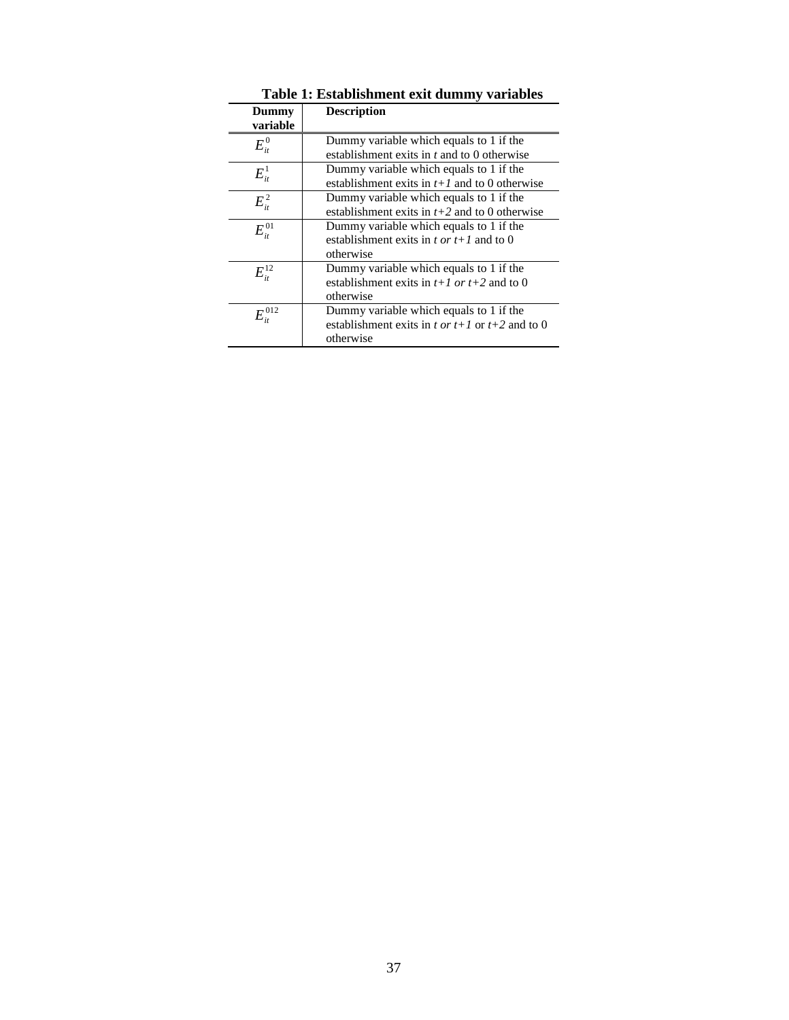|                                                      | Table 1: Establishment exit dummy variables                                                                 |  |  |  |  |
|------------------------------------------------------|-------------------------------------------------------------------------------------------------------------|--|--|--|--|
| Dummy<br>variable                                    | <b>Description</b>                                                                                          |  |  |  |  |
| $E_{\scriptscriptstyle{it}}^{\scriptscriptstyle{0}}$ | Dummy variable which equals to 1 if the<br>establishment exits in $t$ and to 0 otherwise                    |  |  |  |  |
| $E_{\scriptscriptstyle{it}}^{\scriptscriptstyle{1}}$ | Dummy variable which equals to 1 if the<br>establishment exits in $t+1$ and to 0 otherwise                  |  |  |  |  |
| $E_{ii}^2$                                           | Dummy variable which equals to 1 if the<br>establishment exits in $t+2$ and to 0 otherwise                  |  |  |  |  |
| $E_{\scriptscriptstyle{it}}^{01}$                    | Dummy variable which equals to 1 if the<br>establishment exits in t or $t+1$ and to 0<br>otherwise          |  |  |  |  |
| $E_{\scriptscriptstyle{it}}^{12}$                    | Dummy variable which equals to 1 if the<br>establishment exits in $t+1$ or $t+2$ and to 0<br>otherwise      |  |  |  |  |
| $E_{_{\it it}}^{\rm 012}$                            | Dummy variable which equals to 1 if the<br>establishment exits in t or $t+1$ or $t+2$ and to 0<br>otherwise |  |  |  |  |

**Table 1: Establishment exit dummy variables**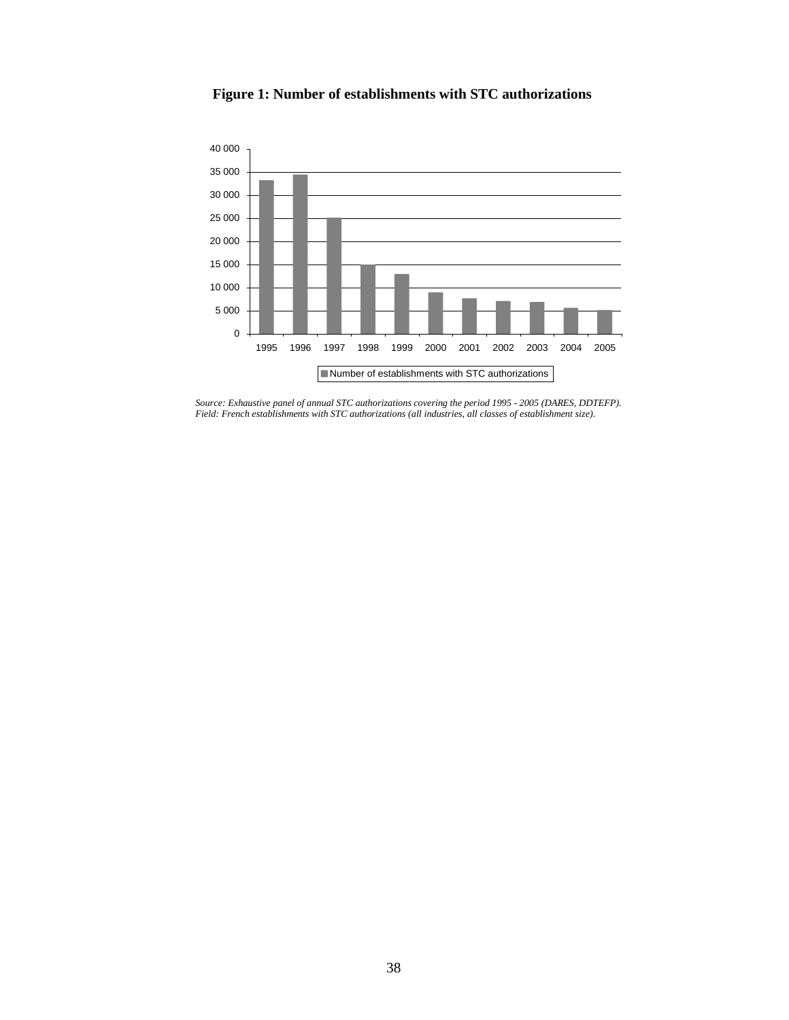

**Figure 1: Number of establishments with STC authorizations**

*Source: Exhaustive panel of annual STC authorizations covering the period 1995 - 2005 (DARES, DDTEFP). Field: French establishments with STC authorizations (all industries, all classes of establishment size).*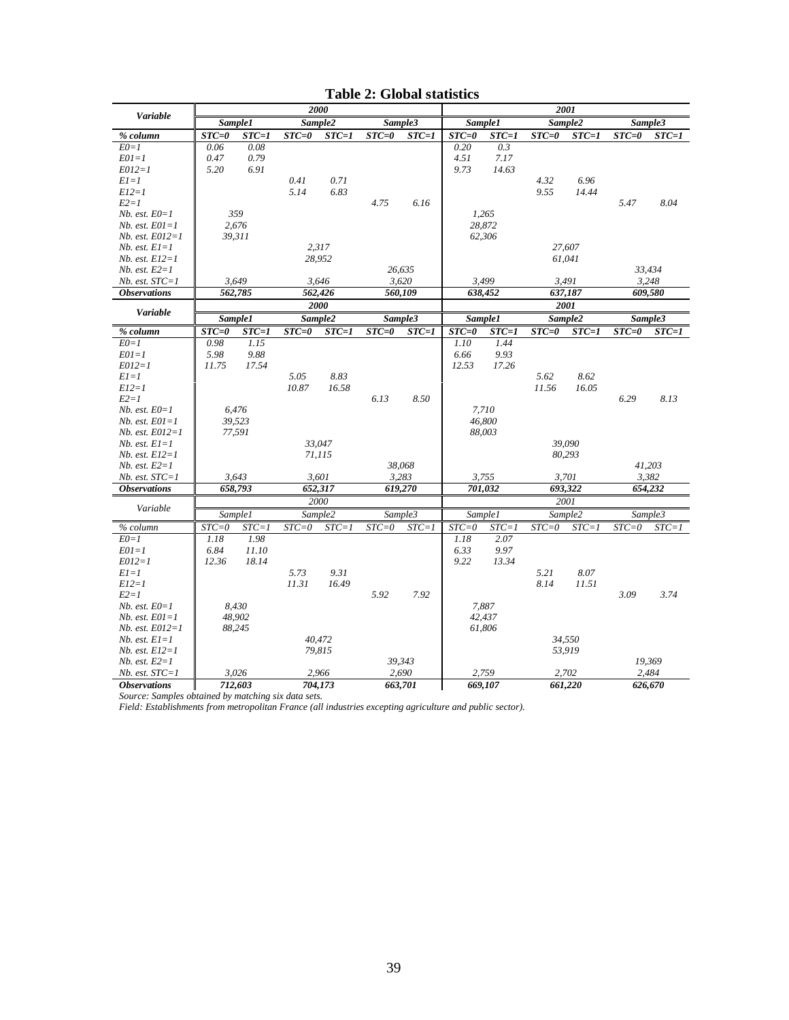|                                       | 2000      |                  |           |           | 2001      |           |           |                  |           |           |           |           |
|---------------------------------------|-----------|------------------|-----------|-----------|-----------|-----------|-----------|------------------|-----------|-----------|-----------|-----------|
| Variable                              |           | Sample1          |           | Sample2   |           | Sample3   |           | Sample1          | Sample2   |           |           | Sample3   |
| % column                              | $STC = 0$ | $STC=1$          | $STC = 0$ | $STC=1$   | $STC = 0$ | $STC=1$   | $STC = 0$ | $STC=1$          | $STC = 0$ | $STC=1$   | $STC = 0$ | $STC=1$   |
| $E0=1$                                | 0.06      | 0.08             |           |           |           |           | 0.20      | 0.3              |           |           |           |           |
| $E01 = 1$                             | 0.47      | 0.79             |           |           |           |           | 4.51      | 7.17             |           |           |           |           |
| $E012=1$                              | 5.20      | 6.91             |           |           |           |           | 9.73      | 14.63            |           |           |           |           |
| $E1 = 1$                              |           |                  | 0.41      | 0.71      |           |           |           |                  | 4.32      | 6.96      |           |           |
| $E12=1$                               |           |                  | 5.14      | 6.83      |           |           |           |                  | 9.55      | 14.44     |           |           |
| $E2=1$                                |           |                  |           |           | 4.75      | 6.16      |           |                  |           |           | 5.47      | 8.04      |
| $Nb. est. E0=1$                       |           | 359              |           |           |           |           |           | 1.265            |           |           |           |           |
| $Nb. est. E01=1$                      |           | 2,676            |           |           |           |           |           | 28,872           |           |           |           |           |
| $Nb. est. E012=1$                     |           | 39,311           |           |           |           |           |           | 62,306           |           |           |           |           |
| $Nb. est. El=1$                       |           |                  |           | 2.317     |           |           |           |                  |           | 27,607    |           |           |
| $Nb. est. E12=1$                      |           |                  |           | 28,952    |           |           |           |                  | 61,041    |           |           |           |
| $Nb. est. E2=1$                       |           |                  |           |           |           | 26,635    |           |                  |           |           |           | 33,434    |
| $Nb. est. STC=1$                      |           | 3.649            |           | 3.646     |           | 3.620     |           | 3.499            | 3,491     |           |           | 3.248     |
| <b>Observations</b>                   |           | 562,785          |           | 562,426   |           | 560.109   |           | 638.452          | 637,187   |           |           | 609.580   |
| Variable                              |           |                  |           | 2000      |           |           |           |                  | 2001      |           |           |           |
|                                       |           | Sample1          |           | Sample2   |           | Sample3   |           | Sample1          | Sample2   |           |           | Sample3   |
| % column                              | $STC = 0$ | $STC=1$          | $STC = 0$ | $STC=1$   | $STC = 0$ | $STC=1$   | $STC = 0$ | $STC=1$          | $STC = 0$ | $STC=1$   | $STC = 0$ | $STC=1$   |
| $E0=1$                                | 0.98      | 1.15             |           |           |           |           | 1.10      | 1.44             |           |           |           |           |
| $E01=1$                               | 5.98      | 9.88             |           |           |           |           | 6.66      | 9.93             |           |           |           |           |
| $E012=1$                              | 11.75     | 17.54            |           |           |           |           | 12.53     | 17.26            |           |           |           |           |
| $E1 = 1$                              |           |                  | 5.05      | 8.83      |           |           |           |                  | 5.62      | 8.62      |           |           |
| $E12=1$                               |           |                  | 10.87     | 16.58     |           |           |           |                  | 11.56     | 16.05     |           |           |
| $E2=1$                                |           |                  |           |           | 6.13      | 8.50      |           |                  |           |           | 6.29      | 8.13      |
| $Nb. est. E0=1$                       |           | 6.476            |           |           |           |           |           | 7.710            |           |           |           |           |
| $Nb. est. E01=1$                      |           | 39,523           |           |           |           |           |           | 46,800           |           |           |           |           |
| $Nb. est. E012=1$                     |           | 77,591           |           |           |           |           |           | 88,003           |           |           |           |           |
| $Nb. est. El=1$                       |           |                  |           | 33.047    |           |           |           |                  |           | 39.090    |           |           |
| $Nb. est. E12=1$                      |           |                  |           | 71,115    |           |           |           |                  |           | 80,293    |           |           |
| $Nb. est. E2=1$                       |           |                  |           |           |           | 38,068    |           |                  |           |           |           | 41,203    |
| $Nb. est. STC=1$                      |           | 3,643            |           | 3,601     |           | 3.283     |           | 3,755            | 3,701     |           |           | 3,382     |
| <b>Observations</b>                   |           | 658.793          |           | 652,317   |           | 619.270   |           | 701,032          | 693,322   |           |           | 654,232   |
| Variable                              |           |                  |           | 2000      |           |           |           |                  | 2001      |           |           |           |
|                                       |           | Sample1          |           | Sample2   |           | Sample3   |           | Sample1          | Sample2   |           |           | Sample3   |
| % column                              | $STC = 0$ | $STC = 1$        | $STC = 0$ | $STC = 1$ | $STC = 0$ | $STC = 1$ | $STC{=}0$ | $STC = 1$        | $STC = 0$ | $STC = 1$ | $STC = 0$ | $STC = 1$ |
| $E0=1$                                | 1.18      | 1.98             |           |           |           |           | 1.18      | 2.07             |           |           |           |           |
| $E01=1$                               | 6.84      | 11.10            |           |           |           |           | 6.33      | 9.97             |           |           |           |           |
| $E012=1$                              | 12.36     | 18.14            |           |           |           |           | 9.22      | 13.34            |           |           |           |           |
| $EI=1$                                |           |                  | 5.73      | 9.31      |           |           |           |                  | 5.21      | 8.07      |           |           |
| $E12=1$                               |           |                  | 11.31     | 16.49     |           |           |           |                  | 8.14      | 11.51     |           |           |
| $E2=1$                                |           |                  |           |           | 5.92      | 7.92      |           |                  |           |           | 3.09      | 3.74      |
| $Nb. est. E0=1$                       |           | 8,430            |           |           |           |           |           | 7,887            |           |           |           |           |
| $Nb. est. E01=1$<br>$Nb. est. E012=1$ |           | 48,902<br>88,245 |           |           |           |           |           | 42,437<br>61,806 |           |           |           |           |
| $Nb. est. E1=1$                       |           |                  |           | 40.472    |           |           |           |                  |           | 34,550    |           |           |
| $Nb. est. E12=1$                      |           |                  |           | 79,815    |           |           |           |                  |           | 53,919    |           |           |
| $Nb. est. E2=1$                       |           |                  |           |           |           | 39,343    |           |                  |           |           |           | 19,369    |
| $Nb. est. STC=1$                      |           | 3,026            |           | 2,966     |           | 2,690     |           | 2,759            | 2,702     |           |           | 2,484     |
| <i><b>Observations</b></i>            |           | 712,603          |           | 704.173   |           | 663.701   |           | 669.107          |           | 661,220   |           | 626.670   |
|                                       |           |                  |           |           |           |           |           |                  |           |           |           |           |

**Table 2: Global statistics**

*Source: Samples obtained by matching six data sets. Field: Establishments from metropolitan France (all industries excepting agriculture and public sector).*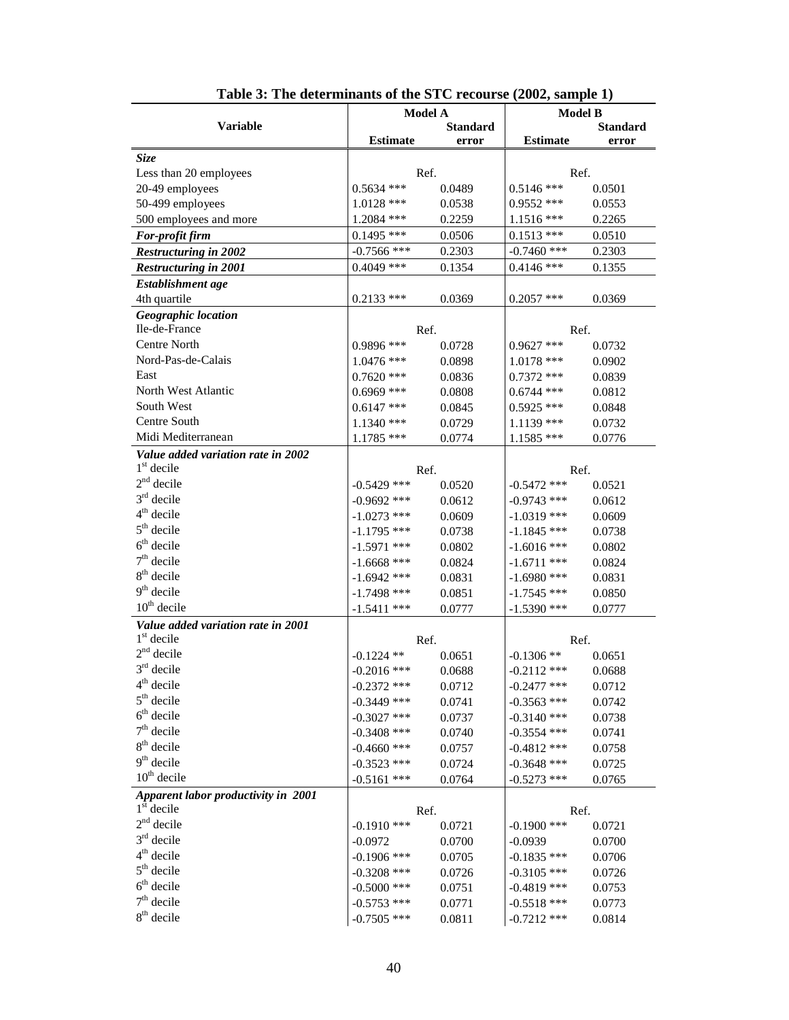|                                     | <b>Model A</b>  |                 | <b>Model B</b>  |                 |
|-------------------------------------|-----------------|-----------------|-----------------|-----------------|
| <b>Variable</b>                     |                 | <b>Standard</b> |                 | <b>Standard</b> |
|                                     | <b>Estimate</b> | error           | <b>Estimate</b> | error           |
| <b>Size</b>                         |                 |                 |                 |                 |
| Less than 20 employees              | Ref.            |                 | Ref.            |                 |
| 20-49 employees                     | $0.5634$ ***    | 0.0489          | $0.5146$ ***    | 0.0501          |
| 50-499 employees                    | $1.0128$ ***    | 0.0538          | $0.9552$ ***    | 0.0553          |
| 500 employees and more              | 1.2084 ***      | 0.2259          | $1.1516$ ***    | 0.2265          |
| For-profit firm                     | $0.1495$ ***    | 0.0506          | $0.1513$ ***    | 0.0510          |
| <b>Restructuring in 2002</b>        | $-0.7566$ ***   | 0.2303          | $-0.7460$ ***   | 0.2303          |
| <b>Restructuring in 2001</b>        | $0.4049$ ***    | 0.1354          | $0.4146$ ***    | 0.1355          |
| Establishment age                   |                 |                 |                 |                 |
| 4th quartile                        | $0.2133$ ***    | 0.0369          | $0.2057$ ***    | 0.0369          |
| Geographic location                 |                 |                 |                 |                 |
| Ile-de-France                       | Ref.            |                 | Ref.            |                 |
| Centre North                        | 0.9896 ***      | 0.0728          | $0.9627$ ***    | 0.0732          |
| Nord-Pas-de-Calais                  | $1.0476$ ***    | 0.0898          | $1.0178$ ***    | 0.0902          |
| East                                | $0.7620$ ***    | 0.0836          | $0.7372$ ***    | 0.0839          |
| North West Atlantic                 | $0.6969$ ***    | 0.0808          | $0.6744$ ***    | 0.0812          |
| South West                          | $0.6147$ ***    | 0.0845          | $0.5925$ ***    | 0.0848          |
| Centre South                        | $1.1340$ ***    | 0.0729          | $1.1139$ ***    | 0.0732          |
| Midi Mediterranean                  | $1.1785$ ***    | 0.0774          | 1.1585 ***      | 0.0776          |
| Value added variation rate in 2002  |                 |                 |                 |                 |
| $1st$ decile                        | Ref.            |                 | Ref.            |                 |
| $2nd$ decile                        | $-0.5429$ ***   | 0.0520          | $-0.5472$ ***   | 0.0521          |
| $3rd$ decile                        | $-0.9692$ ***   | 0.0612          | $-0.9743$ ***   | 0.0612          |
| $4th$ decile                        | $-1.0273$ ***   | 0.0609          | $-1.0319$ ***   | 0.0609          |
| $5th$ decile                        | $-1.1795$ ***   | 0.0738          | $-1.1845$ ***   | 0.0738          |
| $6th$ decile                        | $-1.5971$ ***   | 0.0802          | $-1.6016$ ***   | 0.0802          |
| $7th$ decile                        | $-1.6668$ ***   | 0.0824          | $-1.6711$ ***   | 0.0824          |
| $8th$ decile                        | $-1.6942$ ***   | 0.0831          | $-1.6980$ ***   | 0.0831          |
| $9th$ decile                        | $-1.7498$ ***   | 0.0851          | $-1.7545$ ***   | 0.0850          |
| $10th$ decile                       | $-1.5411$ ***   | 0.0777          | $-1.5390$ ***   | 0.0777          |
| Value added variation rate in 2001  |                 |                 |                 |                 |
| $1st$ decile                        | Ref.            |                 | Ref.            |                 |
| $2nd$ decile                        | $-0.1224$ **    | 0.0651          | $-0.1306**$     | 0.0651          |
| $3rd$ decile                        | $-0.2016$ ***   | 0.0688          | $-0.2112$ ***   | 0.0688          |
| $4th$ decile                        | $-0.2372$ ***   | 0.0712          | $-0.2477$ ***   | 0.0712          |
| $5th$ decile                        | $-0.3449$ ***   | 0.0741          | $-0.3563$ ***   | 0.0742          |
| $6th$ decile                        | $-0.3027$ ***   | 0.0737          | $-0.3140$ ***   | 0.0738          |
| $7th$ decile                        | $-0.3408$ ***   | 0.0740          | $-0.3554$ ***   | 0.0741          |
| $8th$ decile                        | $-0.4660$ ***   | 0.0757          | $-0.4812$ ***   | 0.0758          |
| $9th$ decile                        | $-0.3523$ ***   | 0.0724          | $-0.3648$ ***   | 0.0725          |
| $10^{th}$ decile                    | $-0.5161$ ***   | 0.0764          | $-0.5273$ ***   | 0.0765          |
| Apparent labor productivity in 2001 |                 |                 |                 |                 |
| $1st$ decile                        | Ref.            |                 | Ref.            |                 |
| $2nd$ decile                        | $-0.1910$ ***   | 0.0721          | $-0.1900$ ***   | 0.0721          |
| $3rd$ decile                        | $-0.0972$       | 0.0700          | $-0.0939$       | 0.0700          |
| $4th$ decile                        | $-0.1906$ ***   | 0.0705          | $-0.1835$ ***   | 0.0706          |
| $5th$ decile                        | $-0.3208$ ***   | 0.0726          | $-0.3105$ ***   | 0.0726          |
| $6th$ decile                        | $-0.5000$ ***   | 0.0751          | $-0.4819$ ***   | 0.0753          |
| $7th$ decile                        | $-0.5753$ ***   | 0.0771          | $-0.5518$ ***   | 0.0773          |
| $8th$ decile                        | $-0.7505$ ***   | 0.0811          | $-0.7212$ ***   | 0.0814          |

| Table 3: The determinants of the STC recourse (2002, sample 1) |  |  |  |
|----------------------------------------------------------------|--|--|--|
|----------------------------------------------------------------|--|--|--|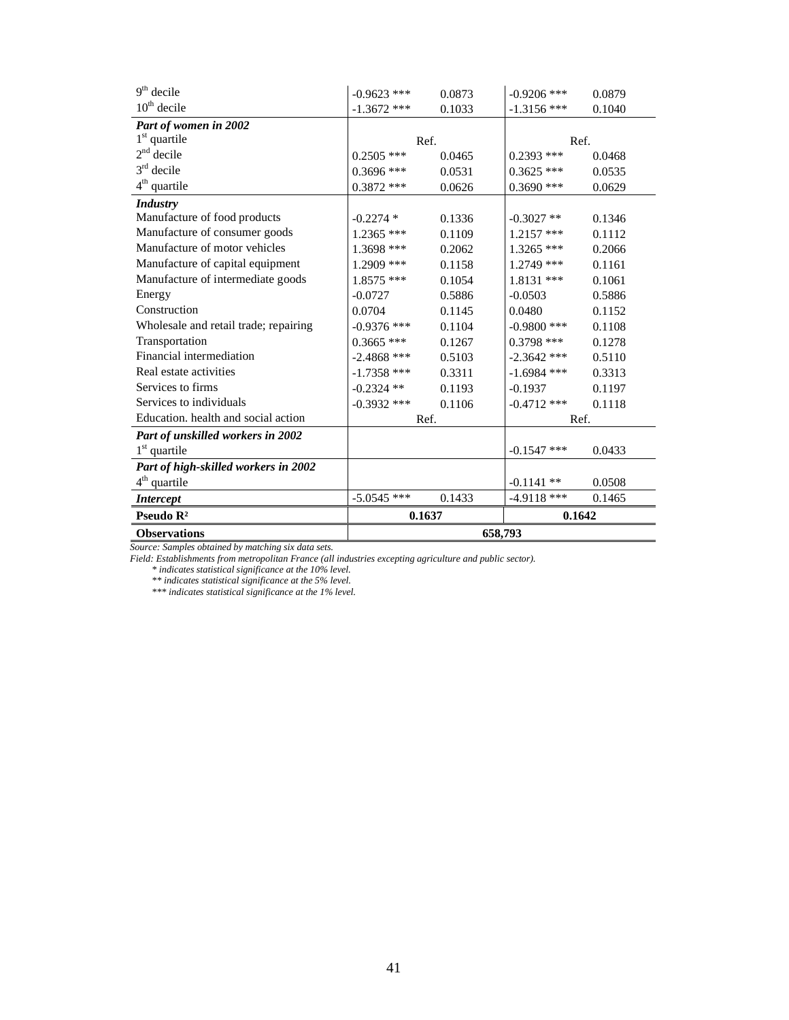| $9th$ decile                          | $-0.9623$ *** | 0.0873 | $-0.9206$ *** | 0.0879 |
|---------------------------------------|---------------|--------|---------------|--------|
| $10th$ decile                         | $-1.3672$ *** | 0.1033 | $-1.3156$ *** | 0.1040 |
| Part of women in 2002                 |               |        |               |        |
| $1st$ quartile                        | Ref.          |        | Ref.          |        |
| $2nd$ decile                          | $0.2505$ ***  | 0.0465 | $0.2393$ ***  | 0.0468 |
| $3rd$ decile                          | $0.3696$ ***  | 0.0531 | $0.3625$ ***  | 0.0535 |
| $4th$ quartile                        | $0.3872$ ***  | 0.0626 | $0.3690$ ***  | 0.0629 |
| <b>Industry</b>                       |               |        |               |        |
| Manufacture of food products          | $-0.2274$ *   | 0.1336 | $-0.3027$ **  | 0.1346 |
| Manufacture of consumer goods         | $1.2365$ ***  | 0.1109 | $1.2157$ ***  | 0.1112 |
| Manufacture of motor vehicles         | 1.3698 ***    | 0.2062 | $1.3265$ ***  | 0.2066 |
| Manufacture of capital equipment      | $1.2909$ ***  | 0.1158 | $1.2749$ ***  | 0.1161 |
| Manufacture of intermediate goods     | $1.8575$ ***  | 0.1054 | $1.8131$ ***  | 0.1061 |
| Energy                                | $-0.0727$     | 0.5886 | $-0.0503$     | 0.5886 |
| Construction                          | 0.0704        | 0.1145 | 0.0480        | 0.1152 |
| Wholesale and retail trade; repairing | $-0.9376$ *** | 0.1104 | $-0.9800$ *** | 0.1108 |
| Transportation                        | $0.3665$ ***  | 0.1267 | $0.3798$ ***  | 0.1278 |
| Financial intermediation              | $-2.4868$ *** | 0.5103 | $-2.3642$ *** | 0.5110 |
| Real estate activities                | $-1.7358$ *** | 0.3311 | $-1.6984$ *** | 0.3313 |
| Services to firms                     | $-0.2324$ **  | 0.1193 | $-0.1937$     | 0.1197 |
| Services to individuals               | $-0.3932$ *** | 0.1106 | $-0.4712$ *** | 0.1118 |
| Education, health and social action   | Ref.          |        | Ref.          |        |
| Part of unskilled workers in 2002     |               |        |               |        |
| $1st$ quartile                        |               |        | $-0.1547$ *** | 0.0433 |
| Part of high-skilled workers in 2002  |               |        |               |        |
| $4th$ quartile                        |               |        | $-0.1141**$   | 0.0508 |
| <b>Intercept</b>                      | $-5.0545$ *** | 0.1433 | $-4.9118$ *** | 0.1465 |
| Pseudo $\mathbb{R}^2$                 | 0.1637        |        | 0.1642        |        |
| <b>Observations</b>                   | 658,793       |        |               |        |

*Source: Samples obtained by matching six data sets.* 

*Field: Establishments from metropolitan France (all industries excepting agriculture and public sector).*

*\* indicates statistical significance at the 10% level.*

*\*\* indicates statistical significance at the 5% level.*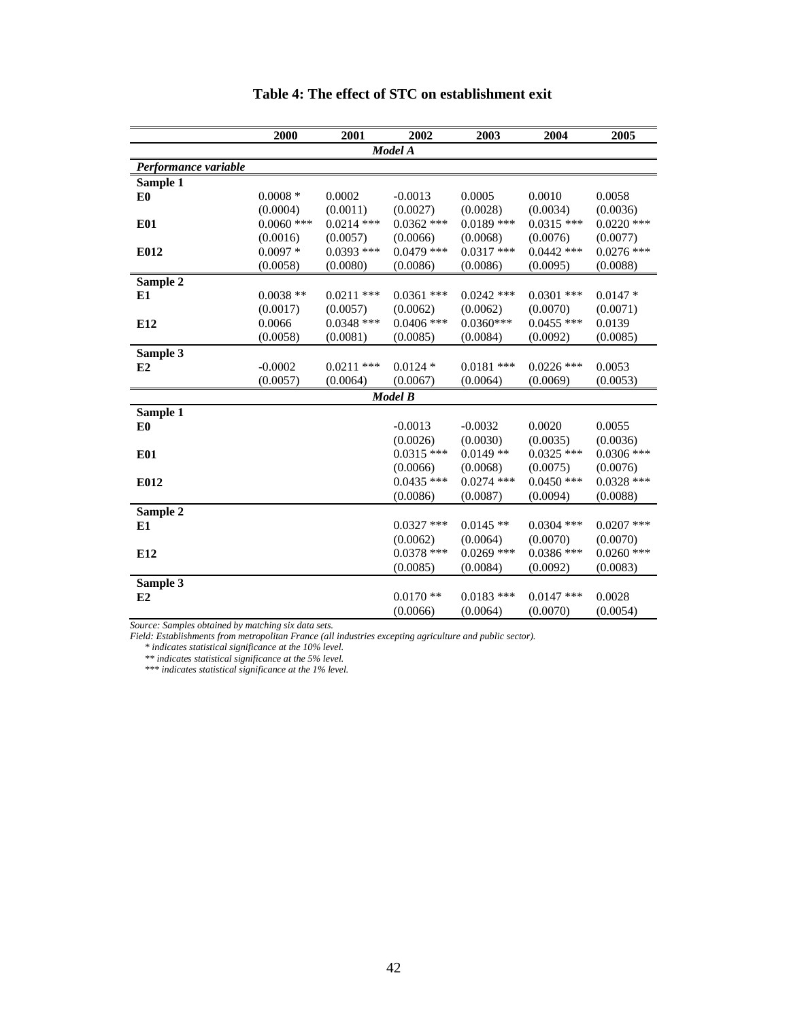|                      | 2000         | 2001         | 2002           | 2003         | 2004         | 2005         |
|----------------------|--------------|--------------|----------------|--------------|--------------|--------------|
|                      |              |              | Model A        |              |              |              |
| Performance variable |              |              |                |              |              |              |
| Sample 1             |              |              |                |              |              |              |
| E <sub>0</sub>       | $0.0008 *$   | 0.0002       | $-0.0013$      | 0.0005       | 0.0010       | 0.0058       |
|                      | (0.0004)     | (0.0011)     | (0.0027)       | (0.0028)     | (0.0034)     | (0.0036)     |
| <b>E01</b>           | $0.0060$ *** | $0.0214$ *** | $0.0362$ ***   | $0.0189$ *** | $0.0315$ *** | $0.0220$ *** |
|                      | (0.0016)     | (0.0057)     | (0.0066)       | (0.0068)     | (0.0076)     | (0.0077)     |
| E012                 | $0.0097*$    | $0.0393$ *** | $0.0479$ ***   | $0.0317$ *** | $0.0442$ *** | $0.0276$ *** |
|                      | (0.0058)     | (0.0080)     | (0.0086)       | (0.0086)     | (0.0095)     | (0.0088)     |
| Sample 2             |              |              |                |              |              |              |
| E1                   | $0.0038**$   | $0.0211$ *** | $0.0361$ ***   | $0.0242$ *** | $0.0301$ *** | $0.0147*$    |
|                      | (0.0017)     | (0.0057)     | (0.0062)       | (0.0062)     | (0.0070)     | (0.0071)     |
| E12                  | 0.0066       | $0.0348$ *** | $0.0406$ ***   | $0.0360***$  | $0.0455$ *** | 0.0139       |
|                      | (0.0058)     | (0.0081)     | (0.0085)       | (0.0084)     | (0.0092)     | (0.0085)     |
| Sample 3             |              |              |                |              |              |              |
| E2                   | $-0.0002$    | $0.0211$ *** | $0.0124*$      | $0.0181$ *** | $0.0226$ *** | 0.0053       |
|                      | (0.0057)     | (0.0064)     | (0.0067)       | (0.0064)     | (0.0069)     | (0.0053)     |
|                      |              |              | <b>Model B</b> |              |              |              |
| Sample 1             |              |              |                |              |              |              |
| E <sub>0</sub>       |              |              | $-0.0013$      | $-0.0032$    | 0.0020       | 0.0055       |
|                      |              |              | (0.0026)       | (0.0030)     | (0.0035)     | (0.0036)     |
| <b>E01</b>           |              |              | $0.0315$ ***   | $0.0149**$   | $0.0325$ *** | $0.0306$ *** |
|                      |              |              | (0.0066)       | (0.0068)     | (0.0075)     | (0.0076)     |
| E012                 |              |              | $0.0435$ ***   | $0.0274$ *** | $0.0450$ *** | $0.0328$ *** |
|                      |              |              | (0.0086)       | (0.0087)     | (0.0094)     | (0.0088)     |
| Sample 2             |              |              |                |              |              |              |
| E1                   |              |              | $0.0327$ ***   | $0.0145**$   | $0.0304$ *** | $0.0207$ *** |
|                      |              |              | (0.0062)       | (0.0064)     | (0.0070)     | (0.0070)     |
| E12                  |              |              | $0.0378$ ***   | $0.0269$ *** | $0.0386$ *** | $0.0260$ *** |
|                      |              |              | (0.0085)       | (0.0084)     | (0.0092)     | (0.0083)     |
| Sample 3             |              |              |                |              |              |              |
| E2                   |              |              | $0.0170**$     | $0.0183$ *** | $0.0147$ *** | 0.0028       |
|                      |              |              | (0.0066)       | (0.0064)     | (0.0070)     | (0.0054)     |

# **Table 4: The effect of STC on establishment exit**

*Source: Samples obtained by matching six data sets.* 

*Field: Establishments from metropolitan France (all industries excepting agriculture and public sector).*

 *\* indicates statistical significance at the 10% level.*

 *\*\* indicates statistical significance at the 5% level.*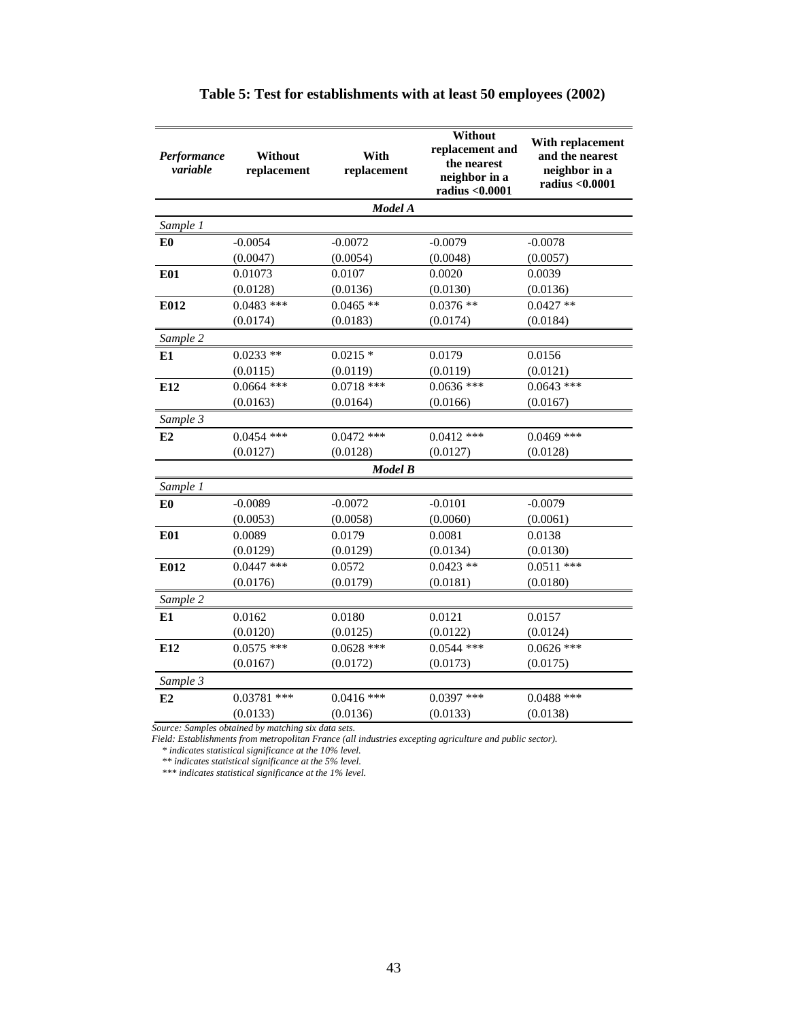| Performance<br>variable | Without<br>replacement | With<br>replacement | Without<br>replacement and<br>the nearest<br>neighbor in a<br>radius <0.0001 | With replacement<br>and the nearest<br>neighbor in a<br>radius <0.0001 |
|-------------------------|------------------------|---------------------|------------------------------------------------------------------------------|------------------------------------------------------------------------|
|                         |                        | Model A             |                                                                              |                                                                        |
| Sample 1                |                        |                     |                                                                              |                                                                        |
| E <sub>0</sub>          | $-0.0054$              | $-0.0072$           | $-0.0079$                                                                    | $-0.0078$                                                              |
|                         | (0.0047)               | (0.0054)            | (0.0048)                                                                     | (0.0057)                                                               |
| <b>E01</b>              | 0.01073                | 0.0107              | 0.0020                                                                       | 0.0039                                                                 |
|                         | (0.0128)               | (0.0136)            | (0.0130)                                                                     | (0.0136)                                                               |
| E012                    | $0.0483$ ***           | $0.0465$ **         | $0.0376$ **                                                                  | $0.0427$ **                                                            |
|                         | (0.0174)               | (0.0183)            | (0.0174)                                                                     | (0.0184)                                                               |
| Sample 2                |                        |                     |                                                                              |                                                                        |
| E1                      | $0.0233**$             | $0.0215*$           | 0.0179                                                                       | 0.0156                                                                 |
|                         | (0.0115)               | (0.0119)            | (0.0119)                                                                     | (0.0121)                                                               |
| E12                     | $0.0664$ ***           | $0.0718$ ***        | $0.0636$ ***                                                                 | $0.0643$ ***                                                           |
|                         | (0.0163)               | (0.0164)            | (0.0166)                                                                     | (0.0167)                                                               |
| Sample 3                |                        |                     |                                                                              |                                                                        |
| E2                      | $0.0454$ ***           | $0.0472$ ***        | $0.0412$ ***                                                                 | $0.0469$ ***                                                           |
|                         | (0.0127)               | (0.0128)            | (0.0127)                                                                     | (0.0128)                                                               |
|                         |                        | <b>Model B</b>      |                                                                              |                                                                        |
| Sample 1                |                        |                     |                                                                              |                                                                        |
| E0                      | $-0.0089$              | $-0.0072$           | $-0.0101$                                                                    | $-0.0079$                                                              |
|                         | (0.0053)               | (0.0058)            | (0.0060)                                                                     | (0.0061)                                                               |
| <b>E01</b>              | 0.0089                 | 0.0179              | 0.0081                                                                       | 0.0138                                                                 |
|                         | (0.0129)               | (0.0129)            | (0.0134)                                                                     | (0.0130)                                                               |
| E012                    | $0.0447$ ***           | 0.0572              | $0.0423$ **                                                                  | $0.0511$ ***                                                           |
|                         | (0.0176)               | (0.0179)            | (0.0181)                                                                     | (0.0180)                                                               |
| Sample 2                |                        |                     |                                                                              |                                                                        |
| E1                      | 0.0162                 | 0.0180              | 0.0121                                                                       | 0.0157                                                                 |
|                         | (0.0120)               | (0.0125)            | (0.0122)                                                                     | (0.0124)                                                               |
| E12                     | $0.0575$ ***           | $0.0628$ ***        | $0.0544$ ***                                                                 | $0.0626$ ***                                                           |
|                         | (0.0167)               | (0.0172)            | (0.0173)                                                                     | (0.0175)                                                               |
| Sample 3                |                        |                     |                                                                              |                                                                        |
| E2                      | $0.03781$ ***          | $0.0416$ ***        | $0.0397$ ***                                                                 | $0.0488$ ***                                                           |
|                         | (0.0133)               | (0.0136)            | (0.0133)                                                                     | (0.0138)                                                               |

# **Table 5: Test for establishments with at least 50 employees (2002)**

*Source: Samples obtained by matching six data sets.*

*Field: Establishments from metropolitan France (all industries excepting agriculture and public sector).*

*\* indicates statistical significance at the 10% level.*

*\*\* indicates statistical significance at the 5% level.*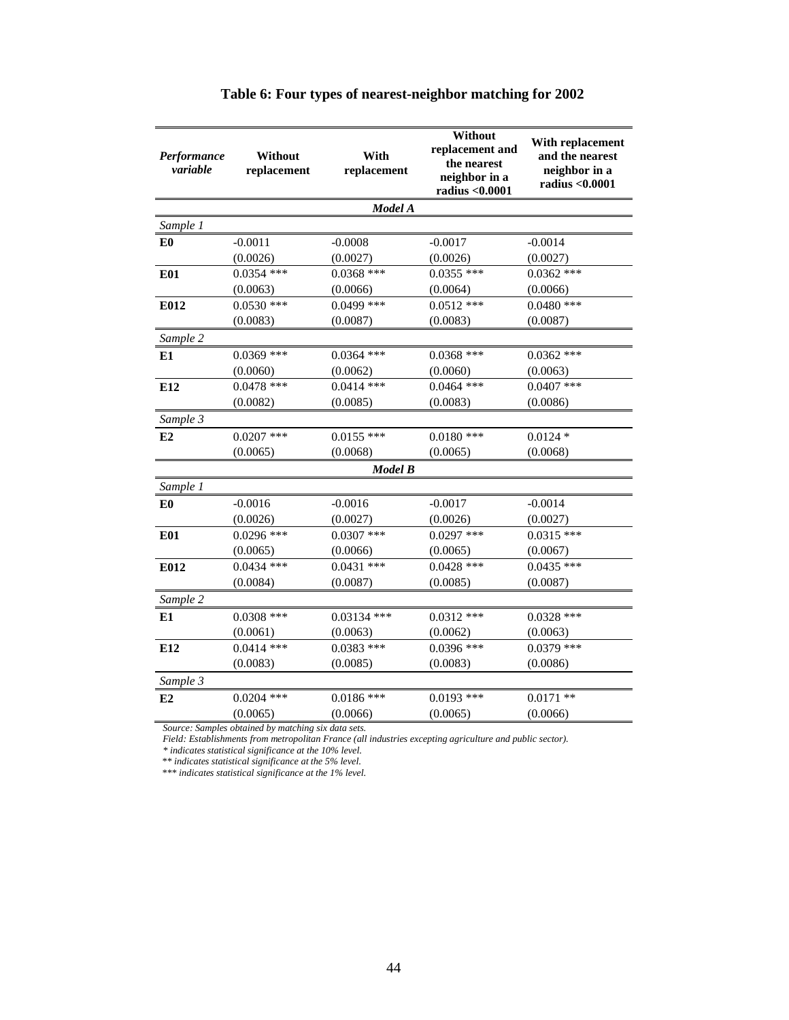| Performance<br>variable | Without<br>replacement | With<br>replacement | Without<br>replacement and<br>the nearest<br>neighbor in a<br>radius <0.0001 | With replacement<br>and the nearest<br>neighbor in a<br>radius <0.0001 |
|-------------------------|------------------------|---------------------|------------------------------------------------------------------------------|------------------------------------------------------------------------|
|                         |                        | Model A             |                                                                              |                                                                        |
| Sample 1                |                        |                     |                                                                              |                                                                        |
| E <sub>0</sub>          | $-0.0011$              | $-0.0008$           | $-0.0017$                                                                    | $-0.0014$                                                              |
|                         | (0.0026)               | (0.0027)            | (0.0026)                                                                     | (0.0027)                                                               |
| <b>E01</b>              | $0.0354$ ***           | $0.0368$ ***        | $0.0355$ ***                                                                 | $0.0362$ ***                                                           |
|                         | (0.0063)               | (0.0066)            | (0.0064)                                                                     | (0.0066)                                                               |
| E012                    | $0.0530$ ***           | $0.0499$ ***        | $0.0512$ ***                                                                 | $0.0480$ ***                                                           |
|                         | (0.0083)               | (0.0087)            | (0.0083)                                                                     | (0.0087)                                                               |
| Sample 2                |                        |                     |                                                                              |                                                                        |
| E1                      | $0.0369$ ***           | $0.0364$ ***        | $0.0368$ ***                                                                 | $0.0362$ ***                                                           |
|                         | (0.0060)               | (0.0062)            | (0.0060)                                                                     | (0.0063)                                                               |
| E12                     | $0.0478$ ***           | $0.0414$ ***        | $0.0464$ ***                                                                 | $0.0407$ ***                                                           |
|                         | (0.0082)               | (0.0085)            | (0.0083)                                                                     | (0.0086)                                                               |
| Sample 3                |                        |                     |                                                                              |                                                                        |
| E2                      | $0.0207$ ***           | $0.0155$ ***        | $0.0180$ ***                                                                 | $0.0124$ *                                                             |
|                         | (0.0065)               | (0.0068)            | (0.0065)                                                                     | (0.0068)                                                               |
|                         |                        | <b>Model B</b>      |                                                                              |                                                                        |
| Sample 1                |                        |                     |                                                                              |                                                                        |
| E <sub>0</sub>          | $-0.0016$              | $-0.0016$           | $-0.0017$                                                                    | $-0.0014$                                                              |
|                         | (0.0026)               | (0.0027)            | (0.0026)                                                                     | (0.0027)                                                               |
| <b>E01</b>              | $0.0296$ ***           | $0.0307$ ***        | $0.0297$ ***                                                                 | $0.0315$ ***                                                           |
|                         | (0.0065)               | (0.0066)            | (0.0065)                                                                     | (0.0067)                                                               |
| E012                    | $0.0434$ ***           | $0.0431$ ***        | $0.0428$ ***                                                                 | $0.0435$ ***                                                           |
|                         | (0.0084)               | (0.0087)            | (0.0085)                                                                     | (0.0087)                                                               |
| Sample 2                |                        |                     |                                                                              |                                                                        |
| E1                      | $0.0308$ ***           | $0.03134$ ***       | $0.0312$ ***                                                                 | $0.0328$ ***                                                           |
|                         | (0.0061)               | (0.0063)            | (0.0062)                                                                     | (0.0063)                                                               |
| E12                     | $0.0414$ ***           | $0.0383$ ***        | $0.0396$ ***                                                                 | $0.0379$ ***                                                           |
|                         | (0.0083)               | (0.0085)            | (0.0083)                                                                     | (0.0086)                                                               |
| Sample 3                |                        |                     |                                                                              |                                                                        |
| E2                      | $0.0204$ ***           | $0.0186$ ***        | $0.0193$ ***                                                                 | $0.0171$ **                                                            |
|                         | (0.0065)               | (0.0066)            | (0.0065)                                                                     | (0.0066)                                                               |

# **Table 6: Four types of nearest-neighbor matching for 2002**

*Source: Samples obtained by matching six data sets.*

*Field: Establishments from metropolitan France (all industries excepting agriculture and public sector).*

*\* indicates statistical significance at the 10% level.*

*\*\* indicates statistical significance at the 5% level.*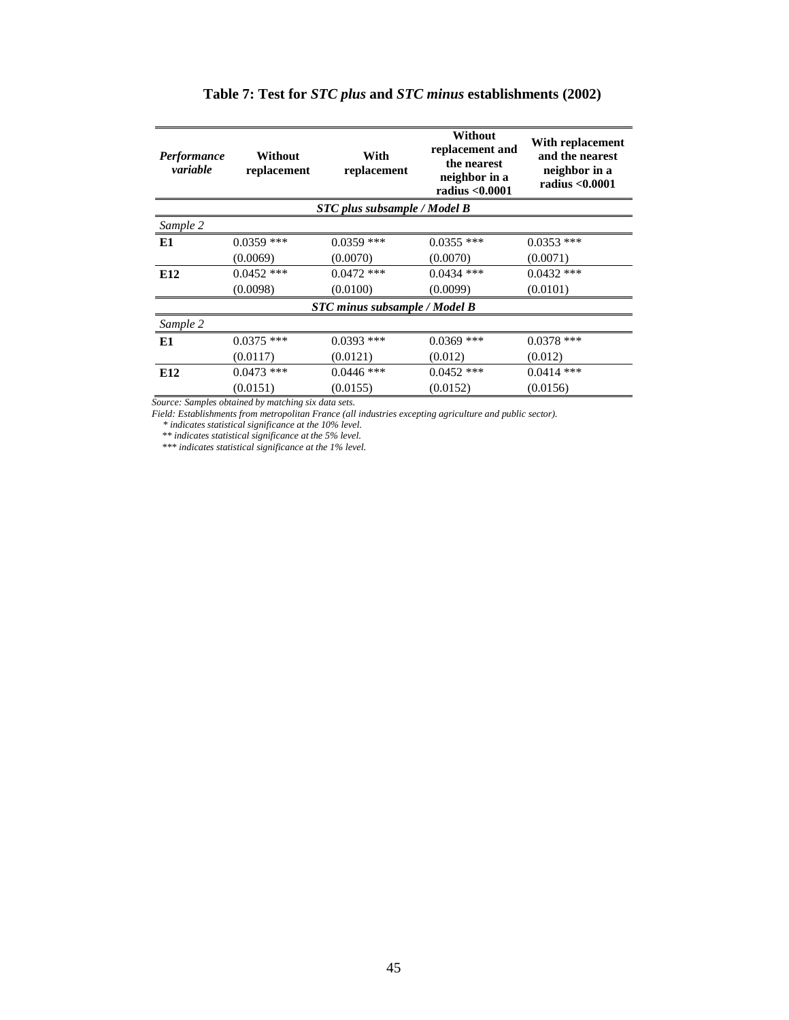| <b>Performance</b><br>variable      | Without<br>replacement | With<br>replacement                  | Without<br>replacement and<br>the nearest<br>neighbor in a<br>radius < 0.0001 | With replacement<br>and the nearest<br>neighbor in a<br>radius <0.0001 |  |  |
|-------------------------------------|------------------------|--------------------------------------|-------------------------------------------------------------------------------|------------------------------------------------------------------------|--|--|
| <b>STC</b> plus subsample / Model B |                        |                                      |                                                                               |                                                                        |  |  |
| Sample 2                            |                        |                                      |                                                                               |                                                                        |  |  |
| E1                                  | $0.0359$ ***           | $0.0359$ ***                         | $0.0355$ ***                                                                  | $0.0353$ ***                                                           |  |  |
|                                     | (0.0069)               | (0.0070)                             | (0.0070)                                                                      | (0.0071)                                                               |  |  |
| E12                                 | $0.0452$ ***           | $0.0472$ ***                         | $0.0434$ ***                                                                  | $0.0432$ ***                                                           |  |  |
|                                     | (0.0098)               | (0.0100)                             | (0.0099)                                                                      | (0.0101)                                                               |  |  |
|                                     |                        | <b>STC minus subsample / Model B</b> |                                                                               |                                                                        |  |  |
| Sample 2                            |                        |                                      |                                                                               |                                                                        |  |  |
| E1                                  | $0.0375$ ***           | $0.0393$ ***                         | $0.0369$ ***                                                                  | $0.0378$ ***                                                           |  |  |
|                                     | (0.0117)               | (0.0121)                             | (0.012)                                                                       | (0.012)                                                                |  |  |
| E <sub>12</sub>                     | $0.0473$ ***           | $0.0446$ ***                         | $0.0452$ ***                                                                  | $0.0414$ ***                                                           |  |  |
|                                     | (0.0151)               | (0.0155)                             | (0.0152)                                                                      | (0.0156)                                                               |  |  |

# **Table 7: Test for** *STC plus* **and** *STC minus* **establishments (2002)**

*Source: Samples obtained by matching six data sets.* 

*Field: Establishments from metropolitan France (all industries excepting agriculture and public sector).*

*\* indicates statistical significance at the 10% level.*

*\*\* indicates statistical significance at the 5% level.*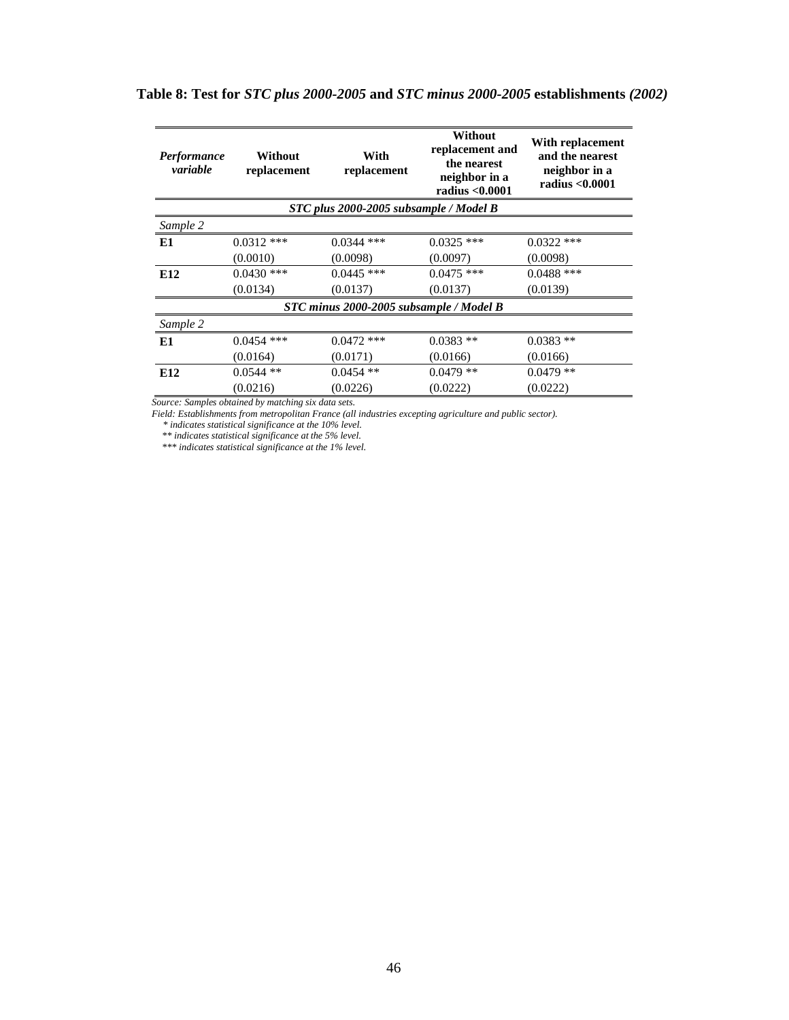| <b>Performance</b><br>variable         | Without<br>replacement | With<br>replacement                     | Without<br>replacement and<br>the nearest<br>neighbor in a<br>radius < 0.0001 | With replacement<br>and the nearest<br>neighbor in a<br>radius < 0.0001 |  |  |
|----------------------------------------|------------------------|-----------------------------------------|-------------------------------------------------------------------------------|-------------------------------------------------------------------------|--|--|
| STC plus 2000-2005 subsample / Model B |                        |                                         |                                                                               |                                                                         |  |  |
| Sample 2                               |                        |                                         |                                                                               |                                                                         |  |  |
| E1                                     | $0.0312$ ***           | $0.0344$ ***                            | $0.0325$ ***                                                                  | $0.0322$ ***                                                            |  |  |
|                                        | (0.0010)               | (0.0098)                                | (0.0097)                                                                      | (0.0098)                                                                |  |  |
| E <sub>12</sub>                        | $0.0430$ ***           | $0.0445$ ***                            | $0.0475$ ***                                                                  | $0.0488$ ***                                                            |  |  |
|                                        | (0.0134)               | (0.0137)                                | (0.0137)                                                                      | (0.0139)                                                                |  |  |
|                                        |                        | STC minus 2000-2005 subsample / Model B |                                                                               |                                                                         |  |  |
| Sample 2                               |                        |                                         |                                                                               |                                                                         |  |  |
| E <sub>1</sub>                         | $0.0454$ ***           | $0.0472$ ***                            | $0.0383**$                                                                    | $0.0383**$                                                              |  |  |
|                                        | (0.0164)               | (0.0171)                                | (0.0166)                                                                      | (0.0166)                                                                |  |  |
| E <sub>12</sub>                        | $0.0544$ **            | $0.0454$ **                             | $0.0479**$                                                                    | $0.0479**$                                                              |  |  |
|                                        | (0.0216)               | (0.0226)                                | (0.0222)                                                                      | (0.0222)                                                                |  |  |

# **Table 8: Test for** *STC plus 2000-2005* **and** *STC minus 2000-2005* **establishments** *(2002)*

*Source: Samples obtained by matching six data sets.*

*Field: Establishments from metropolitan France (all industries excepting agriculture and public sector).*

*\* indicates statistical significance at the 10% level.*

*\*\* indicates statistical significance at the 5% level.*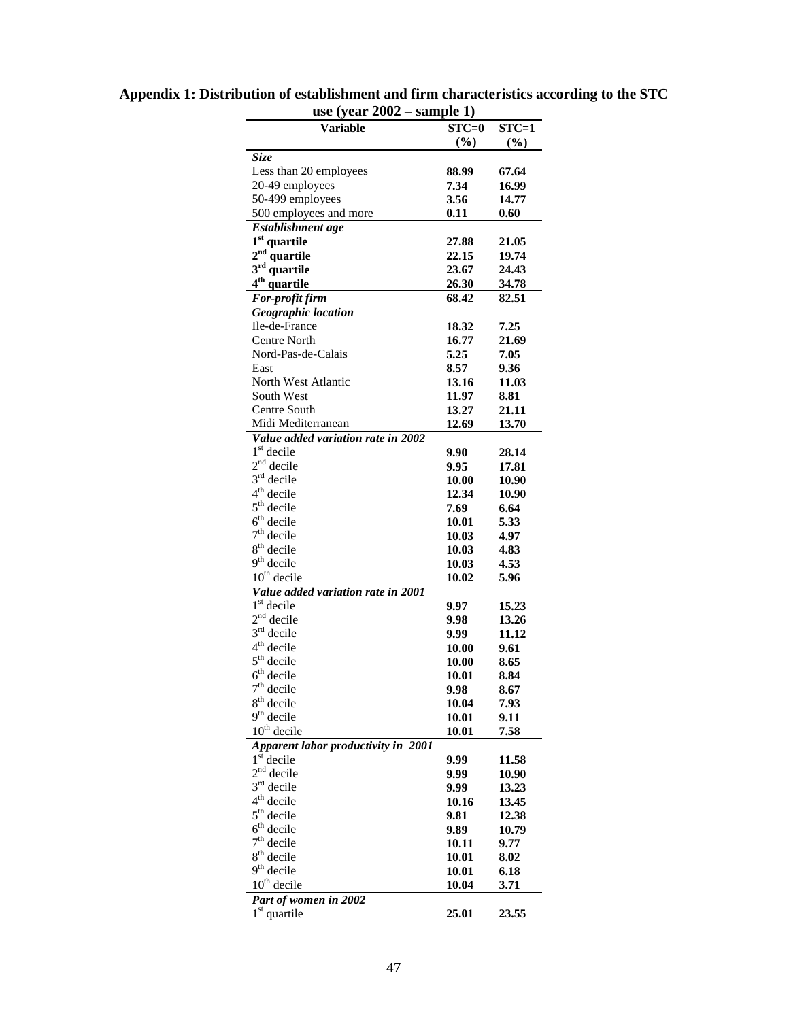| Variable                              | $STC=0$       | $STC=1$        |
|---------------------------------------|---------------|----------------|
|                                       | (%)           | (%)            |
| <b>Size</b><br>Less than 20 employees | 88.99         | 67.64          |
| 20-49 employees                       | 7.34          | 16.99          |
| 50-499 employees                      | 3.56          | 14.77          |
| 500 employees and more                | 0.11          | 0.60           |
| Establishment age                     |               |                |
| 1 <sup>st</sup> quartile              | 27.88         | 21.05          |
| 2 <sup>nd</sup> quartile              | 22.15         | 19.74          |
| 3 <sup>rd</sup> quartile              | 23.67         | 24.43          |
| 4 <sup>th</sup> quartile              | 26.30         | 34.78          |
| For-profit firm                       | 68.42         | 82.51          |
| Geographic location                   |               |                |
| Ile-de-France                         | 18.32         | 7.25           |
| Centre North                          | 16.77         | 21.69          |
| Nord-Pas-de-Calais                    | 5.25          | 7.05           |
| East                                  | 8.57          | 9.36           |
| North West Atlantic                   | 13.16         | 11.03          |
| South West                            | 11.97         | 8.81           |
| Centre South                          | 13.27         | 21.11          |
| Midi Mediterranean                    | 12.69         | 13.70          |
| Value added variation rate in 2002    |               |                |
| $1st$ decile                          | 9.90          | 28.14          |
| $2nd$ decile                          | 9.95          | 17.81          |
| $3rd$ decile<br>$4th$ decile          | 10.00         | 10.90          |
| $5th$ decile                          | 12.34<br>7.69 | 10.90<br>6.64  |
| $6th$ decile                          | 10.01         | 5.33           |
| $7th$ decile                          | 10.03         | 4.97           |
| $8th$ decile                          | 10.03         | 4.83           |
| $9th$ decile                          | 10.03         | 4.53           |
| $10th$ decile                         | 10.02         | 5.96           |
| Value added variation rate in 2001    |               |                |
| 1 <sup>st</sup> decile                | 9.97          | 15.23          |
| $2nd$ decile                          | 9.98          | 13.26          |
| $3rd$ decile                          | 9.99          | 11.12          |
| $4th$ decile                          | 10.00         | 9.61           |
| $5th$ decile                          | 10.00         | 8.65           |
| $6th$ decile                          | 10.01         | 8.84           |
| $7th$ decile                          | 9.98          | 8.67           |
| $8th$ decile                          | 10.04         | 7.93           |
| $9th$ decile                          | 10.01         | 9.11           |
| $10th$ decile                         | 10.01         | 7.58           |
| Apparent labor productivity in 2001   |               |                |
| $1st$ decile                          | 9.99          | 11.58          |
| $2nd$ decile                          | 9.99          | 10.90          |
| $3rd$ decile                          | 9.99          | 13.23          |
| $4th$ decile<br>$5th$ decile          | 10.16<br>9.81 | 13.45          |
| $6th$ decile                          | 9.89          | 12.38<br>10.79 |
| $7th$ decile                          | 10.11         | 9.77           |
| $8th$ decile                          | 10.01         | 8.02           |
| $9th$ decile                          | 10.01         | 6.18           |
| $10th$ decile                         | 10.04         | 3.71           |
| Part of women in 2002                 |               |                |
| $1st$ quartile                        | 25.01         | 23.55          |
|                                       |               |                |

**Appendix 1: Distribution of establishment and firm characteristics according to the STC use (year 2002 – sample 1)**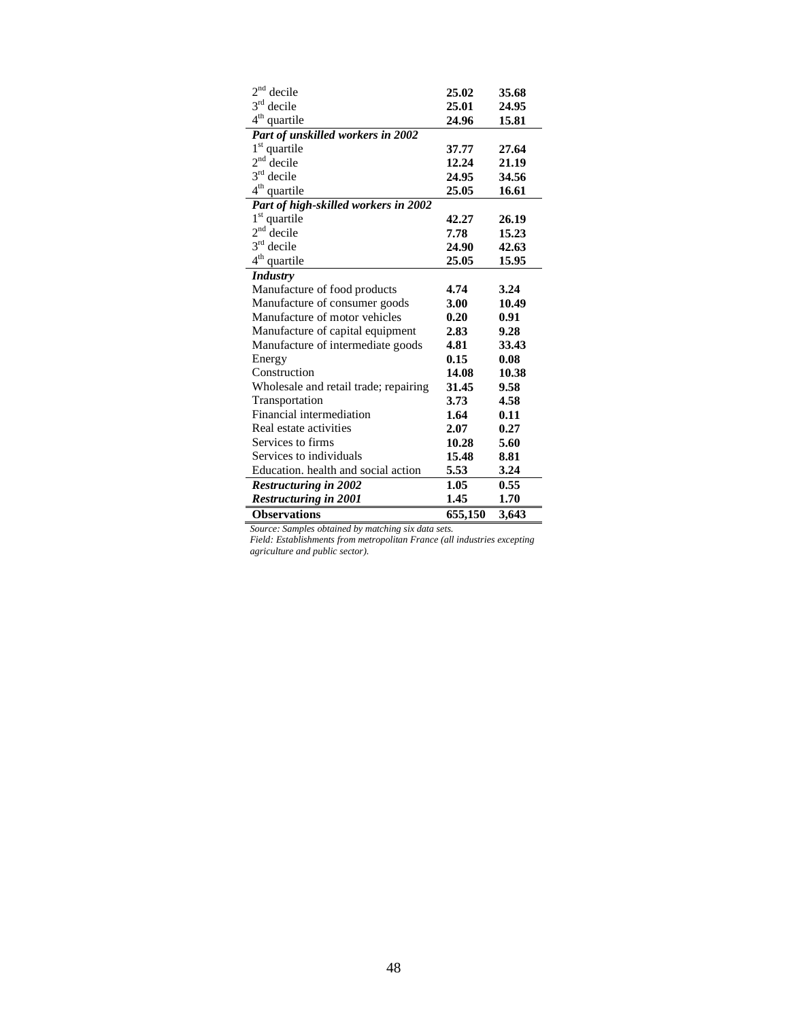| $2nd$ decile                          | 25.02   | 35.68 |
|---------------------------------------|---------|-------|
| $3rd$ decile                          | 25.01   | 24.95 |
| $4^{th}$<br>quartile                  | 24.96   | 15.81 |
| Part of unskilled workers in 2002     |         |       |
| $1st$ quartile                        | 37.77   | 27.64 |
| 2 <sup>nd</sup><br>decile             | 12.24   | 21.19 |
| $3rd$ decile                          | 24.95   | 34.56 |
| 4 <sup>th</sup><br>quartile           | 25.05   | 16.61 |
| Part of high-skilled workers in 2002  |         |       |
| 1 <sup>st</sup> quartile              | 42.27   | 26.19 |
| 2 <sup>nd</sup><br>decile             | 7.78    | 15.23 |
| $3rd$ decile                          | 24.90   | 42.63 |
| 4 <sup>th</sup><br>quartile           | 25.05   | 15.95 |
| <b>Industry</b>                       |         |       |
| Manufacture of food products          | 4.74    | 3.24  |
| Manufacture of consumer goods         | 3.00    | 10.49 |
| Manufacture of motor vehicles         | 0.20    | 0.91  |
| Manufacture of capital equipment      | 2.83    | 9.28  |
| Manufacture of intermediate goods     | 4.81    | 33.43 |
| Energy                                | 0.15    | 0.08  |
| Construction                          | 14.08   | 10.38 |
| Wholesale and retail trade; repairing | 31.45   | 9.58  |
| Transportation                        | 3.73    | 4.58  |
| Financial intermediation              | 1.64    | 0.11  |
| Real estate activities                | 2.07    | 0.27  |
| Services to firms                     | 10.28   | 5.60  |
| Services to individuals               | 15.48   | 8.81  |
| Education, health and social action   | 5.53    | 3.24  |
| <b>Restructuring in 2002</b>          | 1.05    | 0.55  |
| <b>Restructuring in 2001</b>          | 1.45    | 1.70  |
| <b>Observations</b>                   | 655,150 | 3,643 |

*Source: Samples obtained by matching six data sets.*

*Field: Establishments from metropolitan France (all industries excepting agriculture and public sector).*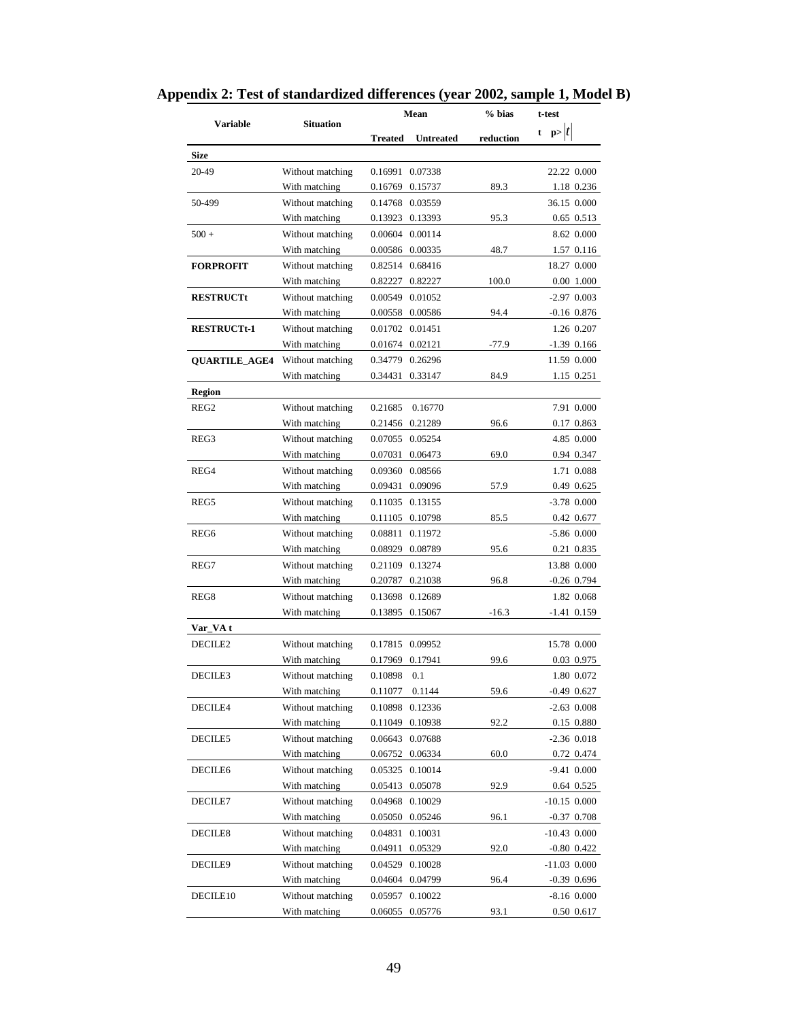| <b>Variable</b>      | <b>Situation</b> | Mean                               | % bias    | t-test          |
|----------------------|------------------|------------------------------------|-----------|-----------------|
|                      |                  | <b>Treated</b><br><b>Untreated</b> | reduction | t $p> t $       |
| <b>Size</b>          |                  |                                    |           |                 |
| 20-49                | Without matching | 0.16991<br>0.07338                 |           | 22.22 0.000     |
|                      | With matching    | 0.15737<br>0.16769                 | 89.3      | 1.18 0.236      |
| 50-499               | Without matching | 0.14768 0.03559                    |           | 36.15 0.000     |
|                      | With matching    | 0.13923<br>0.13393                 | 95.3      | 0.65 0.513      |
| $500 +$              | Without matching | 0.00604 0.00114                    |           | 8.62 0.000      |
|                      | With matching    | 0.00586 0.00335                    | 48.7      | 1.57 0.116      |
| <b>FORPROFIT</b>     | Without matching | 0.82514 0.68416                    |           | 18.27 0.000     |
|                      | With matching    | 0.82227<br>0.82227                 | 100.0     | 0.00 1.000      |
| <b>RESTRUCTt</b>     | Without matching | 0.00549<br>0.01052                 |           | $-2.97$ 0.003   |
|                      | With matching    | 0.00558 0.00586                    | 94.4      | $-0.16$ 0.876   |
| <b>RESTRUCTt-1</b>   | Without matching | 0.01702 0.01451                    |           | 1.26 0.207      |
|                      | With matching    | 0.01674 0.02121                    | $-77.9$   | $-1.39$ 0.166   |
| <b>QUARTILE_AGE4</b> | Without matching | 0.34779 0.26296                    |           | 11.59 0.000     |
|                      | With matching    | 0.34431<br>0.33147                 | 84.9      | 1.15 0.251      |
| <b>Region</b>        |                  |                                    |           |                 |
| REG <sub>2</sub>     | Without matching | 0.21685<br>0.16770                 |           | 7.91 0.000      |
|                      | With matching    | 0.21456 0.21289                    | 96.6      | 0.17 0.863      |
| REG <sub>3</sub>     | Without matching | 0.07055 0.05254                    |           | 4.85 0.000      |
|                      | With matching    | 0.07031<br>0.06473                 | 69.0      | 0.94 0.347      |
| REG4                 | Without matching | 0.09360<br>0.08566                 |           | 1.71 0.088      |
|                      | With matching    | 0.09431<br>0.09096                 | 57.9      | 0.49 0.625      |
| REG5                 | Without matching | 0.11035 0.13155                    |           | $-3.78$ 0.000   |
|                      | With matching    | 0.11105<br>0.10798                 | 85.5      | 0.42 0.677      |
| REG6                 | Without matching | 0.08811 0.11972                    |           | $-5.86$ $0.000$ |
|                      | With matching    | 0.08929 0.08789                    | 95.6      | 0.21 0.835      |
| REG7                 | Without matching | 0.21109 0.13274                    |           | 13.88 0.000     |
|                      | With matching    | 0.20787<br>0.21038                 | 96.8      | $-0.26$ 0.794   |
| REG8                 | Without matching | 0.13698 0.12689                    |           | 1.82 0.068      |
|                      | With matching    | 0.13895 0.15067                    | $-16.3$   | -1.41 0.159     |
| Var_VA t             |                  |                                    |           |                 |
| DECILE2              | Without matching | 0.17815<br>0.09952                 |           | 15.78 0.000     |
|                      | With matching    | 0.17969<br>0.17941                 | 99.6      | 0.03 0.975      |
| DECILE3              | Without matching | 0.10898<br>0.1                     |           | 1.80 0.072      |
|                      | With matching    | 0.11077<br>0.1144                  | 59.6      | $-0.49$ 0.627   |
| DECILE4              | Without matching | 0.12336<br>0.10898                 |           | $-2.63$ 0.008   |
|                      | With matching    | 0.11049<br>0.10938                 | 92.2      | 0.15 0.880      |
| DECILE5              | Without matching | 0.06643<br>0.07688                 |           | $-2.36$ 0.018   |
|                      | With matching    | 0.06752<br>0.06334                 | 60.0      | 0.72 0.474      |
| DECILE6              | Without matching | 0.05325<br>0.10014                 |           | $-9.41$ $0.000$ |
|                      | With matching    | 0.05413<br>0.05078                 | 92.9      | 0.64 0.525      |
| DECILE7              | Without matching | 0.04968 0.10029                    |           | $-10.15$ 0.000  |
|                      | With matching    | 0.05050 0.05246                    | 96.1      | $-0.37$ 0.708   |
| DECILE8              | Without matching | 0.04831<br>0.10031                 |           | $-10.43$ 0.000  |
|                      | With matching    | 0.04911 0.05329                    | 92.0      | $-0.80$ 0.422   |
| DECILE9              | Without matching | 0.04529 0.10028                    |           | $-11.03$ 0.000  |
|                      | With matching    | 0.04604 0.04799                    | 96.4      | $-0.39$ 0.696   |
| DECILE <sub>10</sub> | Without matching | 0.05957<br>0.10022                 |           | $-8.16$ 0.000   |
|                      | With matching    | 0.06055<br>0.05776                 | 93.1      | $0.50$ $0.617$  |
|                      |                  |                                    |           |                 |

**Appendix 2: Test of standardized differences (year 2002, sample 1, Model B)**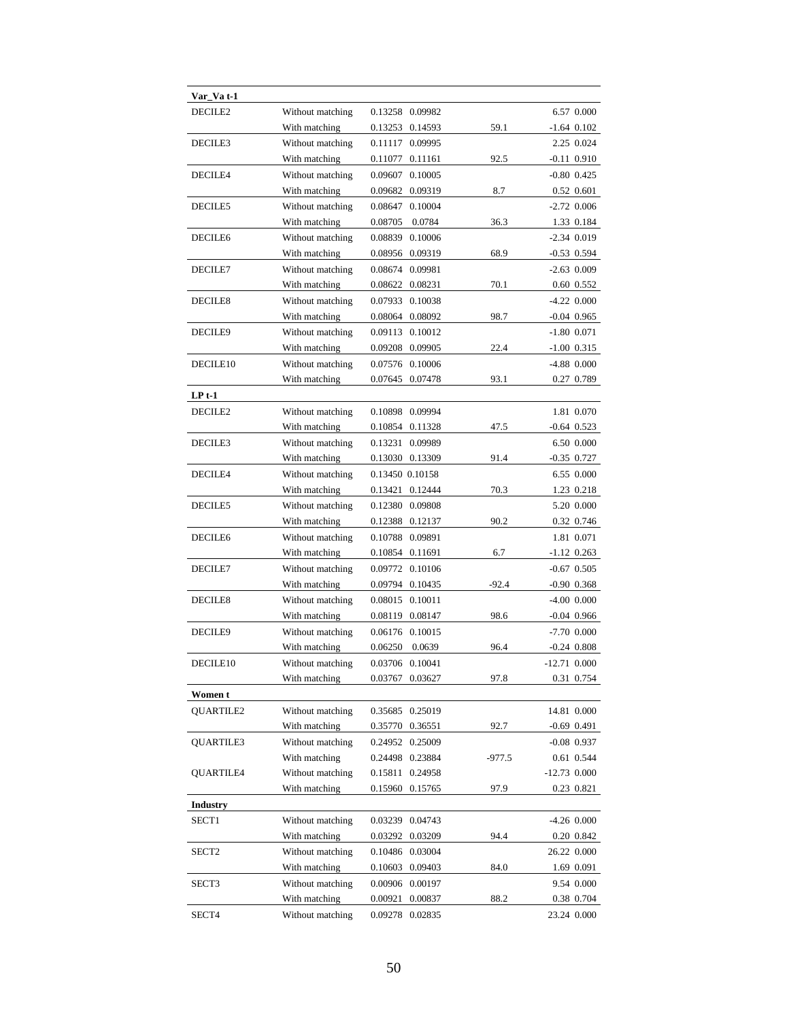| Var_Va t-1      |                  |                    |         |                 |
|-----------------|------------------|--------------------|---------|-----------------|
| DECILE2         | Without matching | 0.13258 0.09982    |         | 6.57 0.000      |
|                 | With matching    | 0.14593<br>0.13253 | 59.1    | $-1.64$ 0.102   |
| DECILE3         | Without matching | 0.11117<br>0.09995 |         | 2.25 0.024      |
|                 | With matching    | 0.11077<br>0.11161 | 92.5    | $-0.11$ $0.910$ |
| DECILE4         | Without matching | 0.09607<br>0.10005 |         | $-0.80$ 0.425   |
|                 | With matching    | 0.09682<br>0.09319 | 8.7     | 0.52 0.601      |
| DECILE5         | Without matching | 0.10004<br>0.08647 |         | $-2.72$ 0.006   |
|                 | With matching    | 0.0784<br>0.08705  | 36.3    | 1.33 0.184      |
| DECILE6         | Without matching | 0.08839<br>0.10006 |         | $-2.34$ 0.019   |
|                 | With matching    | 0.09319<br>0.08956 | 68.9    | $-0.53$ 0.594   |
| DECILE7         | Without matching | 0.09981<br>0.08674 |         | $-2.63$ 0.009   |
|                 | With matching    | 0.08622<br>0.08231 | 70.1    | 0.60 0.552      |
| DECILE8         | Without matching | 0.07933<br>0.10038 |         | $-4.22$ 0.000   |
|                 | With matching    | 0.08092<br>0.08064 | 98.7    | $-0.04$ 0.965   |
| DECILE9         | Without matching | 0.09113<br>0.10012 |         | $-1.80$ 0.071   |
|                 | With matching    | 0.09208<br>0.09905 | 22.4    | $-1.00$ 0.315   |
| DECILE10        | Without matching | 0.07576 0.10006    |         | $-4.88$ 0.000   |
|                 | With matching    | 0.07645 0.07478    | 93.1    | 0.27 0.789      |
| $LP t-1$        |                  |                    |         |                 |
| DECILE2         | Without matching | 0.10898<br>0.09994 |         | 1.81 0.070      |
|                 | With matching    | 0.10854<br>0.11328 | 47.5    | $-0.64$ 0.523   |
| DECILE3         | Without matching | 0.13231<br>0.09989 |         | 6.50 0.000      |
|                 | With matching    | 0.13030<br>0.13309 | 91.4    | $-0.35$ 0.727   |
| DECILE4         | Without matching | 0.13450 0.10158    |         | 6.55 0.000      |
|                 | With matching    | 0.13421<br>0.12444 | 70.3    | 1.23 0.218      |
| DECILE5         | Without matching | 0.12380 0.09808    |         | 5.20 0.000      |
|                 | With matching    | 0.12388<br>0.12137 | 90.2    | 0.32 0.746      |
| DECILE6         | Without matching | 0.10788<br>0.09891 |         | 1.81 0.071      |
|                 | With matching    | 0.10854<br>0.11691 | 6.7     | $-1.12$ 0.263   |
| DECILE7         | Without matching | 0.09772 0.10106    |         | $-0.67$ 0.505   |
|                 | With matching    | 0.09794 0.10435    | $-92.4$ | $-0.90$ 0.368   |
| DECILE8         | Without matching | 0.08015 0.10011    |         | $-4.00$ 0.000   |
|                 | With matching    | 0.08119<br>0.08147 | 98.6    | $-0.04$ 0.966   |
| DECILE9         | Without matching | 0.06176 0.10015    |         | $-7.70$ 0.000   |
|                 | With matching    | 0.06250<br>0.0639  | 96.4    | $-0.24$ 0.808   |
| DECILE10        | Without matching | 0.03706 0.10041    |         | $-12.71$ 0.000  |
|                 | With matching    | 0.03767<br>0.03627 | 97.8    | 0.31 0.754      |
| Women t         |                  |                    |         |                 |
| QUARTILE2       | Without matching | 0.25019<br>0.35685 |         | 14.81 0.000     |
|                 | With matching    | 0.35770<br>0.36551 | 92.7    | $-0.69$ 0.491   |
| QUARTILE3       | Without matching | 0.24952<br>0.25009 |         | $-0.08$ 0.937   |
|                 | With matching    | 0.24498<br>0.23884 | -977.5  | 0.61 0.544      |
| QUARTILE4       | Without matching | 0.15811<br>0.24958 |         | $-12.73$ 0.000  |
|                 | With matching    | 0.15960<br>0.15765 | 97.9    |                 |
| <b>Industry</b> |                  |                    |         | 0.23 0.821      |
| SECT1           | Without matching | 0.04743<br>0.03239 |         | $-4.26$ 0.000   |
|                 | With matching    | 0.03292<br>0.03209 | 94.4    | 0.20 0.842      |
| SECT2           | Without matching | 0.03004<br>0.10486 |         | 26.22 0.000     |
|                 | With matching    | 0.10603<br>0.09403 | 84.0    | 1.69 0.091      |
|                 | Without matching | 0.00906<br>0.00197 |         | 9.54 0.000      |
| SECT3           | With matching    | 0.00921<br>0.00837 | 88.2    | 0.38 0.704      |
| SECT4           | Without matching | 0.09278 0.02835    |         | 23.24 0.000     |
|                 |                  |                    |         |                 |